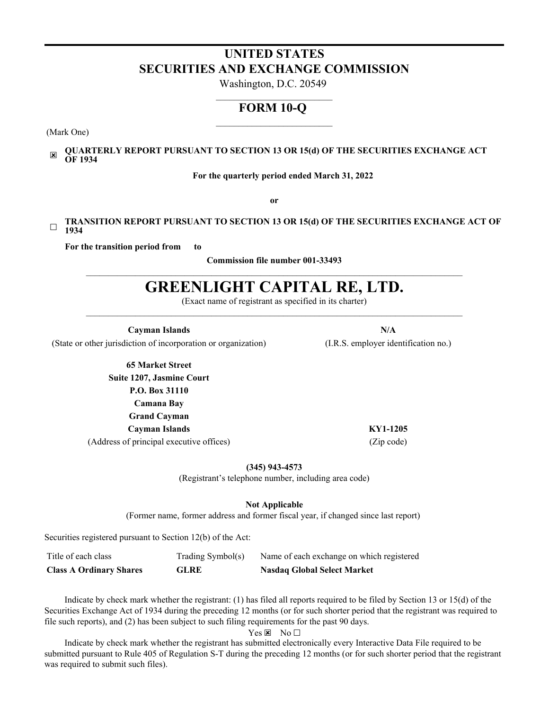# **UNITED STATES SECURITIES AND EXCHANGE COMMISSION**

Washington, D.C. 20549  $\mathcal{L}=\mathcal{L}=\mathcal{L}=\mathcal{L}=\mathcal{L}=\mathcal{L}=\mathcal{L}=\mathcal{L}=\mathcal{L}=\mathcal{L}=\mathcal{L}=\mathcal{L}=\mathcal{L}=\mathcal{L}=\mathcal{L}=\mathcal{L}=\mathcal{L}=\mathcal{L}=\mathcal{L}=\mathcal{L}=\mathcal{L}=\mathcal{L}=\mathcal{L}=\mathcal{L}=\mathcal{L}=\mathcal{L}=\mathcal{L}=\mathcal{L}=\mathcal{L}=\mathcal{L}=\mathcal{L}=\mathcal{L}=\mathcal{L}=\mathcal{L}=\mathcal{L}=\mathcal{L}=\mathcal{$ 

## **FORM 10-Q**  $\mathcal{L}_\text{max}$

(Mark One)

#### $\overline{\mathbf{x}}$ **QUARTERLY REPORT PURSUANT TO SECTION 13 OR 15(d) OF THE SECURITIES EXCHANGE ACT OF 1934**

**For the quarterly period ended March 31, 2022**

**or**

#### ☐ **TRANSITION REPORT PURSUANT TO SECTION 13 OR 15(d) OF THE SECURITIES EXCHANGE ACT OF 1934**

**For the transition period from to**

**Commission file number 001-33493**  $\mathcal{L}_\mathcal{L} = \{ \mathcal{L}_\mathcal{L} = \{ \mathcal{L}_\mathcal{L} = \{ \mathcal{L}_\mathcal{L} = \{ \mathcal{L}_\mathcal{L} = \{ \mathcal{L}_\mathcal{L} = \{ \mathcal{L}_\mathcal{L} = \{ \mathcal{L}_\mathcal{L} = \{ \mathcal{L}_\mathcal{L} = \{ \mathcal{L}_\mathcal{L} = \{ \mathcal{L}_\mathcal{L} = \{ \mathcal{L}_\mathcal{L} = \{ \mathcal{L}_\mathcal{L} = \{ \mathcal{L}_\mathcal{L} = \{ \mathcal{L}_\mathcal{$ 

# **GREENLIGHT CAPITAL RE, LTD.**

(Exact name of registrant as specified in its charter)  $\mathcal{L}_\mathcal{L} = \{ \mathcal{L}_\mathcal{L} = \{ \mathcal{L}_\mathcal{L} = \{ \mathcal{L}_\mathcal{L} = \{ \mathcal{L}_\mathcal{L} = \{ \mathcal{L}_\mathcal{L} = \{ \mathcal{L}_\mathcal{L} = \{ \mathcal{L}_\mathcal{L} = \{ \mathcal{L}_\mathcal{L} = \{ \mathcal{L}_\mathcal{L} = \{ \mathcal{L}_\mathcal{L} = \{ \mathcal{L}_\mathcal{L} = \{ \mathcal{L}_\mathcal{L} = \{ \mathcal{L}_\mathcal{L} = \{ \mathcal{L}_\mathcal{$ 

(State or other jurisdiction of incorporation or organization) (I.R.S. employer identification no.)

**65 Market Street Suite 1207, Jasmine Court P.O. Box 31110 Camana Bay Grand Cayman Cayman Islands KY1-1205** (Address of principal executive offices) (Zip code)

**(345) 943-4573**

(Registrant's telephone number, including area code)

**Not Applicable**

(Former name, former address and former fiscal year, if changed since last report)

Securities registered pursuant to Section 12(b) of the Act:

| Title of each class            | Trading Symbol(s) | Name of each exchange on which registered |
|--------------------------------|-------------------|-------------------------------------------|
| <b>Class A Ordinary Shares</b> | <b>GLRE</b>       | <b>Nasdaq Global Select Market</b>        |

Indicate by check mark whether the registrant: (1) has filed all reports required to be filed by Section 13 or 15(d) of the Securities Exchange Act of 1934 during the preceding 12 months (or for such shorter period that the registrant was required to file such reports), and (2) has been subject to such filing requirements for the past 90 days.

 $Yes \times No \Box$ 

Indicate by check mark whether the registrant has submitted electronically every Interactive Data File required to be submitted pursuant to Rule 405 of Regulation S-T during the preceding 12 months (or for such shorter period that the registrant was required to submit such files).

**Cayman Islands N/A**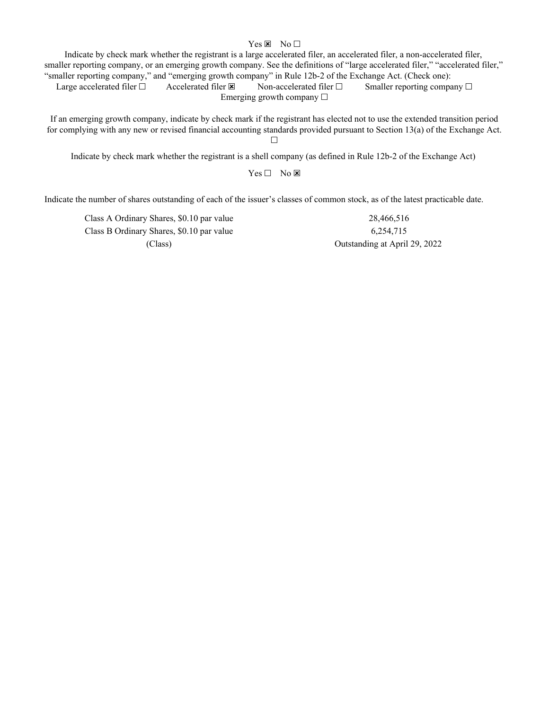## $Yes \times No \square$

Indicate by check mark whether the registrant is a large accelerated filer, an accelerated filer, a non-accelerated filer, smaller reporting company, or an emerging growth company. See the definitions of "large accelerated filer," "accelerated filer," "smaller reporting company," and "emerging growth company" in Rule 12b-2 of the Exchange Act. (Check one): Large accelerated filer  $□$  Accelerated filer  $□$  Non-accelerated filer  $□$  Smaller reporting company  $□$ 

Emerging growth company  $\Box$ 

If an emerging growth company, indicate by check mark if the registrant has elected not to use the extended transition period for complying with any new or revised financial accounting standards provided pursuant to Section 13(a) of the Exchange Act. ☐

Indicate by check mark whether the registrant is a shell company (as defined in Rule 12b-2 of the Exchange Act)

 $Yes \Box No \boxtimes$ 

Indicate the number of shares outstanding of each of the issuer's classes of common stock, as of the latest practicable date.

Class A Ordinary Shares, \$0.10 par value 28,466,516 Class B Ordinary Shares, \$0.10 par value 6,254,715

(Class) Outstanding at April 29, 2022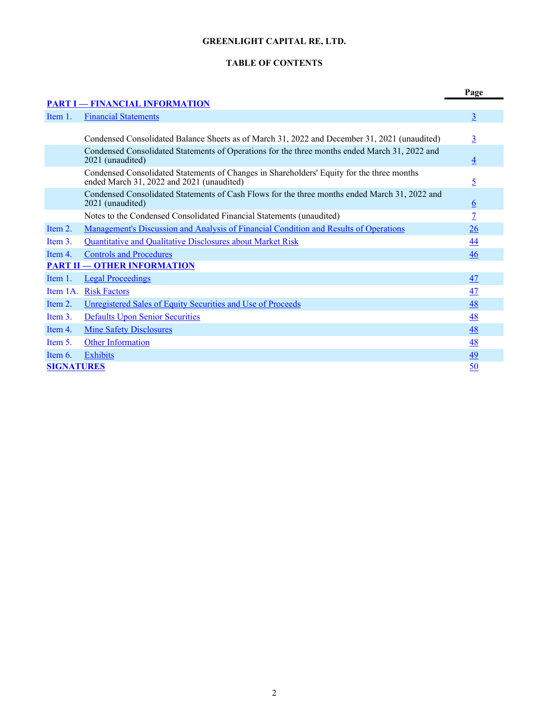## **GREENLIGHT CAPITAL RE, LTD.**

## **TABLE OF CONTENTS**

<span id="page-2-0"></span>

|                   |                                                                                                                                        | Page           |
|-------------------|----------------------------------------------------------------------------------------------------------------------------------------|----------------|
|                   | <b>PART I - FINANCIAL INFORMATION</b>                                                                                                  |                |
| Item 1.           | <b>Financial Statements</b>                                                                                                            | $\overline{3}$ |
|                   |                                                                                                                                        |                |
|                   | Condensed Consolidated Balance Sheets as of March 31, 2022 and December 31, 2021 (unaudited)                                           | $\overline{3}$ |
|                   | Condensed Consolidated Statements of Operations for the three months ended March 31, 2022 and<br>2021 (unaudited)                      | 4              |
|                   | Condensed Consolidated Statements of Changes in Shareholders' Equity for the three months<br>ended March 31, 2022 and 2021 (unaudited) | 5              |
|                   | Condensed Consolidated Statements of Cash Flows for the three months ended March 31, 2022 and<br>2021 (unaudited)                      | 6              |
|                   | Notes to the Condensed Consolidated Financial Statements (unaudited)                                                                   | 7              |
| Item 2.           | <u>Management's Discussion and Analysis of Financial Condition and Results of Operations</u>                                           | 26             |
| Item 3.           | <b>Quantitative and Qualitative Disclosures about Market Risk</b>                                                                      | 44             |
| Item 4.           | <b>Controls and Procedures</b>                                                                                                         | 46             |
|                   | <b>PART II - OTHER INFORMATION</b>                                                                                                     |                |
| Item 1.           | <b>Legal Proceedings</b>                                                                                                               | 47             |
| Item 1A.          | <b>Risk Factors</b>                                                                                                                    | 47             |
| Item 2.           | Unregistered Sales of Equity Securities and Use of Proceeds                                                                            | 48             |
| Item $3$ .        | <b>Defaults Upon Senior Securities</b>                                                                                                 | 48             |
| Item 4.           | <b>Mine Safety Disclosures</b>                                                                                                         | 48             |
| Item 5.           | <b>Other Information</b>                                                                                                               | 48             |
| Item 6.           | <b>Exhibits</b>                                                                                                                        | 49             |
| <b>SIGNATURES</b> |                                                                                                                                        | 50             |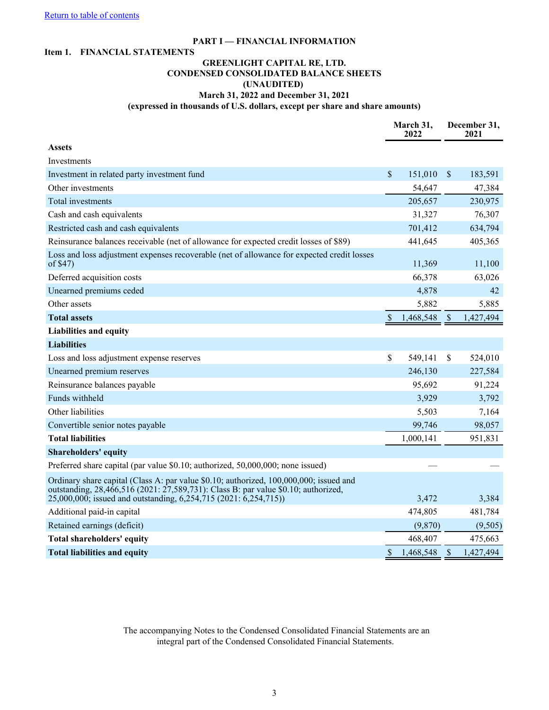### **PART I — FINANCIAL INFORMATION**

#### <span id="page-3-0"></span>**Item 1. FINANCIAL STATEMENTS**

## **GREENLIGHT CAPITAL RE, LTD. CONDENSED CONSOLIDATED BALANCE SHEETS (UNAUDITED) March 31, 2022 and December 31, 2021**

**(expressed in thousands of U.S. dollars, except per share and share amounts)**

|                                                                                                                                                                                                                                                  |               | March 31,<br>2022 |               | December 31,<br>2021 |
|--------------------------------------------------------------------------------------------------------------------------------------------------------------------------------------------------------------------------------------------------|---------------|-------------------|---------------|----------------------|
| <b>Assets</b>                                                                                                                                                                                                                                    |               |                   |               |                      |
| Investments                                                                                                                                                                                                                                      |               |                   |               |                      |
| Investment in related party investment fund                                                                                                                                                                                                      | $\mathcal{S}$ | 151,010           | $\mathcal{S}$ | 183,591              |
| Other investments                                                                                                                                                                                                                                |               | 54,647            |               | 47,384               |
| Total investments                                                                                                                                                                                                                                |               | 205,657           |               | 230,975              |
| Cash and cash equivalents                                                                                                                                                                                                                        |               | 31,327            |               | 76,307               |
| Restricted cash and cash equivalents                                                                                                                                                                                                             |               | 701,412           |               | 634,794              |
| Reinsurance balances receivable (net of allowance for expected credit losses of \$89)                                                                                                                                                            |               | 441,645           |               | 405,365              |
| Loss and loss adjustment expenses recoverable (net of allowance for expected credit losses<br>of \$47)                                                                                                                                           |               | 11,369            |               | 11,100               |
| Deferred acquisition costs                                                                                                                                                                                                                       |               | 66,378            |               | 63,026               |
| Unearned premiums ceded                                                                                                                                                                                                                          |               | 4,878             |               | 42                   |
| Other assets                                                                                                                                                                                                                                     |               | 5,882             |               | 5,885                |
| <b>Total assets</b>                                                                                                                                                                                                                              | <sup>\$</sup> | 1,468,548         | \$            | 1,427,494            |
| <b>Liabilities and equity</b>                                                                                                                                                                                                                    |               |                   |               |                      |
| <b>Liabilities</b>                                                                                                                                                                                                                               |               |                   |               |                      |
| Loss and loss adjustment expense reserves                                                                                                                                                                                                        | \$            | 549,141           | $\mathsf{\$}$ | 524,010              |
| Unearned premium reserves                                                                                                                                                                                                                        |               | 246,130           |               | 227,584              |
| Reinsurance balances payable                                                                                                                                                                                                                     |               | 95,692            |               | 91,224               |
| Funds withheld                                                                                                                                                                                                                                   |               | 3,929             |               | 3,792                |
| Other liabilities                                                                                                                                                                                                                                |               | 5,503             |               | 7,164                |
| Convertible senior notes payable                                                                                                                                                                                                                 |               | 99,746            |               | 98,057               |
| <b>Total liabilities</b>                                                                                                                                                                                                                         |               | 1,000,141         |               | 951,831              |
| <b>Shareholders' equity</b>                                                                                                                                                                                                                      |               |                   |               |                      |
| Preferred share capital (par value \$0.10; authorized, 50,000,000; none issued)                                                                                                                                                                  |               |                   |               |                      |
| Ordinary share capital (Class A: par value \$0.10; authorized, 100,000,000; issued and<br>outstanding, 28,466,516 (2021: 27,589,731): Class B: par value \$0.10; authorized,<br>25,000,000; issued and outstanding, 6,254,715 (2021: 6,254,715)) |               | 3,472             |               | 3,384                |
| Additional paid-in capital                                                                                                                                                                                                                       |               | 474,805           |               | 481,784              |
| Retained earnings (deficit)                                                                                                                                                                                                                      |               | (9,870)           |               | (9,505)              |
| Total shareholders' equity                                                                                                                                                                                                                       |               | 468,407           |               | 475,663              |
| <b>Total liabilities and equity</b>                                                                                                                                                                                                              | \$            | 1,468,548         | \$            | 1,427,494            |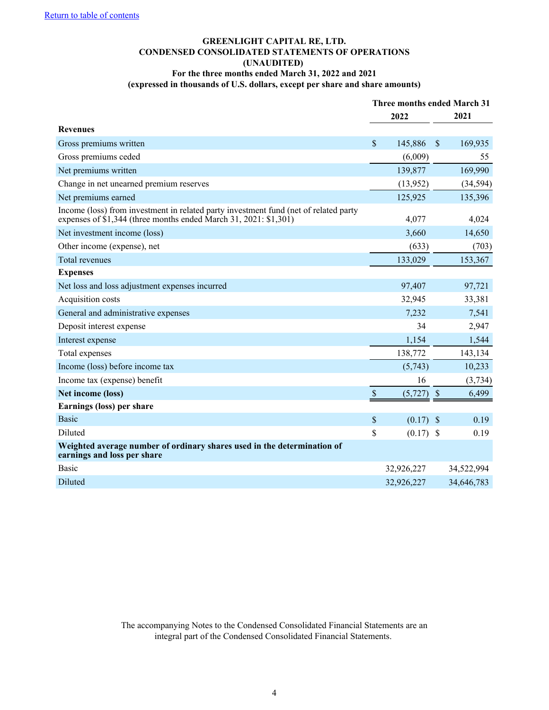## **GREENLIGHT CAPITAL RE, LTD. CONDENSED CONSOLIDATED STATEMENTS OF OPERATIONS (UNAUDITED) For the three months ended March 31, 2022 and 2021**

**(expressed in thousands of U.S. dollars, except per share and share amounts)**

<span id="page-4-0"></span>

|                                                                                                                                                          | <b>Three months ended March 31</b> |             |                           |            |
|----------------------------------------------------------------------------------------------------------------------------------------------------------|------------------------------------|-------------|---------------------------|------------|
|                                                                                                                                                          |                                    | 2022        | 2021                      |            |
| <b>Revenues</b>                                                                                                                                          |                                    |             |                           |            |
| Gross premiums written                                                                                                                                   | $\mathsf{\$}$                      | 145,886     | $\boldsymbol{\mathsf{S}}$ | 169,935    |
| Gross premiums ceded                                                                                                                                     |                                    | (6,009)     |                           | 55         |
| Net premiums written                                                                                                                                     |                                    | 139,877     |                           | 169,990    |
| Change in net unearned premium reserves                                                                                                                  |                                    | (13,952)    |                           | (34, 594)  |
| Net premiums earned                                                                                                                                      |                                    | 125,925     |                           | 135,396    |
| Income (loss) from investment in related party investment fund (net of related party<br>expenses of \$1,344 (three months ended March 31, 2021: \$1,301) |                                    | 4,077       |                           | 4,024      |
| Net investment income (loss)                                                                                                                             |                                    | 3,660       |                           | 14,650     |
| Other income (expense), net                                                                                                                              |                                    | (633)       |                           | (703)      |
| Total revenues                                                                                                                                           |                                    | 133,029     |                           | 153,367    |
| <b>Expenses</b>                                                                                                                                          |                                    |             |                           |            |
| Net loss and loss adjustment expenses incurred                                                                                                           |                                    | 97,407      |                           | 97,721     |
| Acquisition costs                                                                                                                                        |                                    | 32,945      |                           | 33,381     |
| General and administrative expenses                                                                                                                      |                                    | 7,232       |                           | 7,541      |
| Deposit interest expense                                                                                                                                 |                                    | 34          |                           | 2,947      |
| Interest expense                                                                                                                                         |                                    | 1,154       |                           | 1,544      |
| Total expenses                                                                                                                                           |                                    | 138,772     |                           | 143,134    |
| Income (loss) before income tax                                                                                                                          |                                    | (5,743)     |                           | 10,233     |
| Income tax (expense) benefit                                                                                                                             |                                    | 16          |                           | (3,734)    |
| Net income (loss)                                                                                                                                        | $\mathcal{S}$                      | (5, 727)    | $\boldsymbol{\mathsf{S}}$ | 6,499      |
| Earnings (loss) per share                                                                                                                                |                                    |             |                           |            |
| <b>Basic</b>                                                                                                                                             | \$                                 | $(0.17)$ \$ |                           | 0.19       |
| Diluted                                                                                                                                                  | \$                                 | $(0.17)$ \$ |                           | 0.19       |
| Weighted average number of ordinary shares used in the determination of<br>earnings and loss per share                                                   |                                    |             |                           |            |
| <b>Basic</b>                                                                                                                                             |                                    | 32,926,227  |                           | 34,522,994 |
| Diluted                                                                                                                                                  |                                    | 32,926,227  |                           | 34,646,783 |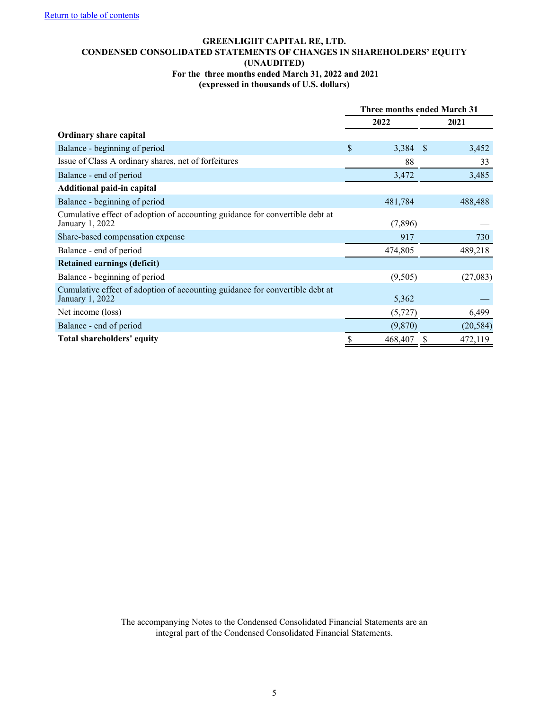## <span id="page-5-0"></span>**GREENLIGHT CAPITAL RE, LTD. CONDENSED CONSOLIDATED STATEMENTS OF CHANGES IN SHAREHOLDERS' EQUITY (UNAUDITED) For the three months ended March 31, 2022 and 2021 (expressed in thousands of U.S. dollars)**

|                                                                                                 | <b>Three months ended March 31</b> |          |  |           |  |
|-------------------------------------------------------------------------------------------------|------------------------------------|----------|--|-----------|--|
|                                                                                                 |                                    | 2022     |  | 2021      |  |
| <b>Ordinary share capital</b>                                                                   |                                    |          |  |           |  |
| Balance - beginning of period                                                                   | \$                                 | 3,384 \$ |  | 3,452     |  |
| Issue of Class A ordinary shares, net of forfeitures                                            |                                    | 88       |  | 33        |  |
| Balance - end of period                                                                         |                                    | 3,472    |  | 3,485     |  |
| <b>Additional paid-in capital</b>                                                               |                                    |          |  |           |  |
| Balance - beginning of period                                                                   |                                    | 481,784  |  | 488,488   |  |
| Cumulative effect of adoption of accounting guidance for convertible debt at<br>January 1, 2022 |                                    | (7,896)  |  |           |  |
| Share-based compensation expense                                                                |                                    | 917      |  | 730       |  |
| Balance - end of period                                                                         |                                    | 474,805  |  | 489,218   |  |
| <b>Retained earnings (deficit)</b>                                                              |                                    |          |  |           |  |
| Balance - beginning of period                                                                   |                                    | (9,505)  |  | (27,083)  |  |
| Cumulative effect of adoption of accounting guidance for convertible debt at<br>January 1, 2022 |                                    | 5,362    |  |           |  |
| Net income (loss)                                                                               |                                    | (5, 727) |  | 6,499     |  |
| Balance - end of period                                                                         |                                    | (9,870)  |  | (20, 584) |  |
| <b>Total shareholders' equity</b>                                                               | S                                  | 468,407  |  | 472,119   |  |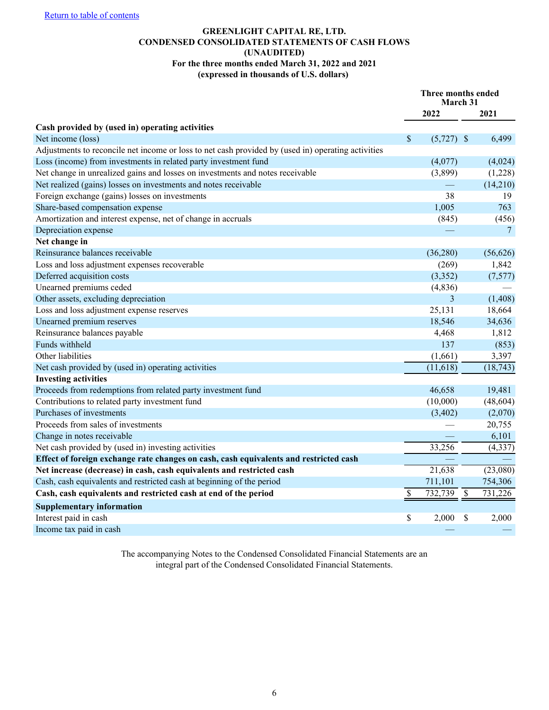### **GREENLIGHT CAPITAL RE, LTD. CONDENSED CONSOLIDATED STATEMENTS OF CASH FLOWS (UNAUDITED) For the three months ended March 31, 2022 and 2021 (expressed in thousands of U.S. dollars)**

<span id="page-6-0"></span>

|                                                                                                    | Three months ended<br>March 31 |              |    |           |
|----------------------------------------------------------------------------------------------------|--------------------------------|--------------|----|-----------|
|                                                                                                    |                                | 2022         |    | 2021      |
| Cash provided by (used in) operating activities                                                    |                                |              |    |           |
| Net income (loss)                                                                                  | \$                             | $(5,727)$ \$ |    | 6,499     |
| Adjustments to reconcile net income or loss to net cash provided by (used in) operating activities |                                |              |    |           |
| Loss (income) from investments in related party investment fund                                    |                                | (4,077)      |    | (4,024)   |
| Net change in unrealized gains and losses on investments and notes receivable                      |                                | (3,899)      |    | (1,228)   |
| Net realized (gains) losses on investments and notes receivable                                    |                                |              |    | (14,210)  |
| Foreign exchange (gains) losses on investments                                                     |                                | 38           |    | 19        |
| Share-based compensation expense                                                                   |                                | 1,005        |    | 763       |
| Amortization and interest expense, net of change in accruals                                       |                                | (845)        |    | (456)     |
| Depreciation expense                                                                               |                                |              |    | 7         |
| Net change in                                                                                      |                                |              |    |           |
| Reinsurance balances receivable                                                                    |                                | (36,280)     |    | (56, 626) |
| Loss and loss adjustment expenses recoverable                                                      |                                | (269)        |    | 1,842     |
| Deferred acquisition costs                                                                         |                                | (3,352)      |    | (7,577)   |
| Unearned premiums ceded                                                                            |                                | (4, 836)     |    |           |
| Other assets, excluding depreciation                                                               |                                | 3            |    | (1, 408)  |
| Loss and loss adjustment expense reserves                                                          |                                | 25,131       |    | 18,664    |
| Unearned premium reserves                                                                          |                                | 18,546       |    | 34,636    |
| Reinsurance balances payable                                                                       |                                | 4,468        |    | 1,812     |
| Funds withheld                                                                                     |                                | 137          |    | (853)     |
| Other liabilities                                                                                  |                                | (1,661)      |    | 3,397     |
| Net cash provided by (used in) operating activities                                                |                                | (11, 618)    |    | (18, 743) |
| <b>Investing activities</b>                                                                        |                                |              |    |           |
| Proceeds from redemptions from related party investment fund                                       |                                | 46,658       |    | 19,481    |
| Contributions to related party investment fund                                                     |                                | (10,000)     |    | (48, 604) |
| Purchases of investments                                                                           |                                | (3, 402)     |    | (2,070)   |
| Proceeds from sales of investments                                                                 |                                |              |    | 20,755    |
| Change in notes receivable                                                                         |                                |              |    | 6,101     |
| Net cash provided by (used in) investing activities                                                |                                | 33,256       |    | (4, 337)  |
| Effect of foreign exchange rate changes on cash, cash equivalents and restricted cash              |                                |              |    |           |
| Net increase (decrease) in cash, cash equivalents and restricted cash                              |                                | 21,638       |    | (23,080)  |
| Cash, cash equivalents and restricted cash at beginning of the period                              |                                | 711,101      |    | 754,306   |
| Cash, cash equivalents and restricted cash at end of the period                                    | \$                             | 732,739      | \$ | 731,226   |
| <b>Supplementary information</b>                                                                   |                                |              |    |           |
| Interest paid in cash                                                                              | \$                             | 2,000        | \$ | 2,000     |
| Income tax paid in cash                                                                            |                                |              |    |           |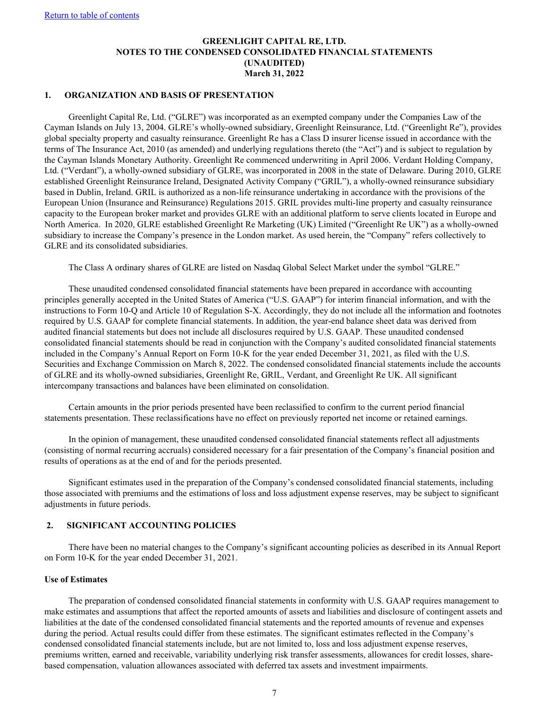## **GREENLIGHT CAPITAL RE, LTD. NOTES TO THE CONDENSED CONSOLIDATED FINANCIAL STATEMENTS (UNAUDITED) March 31, 2022**

#### <span id="page-7-0"></span>**1. ORGANIZATION AND BASIS OF PRESENTATION**

Greenlight Capital Re, Ltd. ("GLRE") was incorporated as an exempted company under the Companies Law of the Cayman Islands on July 13, 2004. GLRE's wholly-owned subsidiary, Greenlight Reinsurance, Ltd. ("Greenlight Re"), provides global specialty property and casualty reinsurance. Greenlight Re has a Class D insurer license issued in accordance with the terms of The Insurance Act, 2010 (as amended) and underlying regulations thereto (the "Act") and is subject to regulation by the Cayman Islands Monetary Authority. Greenlight Re commenced underwriting in April 2006. Verdant Holding Company, Ltd. ("Verdant"), a wholly-owned subsidiary of GLRE, was incorporated in 2008 in the state of Delaware. During 2010, GLRE established Greenlight Reinsurance Ireland, Designated Activity Company ("GRIL"), a wholly-owned reinsurance subsidiary based in Dublin, Ireland. GRIL is authorized as a non-life reinsurance undertaking in accordance with the provisions of the European Union (Insurance and Reinsurance) Regulations 2015. GRIL provides multi-line property and casualty reinsurance capacity to the European broker market and provides GLRE with an additional platform to serve clients located in Europe and North America. In 2020, GLRE established Greenlight Re Marketing (UK) Limited ("Greenlight Re UK") as a wholly-owned subsidiary to increase the Company's presence in the London market. As used herein, the "Company" refers collectively to GLRE and its consolidated subsidiaries.

The Class A ordinary shares of GLRE are listed on Nasdaq Global Select Market under the symbol "GLRE."

These unaudited condensed consolidated financial statements have been prepared in accordance with accounting principles generally accepted in the United States of America ("U.S. GAAP") for interim financial information, and with the instructions to Form 10-Q and Article 10 of Regulation S-X. Accordingly, they do not include all the information and footnotes required by U.S. GAAP for complete financial statements. In addition, the year-end balance sheet data was derived from audited financial statements but does not include all disclosures required by U.S. GAAP. These unaudited condensed consolidated financial statements should be read in conjunction with the Company's audited consolidated financial statements included in the Company's Annual Report on Form 10-K for the year ended December 31, 2021, as filed with the U.S. Securities and Exchange Commission on March 8, 2022. The condensed consolidated financial statements include the accounts of GLRE and its wholly-owned subsidiaries, Greenlight Re, GRIL, Verdant, and Greenlight Re UK. All significant intercompany transactions and balances have been eliminated on consolidation.

Certain amounts in the prior periods presented have been reclassified to confirm to the current period financial statements presentation. These reclassifications have no effect on previously reported net income or retained earnings.

In the opinion of management, these unaudited condensed consolidated financial statements reflect all adjustments (consisting of normal recurring accruals) considered necessary for a fair presentation of the Company's financial position and results of operations as at the end of and for the periods presented.

Significant estimates used in the preparation of the Company's condensed consolidated financial statements, including those associated with premiums and the estimations of loss and loss adjustment expense reserves, may be subject to significant adjustments in future periods.

#### **2. SIGNIFICANT ACCOUNTING POLICIES**

There have been no material changes to the Company's significant accounting policies as described in its Annual Report on Form 10-K for the year ended December 31, 2021.

#### **Use of Estimates**

The preparation of condensed consolidated financial statements in conformity with U.S. GAAP requires management to make estimates and assumptions that affect the reported amounts of assets and liabilities and disclosure of contingent assets and liabilities at the date of the condensed consolidated financial statements and the reported amounts of revenue and expenses during the period. Actual results could differ from these estimates. The significant estimates reflected in the Company's condensed consolidated financial statements include, but are not limited to, loss and loss adjustment expense reserves, premiums written, earned and receivable, variability underlying risk transfer assessments, allowances for credit losses, sharebased compensation, valuation allowances associated with deferred tax assets and investment impairments.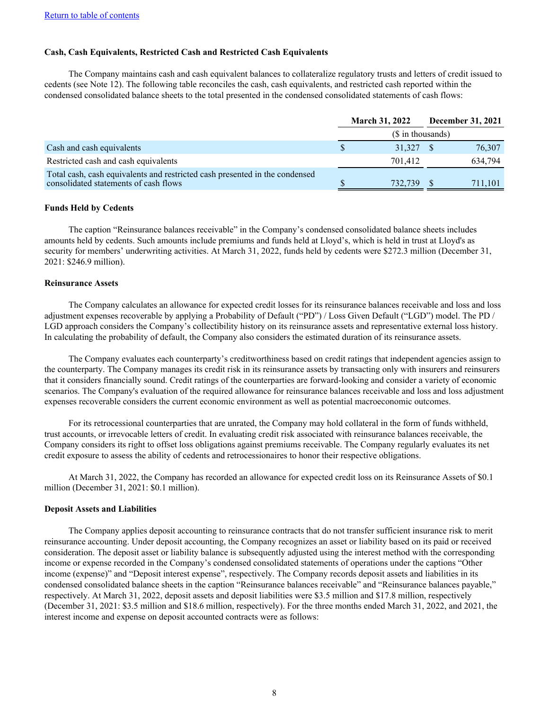#### **Cash, Cash Equivalents, Restricted Cash and Restricted Cash Equivalents**

The Company maintains cash and cash equivalent balances to collateralize regulatory trusts and letters of credit issued to cedents (see Note 12). The following table reconciles the cash, cash equivalents, and restricted cash reported within the condensed consolidated balance sheets to the total presented in the condensed consolidated statements of cash flows:

|                                                                                                                      |              | <b>March 31, 2022</b> | <b>December 31, 2021</b> |
|----------------------------------------------------------------------------------------------------------------------|--------------|-----------------------|--------------------------|
|                                                                                                                      |              | (\$ in thousands)     |                          |
| Cash and cash equivalents                                                                                            | <sup>3</sup> | 31.327                | 76,307                   |
| Restricted cash and cash equivalents                                                                                 |              | 701.412               | 634.794                  |
| Total cash, cash equivalents and restricted cash presented in the condensed<br>consolidated statements of cash flows |              | 732,739               | 711,101                  |

#### **Funds Held by Cedents**

The caption "Reinsurance balances receivable" in the Company's condensed consolidated balance sheets includes amounts held by cedents. Such amounts include premiums and funds held at Lloyd's, which is held in trust at Lloyd's as security for members' underwriting activities. At March 31, 2022, funds held by cedents were \$272.3 million (December 31, 2021: \$246.9 million).

#### **Reinsurance Assets**

The Company calculates an allowance for expected credit losses for its reinsurance balances receivable and loss and loss adjustment expenses recoverable by applying a Probability of Default ("PD") / Loss Given Default ("LGD") model. The PD / LGD approach considers the Company's collectibility history on its reinsurance assets and representative external loss history. In calculating the probability of default, the Company also considers the estimated duration of its reinsurance assets.

The Company evaluates each counterparty's creditworthiness based on credit ratings that independent agencies assign to the counterparty. The Company manages its credit risk in its reinsurance assets by transacting only with insurers and reinsurers that it considers financially sound. Credit ratings of the counterparties are forward-looking and consider a variety of economic scenarios. The Company's evaluation of the required allowance for reinsurance balances receivable and loss and loss adjustment expenses recoverable considers the current economic environment as well as potential macroeconomic outcomes.

For its retrocessional counterparties that are unrated, the Company may hold collateral in the form of funds withheld, trust accounts, or irrevocable letters of credit. In evaluating credit risk associated with reinsurance balances receivable, the Company considers its right to offset loss obligations against premiums receivable. The Company regularly evaluates its net credit exposure to assess the ability of cedents and retrocessionaires to honor their respective obligations.

At March 31, 2022, the Company has recorded an allowance for expected credit loss on its Reinsurance Assets of \$0.1 million (December 31, 2021: \$0.1 million).

#### **Deposit Assets and Liabilities**

The Company applies deposit accounting to reinsurance contracts that do not transfer sufficient insurance risk to merit reinsurance accounting. Under deposit accounting, the Company recognizes an asset or liability based on its paid or received consideration. The deposit asset or liability balance is subsequently adjusted using the interest method with the corresponding income or expense recorded in the Company's condensed consolidated statements of operations under the captions "Other income (expense)" and "Deposit interest expense", respectively. The Company records deposit assets and liabilities in its condensed consolidated balance sheets in the caption "Reinsurance balances receivable" and "Reinsurance balances payable," respectively. At March 31, 2022, deposit assets and deposit liabilities were \$3.5 million and \$17.8 million, respectively (December 31, 2021: \$3.5 million and \$18.6 million, respectively). For the three months ended March 31, 2022, and 2021, the interest income and expense on deposit accounted contracts were as follows: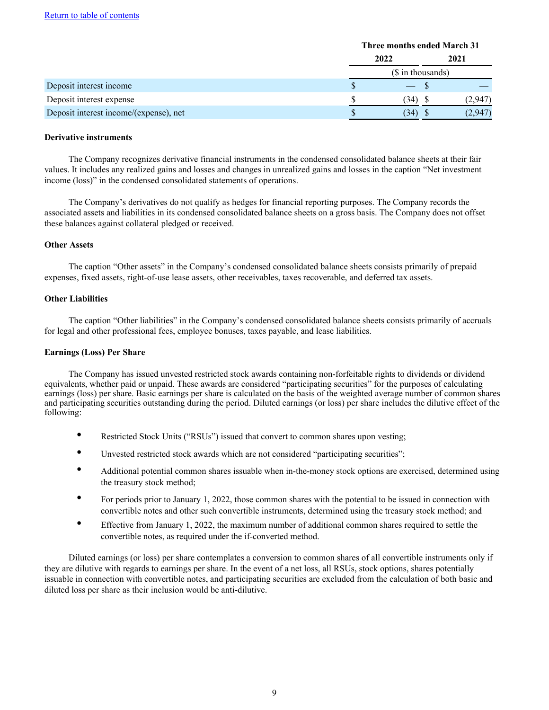## **Three months ended March 31 2022 2021** (\$ in thousands) Deposit interest income \$ — \$ — Deposit interest expense (2,947)  $\frac{1}{3}$  (34)  $\frac{1}{3}$  (2,947) Deposit interest income/(expense), net  $\qquad \qquad$  (34) \$ (2,947)

#### **Derivative instruments**

The Company recognizes derivative financial instruments in the condensed consolidated balance sheets at their fair values. It includes any realized gains and losses and changes in unrealized gains and losses in the caption "Net investment income (loss)" in the condensed consolidated statements of operations.

The Company's derivatives do not qualify as hedges for financial reporting purposes. The Company records the associated assets and liabilities in its condensed consolidated balance sheets on a gross basis. The Company does not offset these balances against collateral pledged or received.

#### **Other Assets**

The caption "Other assets" in the Company's condensed consolidated balance sheets consists primarily of prepaid expenses, fixed assets, right-of-use lease assets, other receivables, taxes recoverable, and deferred tax assets.

#### **Other Liabilities**

The caption "Other liabilities" in the Company's condensed consolidated balance sheets consists primarily of accruals for legal and other professional fees, employee bonuses, taxes payable, and lease liabilities.

#### **Earnings (Loss) Per Share**

The Company has issued unvested restricted stock awards containing non-forfeitable rights to dividends or dividend equivalents, whether paid or unpaid. These awards are considered "participating securities" for the purposes of calculating earnings (loss) per share. Basic earnings per share is calculated on the basis of the weighted average number of common shares and participating securities outstanding during the period. Diluted earnings (or loss) per share includes the dilutive effect of the following:

- Restricted Stock Units ("RSUs") issued that convert to common shares upon vesting;
- Unvested restricted stock awards which are not considered "participating securities";
- Additional potential common shares issuable when in-the-money stock options are exercised, determined using the treasury stock method;
- For periods prior to January 1, 2022, those common shares with the potential to be issued in connection with convertible notes and other such convertible instruments, determined using the treasury stock method; and
- Effective from January 1, 2022, the maximum number of additional common shares required to settle the convertible notes, as required under the if-converted method.

Diluted earnings (or loss) per share contemplates a conversion to common shares of all convertible instruments only if they are dilutive with regards to earnings per share. In the event of a net loss, all RSUs, stock options, shares potentially issuable in connection with convertible notes, and participating securities are excluded from the calculation of both basic and diluted loss per share as their inclusion would be anti-dilutive.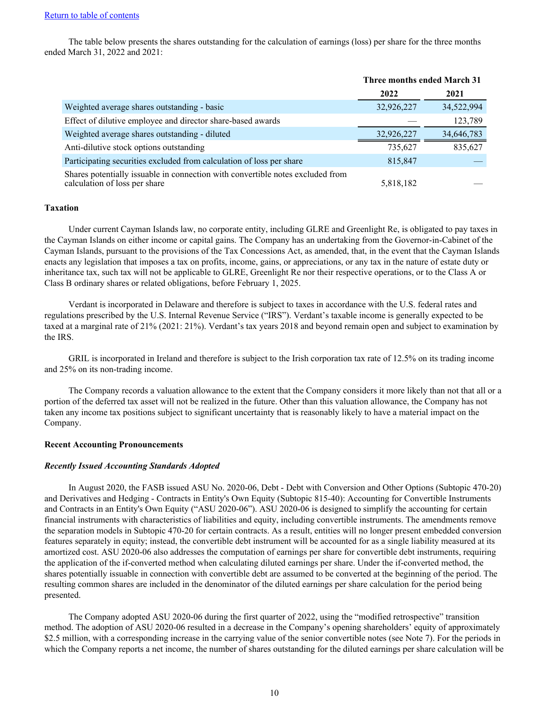The table below presents the shares outstanding for the calculation of earnings (loss) per share for the three months ended March 31, 2022 and 2021:

|                                                                                                                 | Three months ended March 31 |            |
|-----------------------------------------------------------------------------------------------------------------|-----------------------------|------------|
|                                                                                                                 | 2022                        | 2021       |
| Weighted average shares outstanding - basic                                                                     | 32,926,227                  | 34,522,994 |
| Effect of dilutive employee and director share-based awards                                                     |                             | 123,789    |
| Weighted average shares outstanding - diluted                                                                   | 32,926,227                  | 34,646,783 |
| Anti-dilutive stock options outstanding                                                                         | 735,627                     | 835,627    |
| Participating securities excluded from calculation of loss per share                                            | 815,847                     |            |
| Shares potentially issuable in connection with convertible notes excluded from<br>calculation of loss per share | 5,818,182                   |            |

### **Taxation**

Under current Cayman Islands law, no corporate entity, including GLRE and Greenlight Re, is obligated to pay taxes in the Cayman Islands on either income or capital gains. The Company has an undertaking from the Governor-in-Cabinet of the Cayman Islands, pursuant to the provisions of the Tax Concessions Act, as amended, that, in the event that the Cayman Islands enacts any legislation that imposes a tax on profits, income, gains, or appreciations, or any tax in the nature of estate duty or inheritance tax, such tax will not be applicable to GLRE, Greenlight Re nor their respective operations, or to the Class A or Class B ordinary shares or related obligations, before February 1, 2025.

Verdant is incorporated in Delaware and therefore is subject to taxes in accordance with the U.S. federal rates and regulations prescribed by the U.S. Internal Revenue Service ("IRS"). Verdant's taxable income is generally expected to be taxed at a marginal rate of 21% (2021: 21%). Verdant's tax years 2018 and beyond remain open and subject to examination by the IRS.

GRIL is incorporated in Ireland and therefore is subject to the Irish corporation tax rate of 12.5% on its trading income and 25% on its non-trading income.

The Company records a valuation allowance to the extent that the Company considers it more likely than not that all or a portion of the deferred tax asset will not be realized in the future. Other than this valuation allowance, the Company has not taken any income tax positions subject to significant uncertainty that is reasonably likely to have a material impact on the Company.

#### **Recent Accounting Pronouncements**

#### *Recently Issued Accounting Standards Adopted*

In August 2020, the FASB issued ASU No. 2020-06, Debt - Debt with Conversion and Other Options (Subtopic 470-20) and Derivatives and Hedging - Contracts in Entity's Own Equity (Subtopic 815-40): Accounting for Convertible Instruments and Contracts in an Entity's Own Equity ("ASU 2020-06"). ASU 2020-06 is designed to simplify the accounting for certain financial instruments with characteristics of liabilities and equity, including convertible instruments. The amendments remove the separation models in Subtopic 470-20 for certain contracts. As a result, entities will no longer present embedded conversion features separately in equity; instead, the convertible debt instrument will be accounted for as a single liability measured at its amortized cost. ASU 2020-06 also addresses the computation of earnings per share for convertible debt instruments, requiring the application of the if-converted method when calculating diluted earnings per share. Under the if-converted method, the shares potentially issuable in connection with convertible debt are assumed to be converted at the beginning of the period. The resulting common shares are included in the denominator of the diluted earnings per share calculation for the period being presented.

The Company adopted ASU 2020-06 during the first quarter of 2022, using the "modified retrospective" transition method. The adoption of ASU 2020-06 resulted in a decrease in the Company's opening shareholders' equity of approximately \$2.5 million, with a corresponding increase in the carrying value of the senior convertible notes (see Note 7). For the periods in which the Company reports a net income, the number of shares outstanding for the diluted earnings per share calculation will be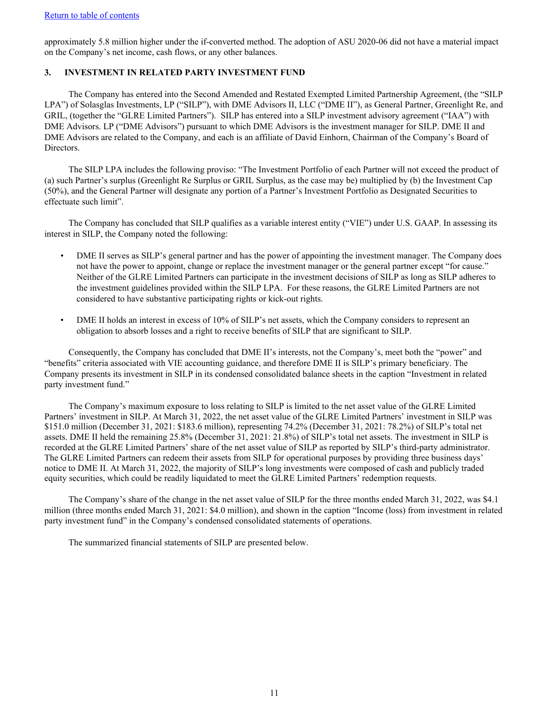approximately 5.8 million higher under the if-converted method. The adoption of ASU 2020-06 did not have a material impact on the Company's net income, cash flows, or any other balances.

#### **3. INVESTMENT IN RELATED PARTY INVESTMENT FUND**

The Company has entered into the Second Amended and Restated Exempted Limited Partnership Agreement, (the "SILP LPA") of Solasglas Investments, LP ("SILP"), with DME Advisors II, LLC ("DME II"), as General Partner, Greenlight Re, and GRIL, (together the "GLRE Limited Partners"). SILP has entered into a SILP investment advisory agreement ("IAA") with DME Advisors. LP ("DME Advisors") pursuant to which DME Advisors is the investment manager for SILP. DME II and DME Advisors are related to the Company, and each is an affiliate of David Einhorn, Chairman of the Company's Board of Directors.

The SILP LPA includes the following proviso: "The Investment Portfolio of each Partner will not exceed the product of (a) such Partner's surplus (Greenlight Re Surplus or GRIL Surplus, as the case may be) multiplied by (b) the Investment Cap (50%), and the General Partner will designate any portion of a Partner's Investment Portfolio as Designated Securities to effectuate such limit".

The Company has concluded that SILP qualifies as a variable interest entity ("VIE") under U.S. GAAP. In assessing its interest in SILP, the Company noted the following:

- DME II serves as SILP's general partner and has the power of appointing the investment manager. The Company does not have the power to appoint, change or replace the investment manager or the general partner except "for cause." Neither of the GLRE Limited Partners can participate in the investment decisions of SILP as long as SILP adheres to the investment guidelines provided within the SILP LPA. For these reasons, the GLRE Limited Partners are not considered to have substantive participating rights or kick-out rights.
- DME II holds an interest in excess of 10% of SILP's net assets, which the Company considers to represent an obligation to absorb losses and a right to receive benefits of SILP that are significant to SILP.

Consequently, the Company has concluded that DME II's interests, not the Company's, meet both the "power" and "benefits" criteria associated with VIE accounting guidance, and therefore DME II is SILP's primary beneficiary. The Company presents its investment in SILP in its condensed consolidated balance sheets in the caption "Investment in related party investment fund."

The Company's maximum exposure to loss relating to SILP is limited to the net asset value of the GLRE Limited Partners' investment in SILP. At March 31, 2022, the net asset value of the GLRE Limited Partners' investment in SILP was \$151.0 million (December 31, 2021: \$183.6 million), representing 74.2% (December 31, 2021: 78.2%) of SILP's total net assets. DME II held the remaining 25.8% (December 31, 2021: 21.8%) of SILP's total net assets. The investment in SILP is recorded at the GLRE Limited Partners' share of the net asset value of SILP as reported by SILP's third-party administrator. The GLRE Limited Partners can redeem their assets from SILP for operational purposes by providing three business days' notice to DME II. At March 31, 2022, the majority of SILP's long investments were composed of cash and publicly traded equity securities, which could be readily liquidated to meet the GLRE Limited Partners' redemption requests.

The Company's share of the change in the net asset value of SILP for the three months ended March 31, 2022, was \$4.1 million (three months ended March 31, 2021: \$4.0 million), and shown in the caption "Income (loss) from investment in related party investment fund" in the Company's condensed consolidated statements of operations.

The summarized financial statements of SILP are presented below.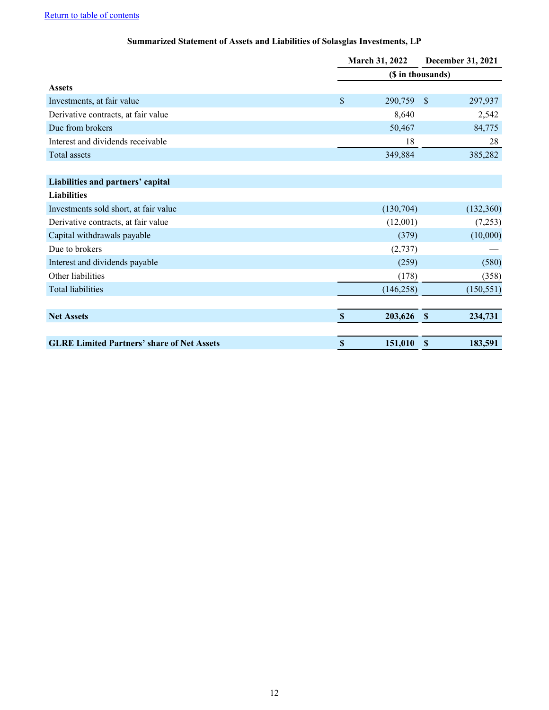|  |  | Summarized Statement of Assets and Liabilities of Solasglas Investments, LP |
|--|--|-----------------------------------------------------------------------------|
|  |  |                                                                             |

|                                                   |                           | <b>March 31, 2022</b> |               | December 31, 2021 |  |
|---------------------------------------------------|---------------------------|-----------------------|---------------|-------------------|--|
|                                                   | (\$ in thousands)         |                       |               |                   |  |
| <b>Assets</b>                                     |                           |                       |               |                   |  |
| Investments, at fair value                        | \$                        | 290,759               | <sup>\$</sup> | 297,937           |  |
| Derivative contracts, at fair value               |                           | 8,640                 |               | 2,542             |  |
| Due from brokers                                  |                           | 50,467                |               | 84,775            |  |
| Interest and dividends receivable                 |                           | 18                    |               | 28                |  |
| Total assets                                      |                           | 349,884               |               | 385,282           |  |
|                                                   |                           |                       |               |                   |  |
| Liabilities and partners' capital                 |                           |                       |               |                   |  |
| <b>Liabilities</b>                                |                           |                       |               |                   |  |
| Investments sold short, at fair value             |                           | (130,704)             |               | (132,360)         |  |
| Derivative contracts, at fair value               |                           | (12,001)              |               | (7,253)           |  |
| Capital withdrawals payable                       |                           | (379)                 |               | (10,000)          |  |
| Due to brokers                                    |                           | (2,737)               |               |                   |  |
| Interest and dividends payable                    |                           | (259)                 |               | (580)             |  |
| Other liabilities                                 |                           | (178)                 |               | (358)             |  |
| <b>Total liabilities</b>                          |                           | (146, 258)            |               | (150, 551)        |  |
| <b>Net Assets</b>                                 | $\boldsymbol{\mathsf{S}}$ | 203,626               | <b>S</b>      | 234,731           |  |
| <b>GLRE Limited Partners' share of Net Assets</b> | \$                        | 151,010               | $\mathbf{\$}$ | 183,591           |  |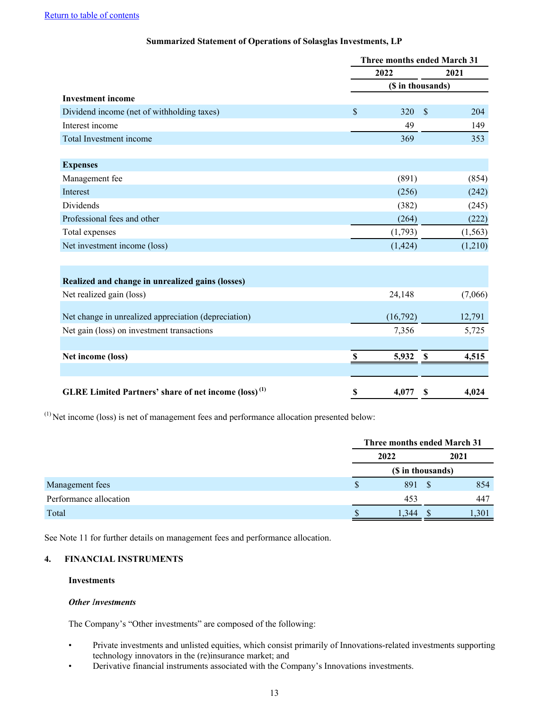## **Summarized Statement of Operations of Solasglas Investments, LP**

|                                                                         | Three months ended March 31 |          |              |          |
|-------------------------------------------------------------------------|-----------------------------|----------|--------------|----------|
|                                                                         |                             | 2022     |              | 2021     |
|                                                                         | (\$ in thousands)           |          |              |          |
| <b>Investment income</b>                                                |                             |          |              |          |
| Dividend income (net of withholding taxes)                              | $\mathbb{S}$                | 320      | $\mathbb{S}$ | 204      |
| Interest income                                                         |                             | 49       |              | 149      |
| Total Investment income                                                 |                             | 369      |              | 353      |
|                                                                         |                             |          |              |          |
| <b>Expenses</b>                                                         |                             |          |              |          |
| Management fee                                                          |                             | (891)    |              | (854)    |
| Interest                                                                |                             | (256)    |              | (242)    |
| Dividends                                                               |                             | (382)    |              | (245)    |
| Professional fees and other                                             |                             | (264)    |              | (222)    |
| Total expenses                                                          |                             | (1,793)  |              | (1, 563) |
| Net investment income (loss)                                            |                             | (1, 424) |              | (1,210)  |
|                                                                         |                             |          |              |          |
|                                                                         |                             |          |              |          |
| Realized and change in unrealized gains (losses)                        |                             |          |              |          |
| Net realized gain (loss)                                                |                             | 24,148   |              | (7,066)  |
| Net change in unrealized appreciation (depreciation)                    |                             | (16,792) |              | 12,791   |
| Net gain (loss) on investment transactions                              |                             | 7,356    |              | 5,725    |
|                                                                         |                             |          |              |          |
| Net income (loss)                                                       | S                           | 5,932    | -S           | 4,515    |
|                                                                         |                             |          |              |          |
| <b>GLRE Limited Partners' share of net income (loss)</b> <sup>(1)</sup> | \$                          | 4,077    | \$           | 4,024    |

(1) Net income (loss) is net of management fees and performance allocation presented below:

|                        |   | Three months ended March 31 |      |       |  |  |  |
|------------------------|---|-----------------------------|------|-------|--|--|--|
|                        |   | 2022                        | 2021 |       |  |  |  |
|                        |   | (\$ in thousands)           |      |       |  |  |  |
| Management fees        | S | 891                         |      | 854   |  |  |  |
| Performance allocation |   | 453                         |      | 447   |  |  |  |
| Total                  |   | 1.344                       |      | 1,301 |  |  |  |

See Note 11 for further details on management fees and performance allocation.

#### **4. FINANCIAL INSTRUMENTS**

#### **Investments**

#### *Other Investments*

The Company's "Other investments" are composed of the following:

- Private investments and unlisted equities, which consist primarily of Innovations-related investments supporting technology innovators in the (re)insurance market; and
- Derivative financial instruments associated with the Company's Innovations investments.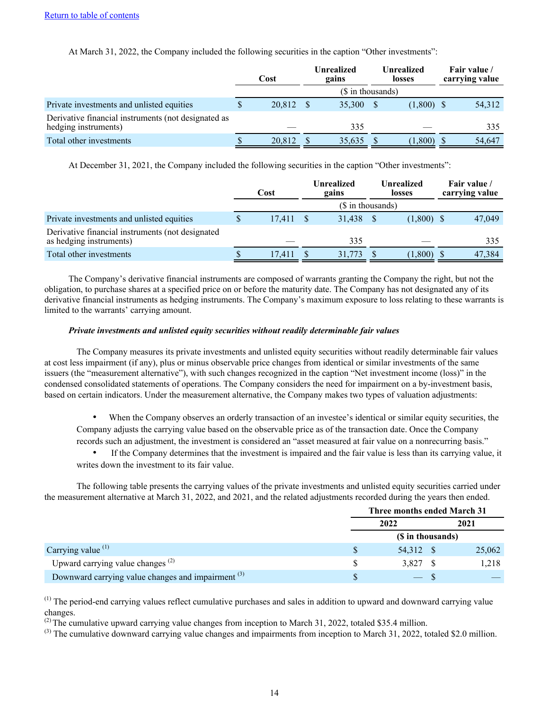At March 31, 2022, the Company included the following securities in the caption "Other investments":

|                                                                             | Cost      |  | <b>Unrealized</b><br>gains |  |              |        |  |  | <b>Unrealized</b><br>losses | Fair value /<br>carrying value |
|-----------------------------------------------------------------------------|-----------|--|----------------------------|--|--------------|--------|--|--|-----------------------------|--------------------------------|
|                                                                             |           |  | (\$ in thousands)          |  |              |        |  |  |                             |                                |
| Private investments and unlisted equities                                   | 20,812 \$ |  | 35,300                     |  | $(1,800)$ \$ | 54,312 |  |  |                             |                                |
| Derivative financial instruments (not designated as<br>hedging instruments) |           |  | 335                        |  |              | 335    |  |  |                             |                                |
| Total other investments                                                     | 20,812    |  | 35,635                     |  | 1,800)       | 54.647 |  |  |                             |                                |

At December 31, 2021, the Company included the following securities in the caption "Other investments":

|                                                                             | Cost |        |  | <b>Unrealized</b><br>gains |  | <b>Unrealized</b><br>losses |  | Fair value /<br>carrying value |
|-----------------------------------------------------------------------------|------|--------|--|----------------------------|--|-----------------------------|--|--------------------------------|
|                                                                             |      |        |  | (\$ in thousands)          |  |                             |  |                                |
| Private investments and unlisted equities                                   |      | 17.411 |  | 31,438 \$                  |  | $(1,800)$ \$                |  | 47,049                         |
| Derivative financial instruments (not designated<br>as hedging instruments) |      |        |  | 335                        |  |                             |  | 335                            |
| Total other investments                                                     |      | 17.411 |  | 31,773                     |  | (1,800)                     |  | 47.384                         |

The Company's derivative financial instruments are composed of warrants granting the Company the right, but not the obligation, to purchase shares at a specified price on or before the maturity date. The Company has not designated any of its derivative financial instruments as hedging instruments. The Company's maximum exposure to loss relating to these warrants is limited to the warrants' carrying amount.

#### *Private investments and unlisted equity securities without readily determinable fair values*

The Company measures its private investments and unlisted equity securities without readily determinable fair values at cost less impairment (if any), plus or minus observable price changes from identical or similar investments of the same issuers (the "measurement alternative"), with such changes recognized in the caption "Net investment income (loss)" in the condensed consolidated statements of operations. The Company considers the need for impairment on a by-investment basis, based on certain indicators. Under the measurement alternative, the Company makes two types of valuation adjustments:

When the Company observes an orderly transaction of an investee's identical or similar equity securities, the Company adjusts the carrying value based on the observable price as of the transaction date. Once the Company records such an adjustment, the investment is considered an "asset measured at fair value on a nonrecurring basis."

If the Company determines that the investment is impaired and the fair value is less than its carrying value, it writes down the investment to its fair value.

The following table presents the carrying values of the private investments and unlisted equity securities carried under the measurement alternative at March 31, 2022, and 2021, and the related adjustments recorded during the years then ended.

|                                                    | Three months ended March 31 |  |        |  |  |
|----------------------------------------------------|-----------------------------|--|--------|--|--|
|                                                    | 2022                        |  | 2021   |  |  |
|                                                    | (\$ in thousands)           |  |        |  |  |
| Carrying value $(1)$                               | 54,312                      |  | 25,062 |  |  |
| Upward carrying value changes $(2)$                | 3.827                       |  | 1,218  |  |  |
| Downward carrying value changes and impairment (3) | $\hspace{0.05cm}$           |  |        |  |  |

 $<sup>(1)</sup>$  The period-end carrying values reflect cumulative purchases and sales in addition to upward and downward carrying value</sup> changes.

 $^{(2)}$  The cumulative upward carrying value changes from inception to March 31, 2022, totaled \$35.4 million.

 $^{(3)}$  The cumulative downward carrying value changes and impairments from inception to March 31, 2022, totaled \$2.0 million.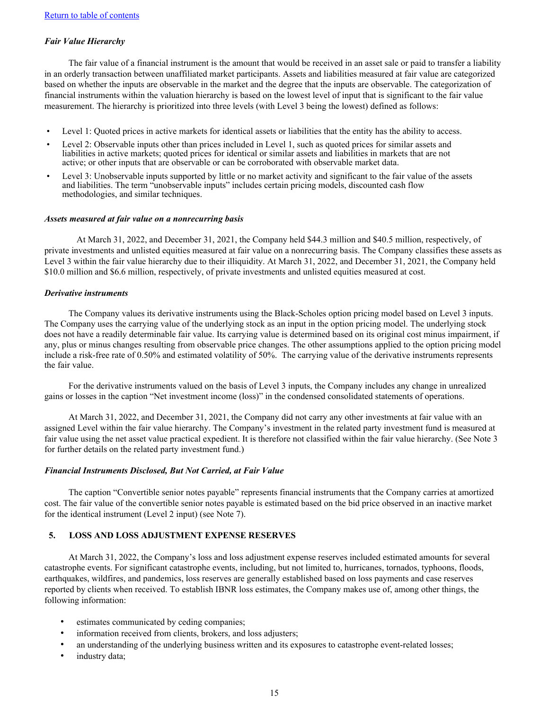#### *Fair Value Hierarchy*

The fair value of a financial instrument is the amount that would be received in an asset sale or paid to transfer a liability in an orderly transaction between unaffiliated market participants. Assets and liabilities measured at fair value are categorized based on whether the inputs are observable in the market and the degree that the inputs are observable. The categorization of financial instruments within the valuation hierarchy is based on the lowest level of input that is significant to the fair value measurement. The hierarchy is prioritized into three levels (with Level 3 being the lowest) defined as follows:

- Level 1: Quoted prices in active markets for identical assets or liabilities that the entity has the ability to access.
- Level 2: Observable inputs other than prices included in Level 1, such as quoted prices for similar assets and liabilities in active markets; quoted prices for identical or similar assets and liabilities in markets that are not active; or other inputs that are observable or can be corroborated with observable market data.
- Level 3: Unobservable inputs supported by little or no market activity and significant to the fair value of the assets and liabilities. The term "unobservable inputs" includes certain pricing models, discounted cash flow methodologies, and similar techniques.

#### *Assets measured at fair value on a nonrecurring basis*

At March 31, 2022, and December 31, 2021, the Company held \$44.3 million and \$40.5 million, respectively, of private investments and unlisted equities measured at fair value on a nonrecurring basis. The Company classifies these assets as Level 3 within the fair value hierarchy due to their illiquidity. At March 31, 2022, and December 31, 2021, the Company held \$10.0 million and \$6.6 million, respectively, of private investments and unlisted equities measured at cost.

#### *Derivative instruments*

The Company values its derivative instruments using the Black-Scholes option pricing model based on Level 3 inputs. The Company uses the carrying value of the underlying stock as an input in the option pricing model. The underlying stock does not have a readily determinable fair value. Its carrying value is determined based on its original cost minus impairment, if any, plus or minus changes resulting from observable price changes. The other assumptions applied to the option pricing model include a risk-free rate of 0.50% and estimated volatility of 50%. The carrying value of the derivative instruments represents the fair value.

For the derivative instruments valued on the basis of Level 3 inputs, the Company includes any change in unrealized gains or losses in the caption "Net investment income (loss)" in the condensed consolidated statements of operations.

At March 31, 2022, and December 31, 2021, the Company did not carry any other investments at fair value with an assigned Level within the fair value hierarchy. The Company's investment in the related party investment fund is measured at fair value using the net asset value practical expedient. It is therefore not classified within the fair value hierarchy. (See Note 3 for further details on the related party investment fund.)

#### *Financial Instruments Disclosed, But Not Carried, at Fair Value*

The caption "Convertible senior notes payable" represents financial instruments that the Company carries at amortized cost. The fair value of the convertible senior notes payable is estimated based on the bid price observed in an inactive market for the identical instrument (Level 2 input) (see Note 7).

#### **5. LOSS AND LOSS ADJUSTMENT EXPENSE RESERVES**

At March 31, 2022, the Company's loss and loss adjustment expense reserves included estimated amounts for several catastrophe events. For significant catastrophe events, including, but not limited to, hurricanes, tornados, typhoons, floods, earthquakes, wildfires, and pandemics, loss reserves are generally established based on loss payments and case reserves reported by clients when received. To establish IBNR loss estimates, the Company makes use of, among other things, the following information:

- estimates communicated by ceding companies;
- information received from clients, brokers, and loss adjusters;
- an understanding of the underlying business written and its exposures to catastrophe event-related losses;
- industry data;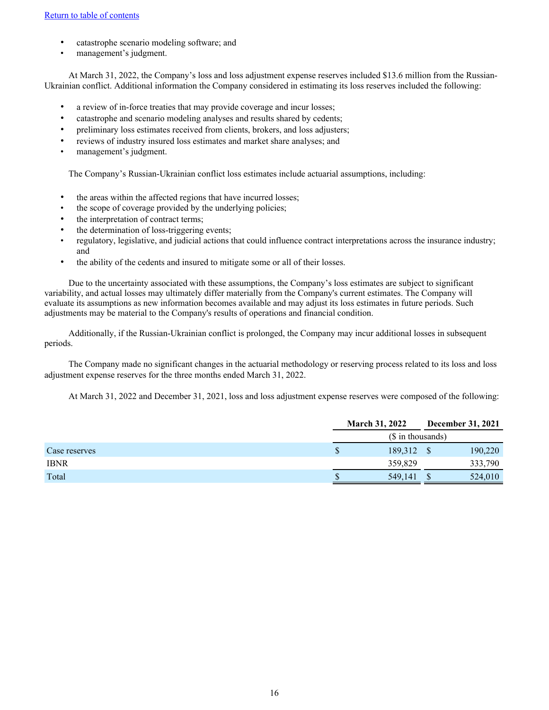- catastrophe scenario modeling software; and
- management's judgment.

At March 31, 2022, the Company's loss and loss adjustment expense reserves included \$13.6 million from the Russian-Ukrainian conflict. Additional information the Company considered in estimating its loss reserves included the following:

- a review of in-force treaties that may provide coverage and incur losses;
- catastrophe and scenario modeling analyses and results shared by cedents;
- preliminary loss estimates received from clients, brokers, and loss adjusters;
- reviews of industry insured loss estimates and market share analyses; and
- management's judgment.

The Company's Russian-Ukrainian conflict loss estimates include actuarial assumptions, including:

- the areas within the affected regions that have incurred losses;
- the scope of coverage provided by the underlying policies;
- the interpretation of contract terms;
- the determination of loss-triggering events;
- regulatory, legislative, and judicial actions that could influence contract interpretations across the insurance industry; and
- the ability of the cedents and insured to mitigate some or all of their losses.

Due to the uncertainty associated with these assumptions, the Company's loss estimates are subject to significant variability, and actual losses may ultimately differ materially from the Company's current estimates. The Company will evaluate its assumptions as new information becomes available and may adjust its loss estimates in future periods. Such adjustments may be material to the Company's results of operations and financial condition.

Additionally, if the Russian-Ukrainian conflict is prolonged, the Company may incur additional losses in subsequent periods.

The Company made no significant changes in the actuarial methodology or reserving process related to its loss and loss adjustment expense reserves for the three months ended March 31, 2022.

At March 31, 2022 and December 31, 2021, loss and loss adjustment expense reserves were composed of the following:

|               |                   | <b>March 31, 2022</b> | <b>December 31, 2021</b> |         |  |
|---------------|-------------------|-----------------------|--------------------------|---------|--|
|               | (\$ in thousands) |                       |                          |         |  |
| Case reserves |                   | 189,312 \$            |                          | 190,220 |  |
| <b>IBNR</b>   |                   | 359,829               |                          | 333,790 |  |
| Total         |                   | 549,141               |                          | 524,010 |  |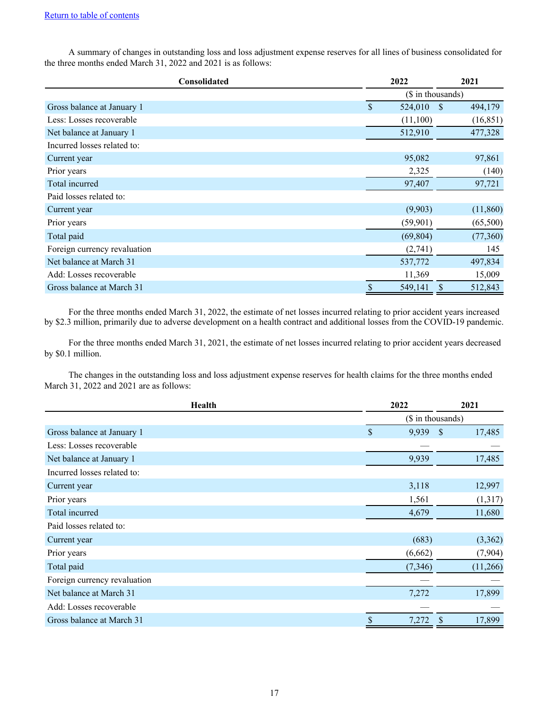A summary of changes in outstanding loss and loss adjustment expense reserves for all lines of business consolidated for the three months ended March 31, 2022 and 2021 is as follows:

| <b>Consolidated</b>          | 2022                    | 2021                    |  |  |
|------------------------------|-------------------------|-------------------------|--|--|
|                              |                         | (\$ in thousands)       |  |  |
| Gross balance at January 1   | $\mathbb{S}$<br>524,010 | 494,179<br><sup>S</sup> |  |  |
| Less: Losses recoverable     | (11,100)                | (16, 851)               |  |  |
| Net balance at January 1     | 512,910                 | 477,328                 |  |  |
| Incurred losses related to:  |                         |                         |  |  |
| Current year                 | 95,082                  | 97,861                  |  |  |
| Prior years                  | 2,325                   | (140)                   |  |  |
| Total incurred               | 97,407                  | 97,721                  |  |  |
| Paid losses related to:      |                         |                         |  |  |
| Current year                 | (9,903)                 | (11,860)                |  |  |
| Prior years                  | (59, 901)               | (65,500)                |  |  |
| Total paid                   | (69, 804)               | (77, 360)               |  |  |
| Foreign currency revaluation | (2,741)                 | 145                     |  |  |
| Net balance at March 31      | 537,772                 | 497,834                 |  |  |
| Add: Losses recoverable      | 11,369                  | 15,009                  |  |  |
| Gross balance at March 31    | 549,141                 | 512,843<br>S            |  |  |

For the three months ended March 31, 2022, the estimate of net losses incurred relating to prior accident years increased by \$2.3 million, primarily due to adverse development on a health contract and additional losses from the COVID-19 pandemic.

For the three months ended March 31, 2021, the estimate of net losses incurred relating to prior accident years decreased by \$0.1 million.

The changes in the outstanding loss and loss adjustment expense reserves for health claims for the three months ended March 31, 2022 and 2021 are as follows:

| Health                       | 2022                  | 2021                    |  |
|------------------------------|-----------------------|-------------------------|--|
|                              |                       | (\$ in thousands)       |  |
| Gross balance at January 1   | $\mathbb{S}$<br>9,939 | S<br>17,485             |  |
| Less: Losses recoverable     |                       |                         |  |
| Net balance at January 1     | 9,939                 | 17,485                  |  |
| Incurred losses related to:  |                       |                         |  |
| Current year                 | 3,118                 | 12,997                  |  |
| Prior years                  | 1,561                 | (1,317)                 |  |
| Total incurred               | 4,679                 | 11,680                  |  |
| Paid losses related to:      |                       |                         |  |
| Current year                 | (683)                 | (3,362)                 |  |
| Prior years                  | (6,662)               | (7,904)                 |  |
| Total paid                   | (7, 346)              | (11,266)                |  |
| Foreign currency revaluation |                       |                         |  |
| Net balance at March 31      | 7,272                 | 17,899                  |  |
| Add: Losses recoverable      |                       |                         |  |
| Gross balance at March 31    | $\$$<br>7,272         | <sup>\$</sup><br>17,899 |  |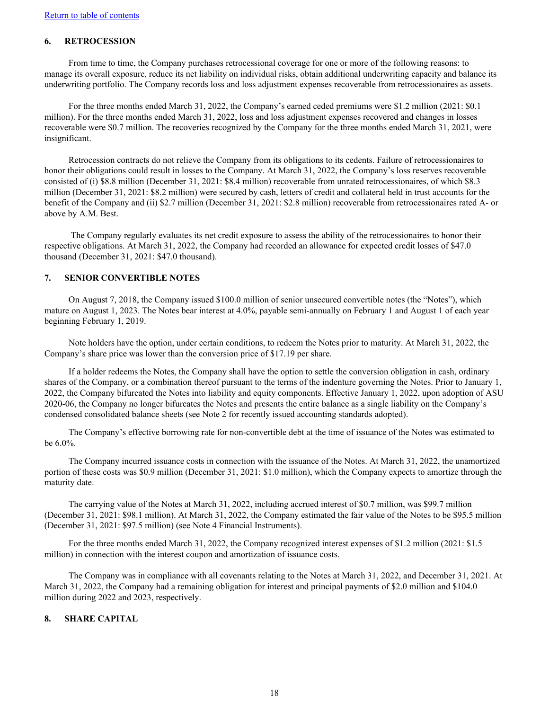#### **6. RETROCESSION**

From time to time, the Company purchases retrocessional coverage for one or more of the following reasons: to manage its overall exposure, reduce its net liability on individual risks, obtain additional underwriting capacity and balance its underwriting portfolio. The Company records loss and loss adjustment expenses recoverable from retrocessionaires as assets.

For the three months ended March 31, 2022, the Company's earned ceded premiums were \$1.2 million (2021: \$0.1 million). For the three months ended March 31, 2022, loss and loss adjustment expenses recovered and changes in losses recoverable were \$0.7 million. The recoveries recognized by the Company for the three months ended March 31, 2021, were insignificant.

Retrocession contracts do not relieve the Company from its obligations to its cedents. Failure of retrocessionaires to honor their obligations could result in losses to the Company. At March 31, 2022, the Company's loss reserves recoverable consisted of (i) \$8.8 million (December 31, 2021: \$8.4 million) recoverable from unrated retrocessionaires, of which \$8.3 million (December 31, 2021: \$8.2 million) were secured by cash, letters of credit and collateral held in trust accounts for the benefit of the Company and (ii) \$2.7 million (December 31, 2021: \$2.8 million) recoverable from retrocessionaires rated A- or above by A.M. Best.

 The Company regularly evaluates its net credit exposure to assess the ability of the retrocessionaires to honor their respective obligations. At March 31, 2022, the Company had recorded an allowance for expected credit losses of \$47.0 thousand (December 31, 2021: \$47.0 thousand).

#### **7. SENIOR CONVERTIBLE NOTES**

On August 7, 2018, the Company issued \$100.0 million of senior unsecured convertible notes (the "Notes"), which mature on August 1, 2023. The Notes bear interest at 4.0%, payable semi-annually on February 1 and August 1 of each year beginning February 1, 2019.

Note holders have the option, under certain conditions, to redeem the Notes prior to maturity. At March 31, 2022, the Company's share price was lower than the conversion price of \$17.19 per share.

If a holder redeems the Notes, the Company shall have the option to settle the conversion obligation in cash, ordinary shares of the Company, or a combination thereof pursuant to the terms of the indenture governing the Notes. Prior to January 1, 2022, the Company bifurcated the Notes into liability and equity components. Effective January 1, 2022, upon adoption of ASU 2020-06, the Company no longer bifurcates the Notes and presents the entire balance as a single liability on the Company's condensed consolidated balance sheets (see Note 2 for recently issued accounting standards adopted).

The Company's effective borrowing rate for non-convertible debt at the time of issuance of the Notes was estimated to be 6.0%.

The Company incurred issuance costs in connection with the issuance of the Notes. At March 31, 2022, the unamortized portion of these costs was \$0.9 million (December 31, 2021: \$1.0 million), which the Company expects to amortize through the maturity date.

The carrying value of the Notes at March 31, 2022, including accrued interest of \$0.7 million, was \$99.7 million (December 31, 2021: \$98.1 million). At March 31, 2022, the Company estimated the fair value of the Notes to be \$95.5 million (December 31, 2021: \$97.5 million) (see Note 4 Financial Instruments).

For the three months ended March 31, 2022, the Company recognized interest expenses of \$1.2 million (2021: \$1.5 million) in connection with the interest coupon and amortization of issuance costs.

The Company was in compliance with all covenants relating to the Notes at March 31, 2022, and December 31, 2021. At March 31, 2022, the Company had a remaining obligation for interest and principal payments of \$2.0 million and \$104.0 million during 2022 and 2023, respectively.

#### **8. SHARE CAPITAL**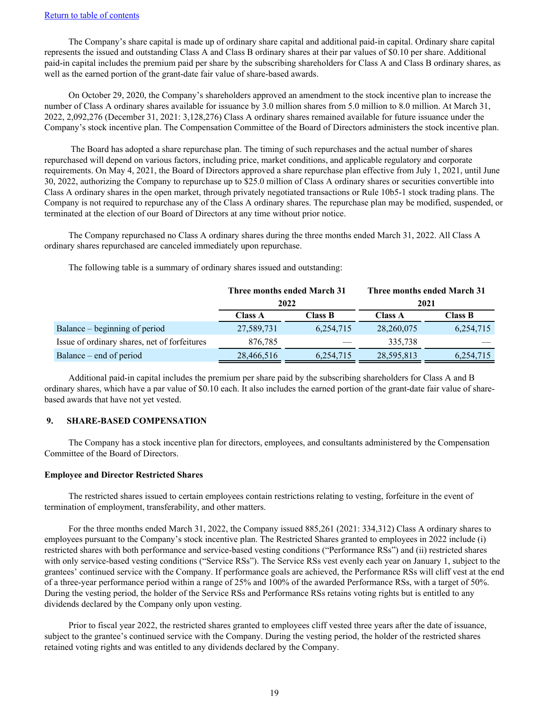The Company's share capital is made up of ordinary share capital and additional paid-in capital. Ordinary share capital represents the issued and outstanding Class A and Class B ordinary shares at their par values of \$0.10 per share. Additional paid-in capital includes the premium paid per share by the subscribing shareholders for Class A and Class B ordinary shares, as well as the earned portion of the grant-date fair value of share-based awards.

On October 29, 2020, the Company's shareholders approved an amendment to the stock incentive plan to increase the number of Class A ordinary shares available for issuance by 3.0 million shares from 5.0 million to 8.0 million. At March 31, 2022, 2,092,276 (December 31, 2021: 3,128,276) Class A ordinary shares remained available for future issuance under the Company's stock incentive plan. The Compensation Committee of the Board of Directors administers the stock incentive plan.

 The Board has adopted a share repurchase plan. The timing of such repurchases and the actual number of shares repurchased will depend on various factors, including price, market conditions, and applicable regulatory and corporate requirements. On May 4, 2021, the Board of Directors approved a share repurchase plan effective from July 1, 2021, until June 30, 2022, authorizing the Company to repurchase up to \$25.0 million of Class A ordinary shares or securities convertible into Class A ordinary shares in the open market, through privately negotiated transactions or Rule 10b5-1 stock trading plans. The Company is not required to repurchase any of the Class A ordinary shares. The repurchase plan may be modified, suspended, or terminated at the election of our Board of Directors at any time without prior notice.

The Company repurchased no Class A ordinary shares during the three months ended March 31, 2022. All Class A ordinary shares repurchased are canceled immediately upon repurchase.

The following table is a summary of ordinary shares issued and outstanding:

|                                              |                | Three months ended March 31 | Three months ended March 31 |                |  |  |
|----------------------------------------------|----------------|-----------------------------|-----------------------------|----------------|--|--|
|                                              |                | 2022                        | 2021                        |                |  |  |
|                                              | <b>Class A</b> | <b>Class B</b>              | <b>Class A</b>              | <b>Class B</b> |  |  |
| Balance – beginning of period                | 27,589,731     | 6,254,715                   | 28,260,075                  | 6,254,715      |  |  |
| Issue of ordinary shares, net of forfeitures | 876,785        |                             | 335,738                     |                |  |  |
| Balance – end of period                      | 28,466,516     | 6,254,715                   | 28,595,813                  | 6,254,715      |  |  |

Additional paid-in capital includes the premium per share paid by the subscribing shareholders for Class A and B ordinary shares, which have a par value of \$0.10 each. It also includes the earned portion of the grant-date fair value of sharebased awards that have not yet vested.

#### **9. SHARE-BASED COMPENSATION**

The Company has a stock incentive plan for directors, employees, and consultants administered by the Compensation Committee of the Board of Directors.

#### **Employee and Director Restricted Shares**

The restricted shares issued to certain employees contain restrictions relating to vesting, forfeiture in the event of termination of employment, transferability, and other matters.

For the three months ended March 31, 2022, the Company issued 885,261 (2021: 334,312) Class A ordinary shares to employees pursuant to the Company's stock incentive plan. The Restricted Shares granted to employees in 2022 include (i) restricted shares with both performance and service-based vesting conditions ("Performance RSs") and (ii) restricted shares with only service-based vesting conditions ("Service RSs"). The Service RSs vest evenly each year on January 1, subject to the grantees' continued service with the Company. If performance goals are achieved, the Performance RSs will cliff vest at the end of a three-year performance period within a range of 25% and 100% of the awarded Performance RSs, with a target of 50%. During the vesting period, the holder of the Service RSs and Performance RSs retains voting rights but is entitled to any dividends declared by the Company only upon vesting.

Prior to fiscal year 2022, the restricted shares granted to employees cliff vested three years after the date of issuance, subject to the grantee's continued service with the Company. During the vesting period, the holder of the restricted shares retained voting rights and was entitled to any dividends declared by the Company.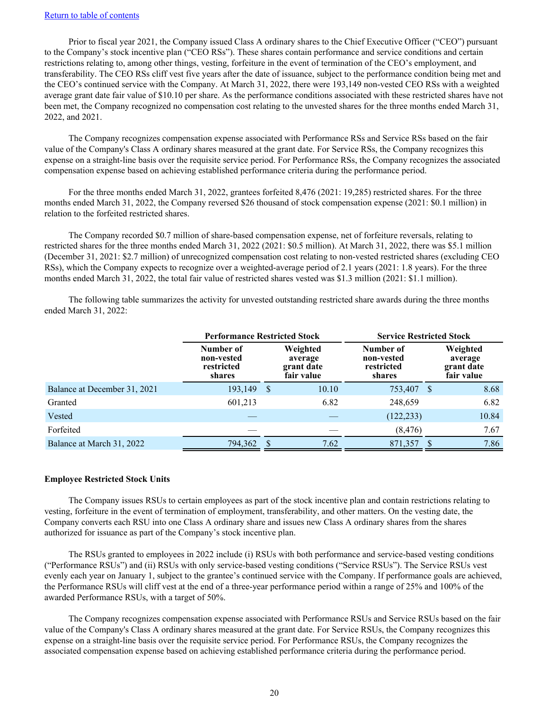#### [Return to table of contents](#page-2-0)

Prior to fiscal year 2021, the Company issued Class A ordinary shares to the Chief Executive Officer ("CEO") pursuant to the Company's stock incentive plan ("CEO RSs"). These shares contain performance and service conditions and certain restrictions relating to, among other things, vesting, forfeiture in the event of termination of the CEO's employment, and transferability. The CEO RSs cliff vest five years after the date of issuance, subject to the performance condition being met and the CEO's continued service with the Company. At March 31, 2022, there were 193,149 non-vested CEO RSs with a weighted average grant date fair value of \$10.10 per share. As the performance conditions associated with these restricted shares have not been met, the Company recognized no compensation cost relating to the unvested shares for the three months ended March 31, 2022, and 2021.

The Company recognizes compensation expense associated with Performance RSs and Service RSs based on the fair value of the Company's Class A ordinary shares measured at the grant date. For Service RSs, the Company recognizes this expense on a straight-line basis over the requisite service period. For Performance RSs, the Company recognizes the associated compensation expense based on achieving established performance criteria during the performance period.

For the three months ended March 31, 2022, grantees forfeited 8,476 (2021: 19,285) restricted shares. For the three months ended March 31, 2022, the Company reversed \$26 thousand of stock compensation expense (2021: \$0.1 million) in relation to the forfeited restricted shares.

The Company recorded \$0.7 million of share-based compensation expense, net of forfeiture reversals, relating to restricted shares for the three months ended March 31, 2022 (2021: \$0.5 million). At March 31, 2022, there was \$5.1 million (December 31, 2021: \$2.7 million) of unrecognized compensation cost relating to non-vested restricted shares (excluding CEO RSs), which the Company expects to recognize over a weighted-average period of 2.1 years (2021: 1.8 years). For the three months ended March 31, 2022, the total fair value of restricted shares vested was \$1.3 million (2021: \$1.1 million).

The following table summarizes the activity for unvested outstanding restricted share awards during the three months ended March 31, 2022:

|                              | <b>Performance Restricted Stock</b>             |              |                                                 | <b>Service Restricted Stock</b>                 |      |                                                 |
|------------------------------|-------------------------------------------------|--------------|-------------------------------------------------|-------------------------------------------------|------|-------------------------------------------------|
|                              | Number of<br>non-vested<br>restricted<br>shares |              | Weighted<br>average<br>grant date<br>fair value | Number of<br>non-vested<br>restricted<br>shares |      | Weighted<br>average<br>grant date<br>fair value |
| Balance at December 31, 2021 | 193,149                                         | <sup>S</sup> | 10.10                                           | 753,407                                         | - \$ | 8.68                                            |
| Granted                      | 601,213                                         |              | 6.82                                            | 248,659                                         |      | 6.82                                            |
| Vested                       |                                                 |              |                                                 | (122, 233)                                      |      | 10.84                                           |
| Forfeited                    |                                                 |              |                                                 | (8, 476)                                        |      | 7.67                                            |
| Balance at March 31, 2022    | 794,362                                         |              | 7.62                                            | 871,357                                         |      | 7.86                                            |

#### **Employee Restricted Stock Units**

The Company issues RSUs to certain employees as part of the stock incentive plan and contain restrictions relating to vesting, forfeiture in the event of termination of employment, transferability, and other matters. On the vesting date, the Company converts each RSU into one Class A ordinary share and issues new Class A ordinary shares from the shares authorized for issuance as part of the Company's stock incentive plan.

The RSUs granted to employees in 2022 include (i) RSUs with both performance and service-based vesting conditions ("Performance RSUs") and (ii) RSUs with only service-based vesting conditions ("Service RSUs"). The Service RSUs vest evenly each year on January 1, subject to the grantee's continued service with the Company. If performance goals are achieved, the Performance RSUs will cliff vest at the end of a three-year performance period within a range of 25% and 100% of the awarded Performance RSUs, with a target of 50%.

The Company recognizes compensation expense associated with Performance RSUs and Service RSUs based on the fair value of the Company's Class A ordinary shares measured at the grant date. For Service RSUs, the Company recognizes this expense on a straight-line basis over the requisite service period. For Performance RSUs, the Company recognizes the associated compensation expense based on achieving established performance criteria during the performance period.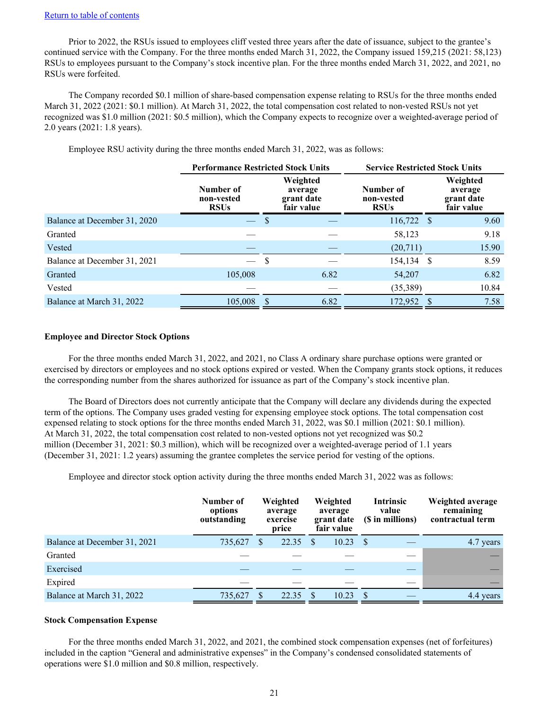Prior to 2022, the RSUs issued to employees cliff vested three years after the date of issuance, subject to the grantee's continued service with the Company. For the three months ended March 31, 2022, the Company issued 159,215 (2021: 58,123) RSUs to employees pursuant to the Company's stock incentive plan. For the three months ended March 31, 2022, and 2021, no RSUs were forfeited.

The Company recorded \$0.1 million of share-based compensation expense relating to RSUs for the three months ended March 31, 2022 (2021: \$0.1 million). At March 31, 2022, the total compensation cost related to non-vested RSUs not yet recognized was \$1.0 million (2021: \$0.5 million), which the Company expects to recognize over a weighted-average period of 2.0 years (2021: 1.8 years).

Employee RSU activity during the three months ended March 31, 2022, was as follows:

|                                                                                           | <b>Performance Restricted Stock Units</b> |                                        |      | <b>Service Restricted Stock Units</b>           |      |       |  |  |
|-------------------------------------------------------------------------------------------|-------------------------------------------|----------------------------------------|------|-------------------------------------------------|------|-------|--|--|
| Weighted<br>Number of<br>average<br>grant date<br>non-vested<br>fair value<br><b>RSUs</b> |                                           | Number of<br>non-vested<br><b>RSUs</b> |      | Weighted<br>average<br>grant date<br>fair value |      |       |  |  |
| Balance at December 31, 2020                                                              |                                           | <sup>S</sup>                           |      | 116,722                                         | - \$ | 9.60  |  |  |
| Granted                                                                                   |                                           |                                        |      | 58,123                                          |      | 9.18  |  |  |
| Vested                                                                                    |                                           |                                        |      | (20,711)                                        |      | 15.90 |  |  |
| Balance at December 31, 2021                                                              |                                           | S                                      |      | 154,134                                         | - \$ | 8.59  |  |  |
| Granted                                                                                   | 105,008                                   |                                        | 6.82 | 54,207                                          |      | 6.82  |  |  |
| Vested                                                                                    |                                           |                                        |      | (35,389)                                        |      | 10.84 |  |  |
| Balance at March 31, 2022                                                                 | 105,008                                   |                                        | 6.82 | 172,952                                         |      | 7.58  |  |  |

#### **Employee and Director Stock Options**

For the three months ended March 31, 2022, and 2021, no Class A ordinary share purchase options were granted or exercised by directors or employees and no stock options expired or vested. When the Company grants stock options, it reduces the corresponding number from the shares authorized for issuance as part of the Company's stock incentive plan.

The Board of Directors does not currently anticipate that the Company will declare any dividends during the expected term of the options. The Company uses graded vesting for expensing employee stock options. The total compensation cost expensed relating to stock options for the three months ended March 31, 2022, was \$0.1 million (2021: \$0.1 million). At March 31, 2022, the total compensation cost related to non-vested options not yet recognized was \$0.2 million (December 31, 2021: \$0.3 million), which will be recognized over a weighted-average period of 1.1 years (December 31, 2021: 1.2 years) assuming the grantee completes the service period for vesting of the options.

Employee and director stock option activity during the three months ended March 31, 2022 was as follows:

|                              | Number of<br>options<br>outstanding | Weighted<br>average<br>exercise<br>price | Weighted<br>average<br>grant date<br>fair value |            |   |  | <b>Intrinsic</b><br>value<br>(\$ in millions) |  | Weighted average<br>remaining<br>contractual term |
|------------------------------|-------------------------------------|------------------------------------------|-------------------------------------------------|------------|---|--|-----------------------------------------------|--|---------------------------------------------------|
| Balance at December 31, 2021 | 735,627                             | \$<br>22.35                              | S                                               | $10.23$ \$ |   |  | 4.7 years                                     |  |                                                   |
| Granted                      |                                     |                                          |                                                 |            |   |  |                                               |  |                                                   |
| Exercised                    |                                     |                                          |                                                 |            |   |  |                                               |  |                                                   |
| Expired                      |                                     |                                          |                                                 |            |   |  |                                               |  |                                                   |
| Balance at March 31, 2022    | 735,627                             | 22.35                                    |                                                 | 10.23      | S |  | 4.4 years                                     |  |                                                   |

#### **Stock Compensation Expense**

For the three months ended March 31, 2022, and 2021, the combined stock compensation expenses (net of forfeitures) included in the caption "General and administrative expenses" in the Company's condensed consolidated statements of operations were \$1.0 million and \$0.8 million, respectively.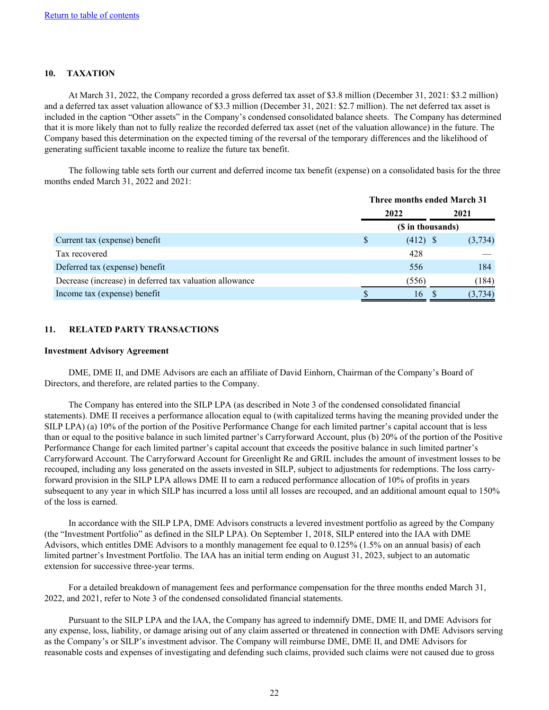#### **10. TAXATION**

At March 31, 2022, the Company recorded a gross deferred tax asset of \$3.8 million (December 31, 2021: \$3.2 million) and a deferred tax asset valuation allowance of \$3.3 million (December 31, 2021: \$2.7 million). The net deferred tax asset is included in the caption "Other assets" in the Company's condensed consolidated balance sheets. The Company has determined that it is more likely than not to fully realize the recorded deferred tax asset (net of the valuation allowance) in the future. The Company based this determination on the expected timing of the reversal of the temporary differences and the likelihood of generating sufficient taxable income to realize the future tax benefit.

The following table sets forth our current and deferred income tax benefit (expense) on a consolidated basis for the three months ended March 31, 2022 and 2021:

| Three months ended March 31 |       |  |            |  |
|-----------------------------|-------|--|------------|--|
| 2022                        |       |  | 2021       |  |
| (\$ in thousands)           |       |  |            |  |
| S                           |       |  | (3,734)    |  |
|                             | 428   |  |            |  |
|                             | 556   |  | 184        |  |
|                             | (556) |  | (184)      |  |
|                             | 16    |  | (3,734)    |  |
|                             |       |  | $(412)$ \$ |  |

#### **11. RELATED PARTY TRANSACTIONS**

#### **Investment Advisory Agreement**

DME, DME II, and DME Advisors are each an affiliate of David Einhorn, Chairman of the Company's Board of Directors, and therefore, are related parties to the Company.

The Company has entered into the SILP LPA (as described in Note 3 of the condensed consolidated financial statements). DME II receives a performance allocation equal to (with capitalized terms having the meaning provided under the SILP LPA) (a) 10% of the portion of the Positive Performance Change for each limited partner's capital account that is less than or equal to the positive balance in such limited partner's Carryforward Account, plus (b) 20% of the portion of the Positive Performance Change for each limited partner's capital account that exceeds the positive balance in such limited partner's Carryforward Account. The Carryforward Account for Greenlight Re and GRIL includes the amount of investment losses to be recouped, including any loss generated on the assets invested in SILP, subject to adjustments for redemptions. The loss carryforward provision in the SILP LPA allows DME II to earn a reduced performance allocation of 10% of profits in years subsequent to any year in which SILP has incurred a loss until all losses are recouped, and an additional amount equal to 150% of the loss is earned.

In accordance with the SILP LPA, DME Advisors constructs a levered investment portfolio as agreed by the Company (the "Investment Portfolio" as defined in the SILP LPA). On September 1, 2018, SILP entered into the IAA with DME Advisors, which entitles DME Advisors to a monthly management fee equal to 0.125% (1.5% on an annual basis) of each limited partner's Investment Portfolio. The IAA has an initial term ending on August 31, 2023, subject to an automatic extension for successive three-year terms.

For a detailed breakdown of management fees and performance compensation for the three months ended March 31, 2022, and 2021, refer to Note 3 of the condensed consolidated financial statements.

Pursuant to the SILP LPA and the IAA, the Company has agreed to indemnify DME, DME II, and DME Advisors for any expense, loss, liability, or damage arising out of any claim asserted or threatened in connection with DME Advisors serving as the Company's or SILP's investment advisor. The Company will reimburse DME, DME II, and DME Advisors for reasonable costs and expenses of investigating and defending such claims, provided such claims were not caused due to gross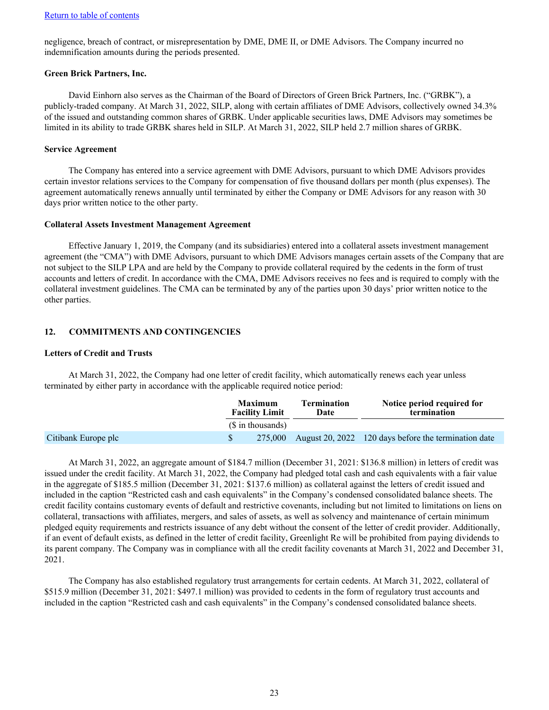negligence, breach of contract, or misrepresentation by DME, DME II, or DME Advisors. The Company incurred no indemnification amounts during the periods presented.

#### **Green Brick Partners, Inc.**

David Einhorn also serves as the Chairman of the Board of Directors of Green Brick Partners, Inc. ("GRBK"), a publicly-traded company. At March 31, 2022, SILP, along with certain affiliates of DME Advisors, collectively owned 34.3% of the issued and outstanding common shares of GRBK. Under applicable securities laws, DME Advisors may sometimes be limited in its ability to trade GRBK shares held in SILP. At March 31, 2022, SILP held 2.7 million shares of GRBK.

#### **Service Agreement**

The Company has entered into a service agreement with DME Advisors, pursuant to which DME Advisors provides certain investor relations services to the Company for compensation of five thousand dollars per month (plus expenses). The agreement automatically renews annually until terminated by either the Company or DME Advisors for any reason with 30 days prior written notice to the other party.

#### **Collateral Assets Investment Management Agreement**

Effective January 1, 2019, the Company (and its subsidiaries) entered into a collateral assets investment management agreement (the "CMA") with DME Advisors, pursuant to which DME Advisors manages certain assets of the Company that are not subject to the SILP LPA and are held by the Company to provide collateral required by the cedents in the form of trust accounts and letters of credit. In accordance with the CMA, DME Advisors receives no fees and is required to comply with the collateral investment guidelines. The CMA can be terminated by any of the parties upon 30 days' prior written notice to the other parties.

#### **12. COMMITMENTS AND CONTINGENCIES**

#### **Letters of Credit and Trusts**

At March 31, 2022, the Company had one letter of credit facility, which automatically renews each year unless terminated by either party in accordance with the applicable required notice period:

|                     | <b>Termination</b><br><b>Maximum</b><br><b>Facility Limit</b><br>Date |  | Notice period required for<br><b>termination</b>     |
|---------------------|-----------------------------------------------------------------------|--|------------------------------------------------------|
|                     | (\$ in thousands)                                                     |  |                                                      |
| Citibank Europe plc | 275,000                                                               |  | August 20, 2022 120 days before the termination date |

At March 31, 2022, an aggregate amount of \$184.7 million (December 31, 2021: \$136.8 million) in letters of credit was issued under the credit facility. At March 31, 2022, the Company had pledged total cash and cash equivalents with a fair value in the aggregate of \$185.5 million (December 31, 2021: \$137.6 million) as collateral against the letters of credit issued and included in the caption "Restricted cash and cash equivalents" in the Company's condensed consolidated balance sheets. The credit facility contains customary events of default and restrictive covenants, including but not limited to limitations on liens on collateral, transactions with affiliates, mergers, and sales of assets, as well as solvency and maintenance of certain minimum pledged equity requirements and restricts issuance of any debt without the consent of the letter of credit provider. Additionally, if an event of default exists, as defined in the letter of credit facility, Greenlight Re will be prohibited from paying dividends to its parent company. The Company was in compliance with all the credit facility covenants at March 31, 2022 and December 31, 2021.

The Company has also established regulatory trust arrangements for certain cedents. At March 31, 2022, collateral of \$515.9 million (December 31, 2021: \$497.1 million) was provided to cedents in the form of regulatory trust accounts and included in the caption "Restricted cash and cash equivalents" in the Company's condensed consolidated balance sheets.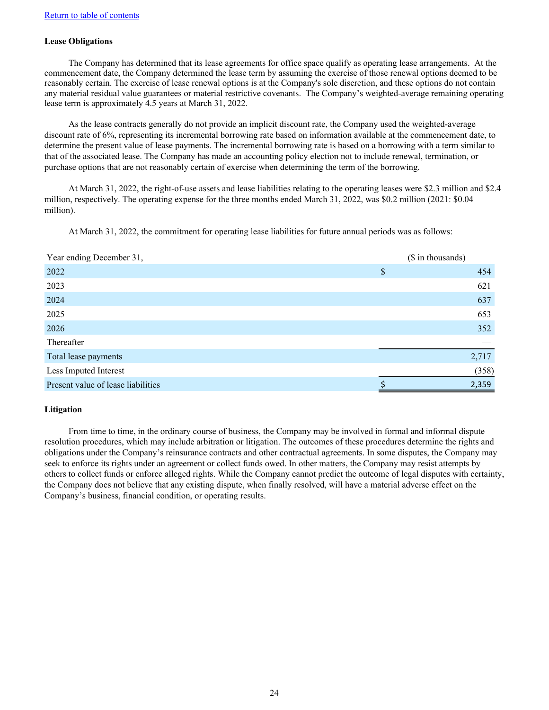#### **Lease Obligations**

The Company has determined that its lease agreements for office space qualify as operating lease arrangements. At the commencement date, the Company determined the lease term by assuming the exercise of those renewal options deemed to be reasonably certain. The exercise of lease renewal options is at the Company's sole discretion, and these options do not contain any material residual value guarantees or material restrictive covenants. The Company's weighted-average remaining operating lease term is approximately 4.5 years at March 31, 2022.

As the lease contracts generally do not provide an implicit discount rate, the Company used the weighted-average discount rate of 6%, representing its incremental borrowing rate based on information available at the commencement date, to determine the present value of lease payments. The incremental borrowing rate is based on a borrowing with a term similar to that of the associated lease. The Company has made an accounting policy election not to include renewal, termination, or purchase options that are not reasonably certain of exercise when determining the term of the borrowing.

At March 31, 2022, the right-of-use assets and lease liabilities relating to the operating leases were \$2.3 million and \$2.4 million, respectively. The operating expense for the three months ended March 31, 2022, was \$0.2 million (2021: \$0.04 million).

At March 31, 2022, the commitment for operating lease liabilities for future annual periods was as follows:

| Year ending December 31,           | (\$ in thousands) |       |
|------------------------------------|-------------------|-------|
| 2022                               | \$                | 454   |
| 2023                               |                   | 621   |
| 2024                               |                   | 637   |
| 2025                               |                   | 653   |
| 2026                               |                   | 352   |
| Thereafter                         |                   |       |
| Total lease payments               |                   | 2,717 |
| Less Imputed Interest              |                   | (358) |
| Present value of lease liabilities |                   | 2,359 |

#### **Litigation**

From time to time, in the ordinary course of business, the Company may be involved in formal and informal dispute resolution procedures, which may include arbitration or litigation. The outcomes of these procedures determine the rights and obligations under the Company's reinsurance contracts and other contractual agreements. In some disputes, the Company may seek to enforce its rights under an agreement or collect funds owed. In other matters, the Company may resist attempts by others to collect funds or enforce alleged rights. While the Company cannot predict the outcome of legal disputes with certainty, the Company does not believe that any existing dispute, when finally resolved, will have a material adverse effect on the Company's business, financial condition, or operating results.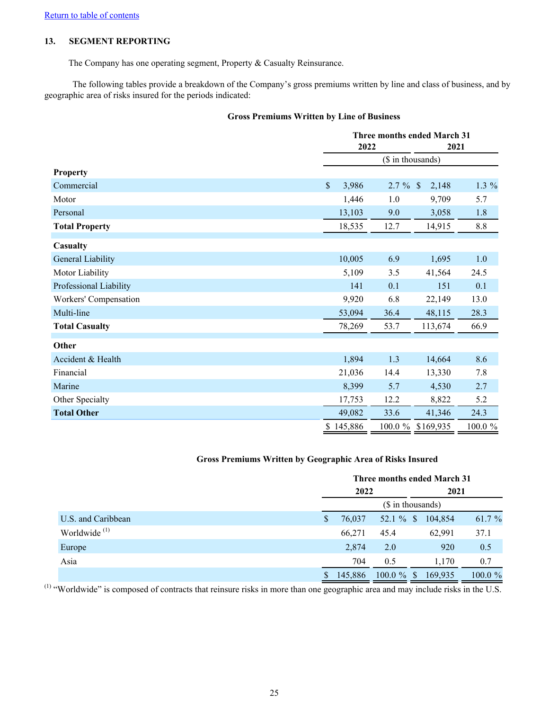## **13. SEGMENT REPORTING**

The Company has one operating segment, Property & Casualty Reinsurance.

The following tables provide a breakdown of the Company's gross premiums written by line and class of business, and by geographic area of risks insured for the periods indicated:

#### **Gross Premiums Written by Line of Business**

|                        | Three months ended March 31<br>2022<br>2021 |           |                   |                        |         |
|------------------------|---------------------------------------------|-----------|-------------------|------------------------|---------|
|                        |                                             |           | (\$ in thousands) |                        |         |
| <b>Property</b>        |                                             |           |                   |                        |         |
| Commercial             | $\mathsf{\$}$                               | 3,986     | $2.7\%$           | $\mathcal{S}$<br>2,148 | 1.3 %   |
| Motor                  |                                             | 1,446     | 1.0               | 9,709                  | 5.7     |
| Personal               |                                             | 13,103    | 9.0               | 3,058                  | 1.8     |
| <b>Total Property</b>  |                                             | 18,535    | 12.7              | 14,915                 | $8.8\,$ |
| Casualty               |                                             |           |                   |                        |         |
| General Liability      |                                             | 10,005    | 6.9               | 1,695                  | $1.0$   |
| Motor Liability        |                                             | 5,109     | 3.5               | 41,564                 | 24.5    |
| Professional Liability |                                             | 141       | 0.1               | 151                    | 0.1     |
| Workers' Compensation  |                                             | 9,920     | 6.8               | 22,149                 | 13.0    |
| Multi-line             |                                             | 53,094    | 36.4              | 48,115                 | 28.3    |
| <b>Total Casualty</b>  |                                             | 78,269    | 53.7              | 113,674                | 66.9    |
| Other                  |                                             |           |                   |                        |         |
| Accident & Health      |                                             | 1,894     | 1.3               | 14,664                 | 8.6     |
| Financial              |                                             | 21,036    | 14.4              | 13,330                 | 7.8     |
| Marine                 |                                             | 8,399     | 5.7               | 4,530                  | 2.7     |
| Other Specialty        |                                             | 17,753    | 12.2              | 8,822                  | 5.2     |
| <b>Total Other</b>     |                                             | 49,082    | 33.6              | 41,346                 | 24.3    |
|                        |                                             | \$145,886 | 100.0 %           | \$169,935              | 100.0 % |

## **Gross Premiums Written by Geographic Area of Risks Insured**

|                          | Three months ended March 31 |             |                         |         |  |  |
|--------------------------|-----------------------------|-------------|-------------------------|---------|--|--|
|                          | 2022                        |             | 2021                    |         |  |  |
|                          |                             |             | (\$ in thousands)       |         |  |  |
| U.S. and Caribbean       | \$<br>76,037                | 52.1 $%$ \$ | 104,854                 | 61.7 %  |  |  |
| Worldwide <sup>(1)</sup> | 66,271                      | 45.4        | 62,991                  | 37.1    |  |  |
| Europe                   | 2,874                       | 2.0         | 920                     | 0.5     |  |  |
| Asia                     | 704                         | 0.5         | 1,170                   | 0.7     |  |  |
|                          | 145,886                     | $100.0 \%$  | 169,935<br><sup>S</sup> | 100.0 % |  |  |

(1) "Worldwide" is composed of contracts that reinsure risks in more than one geographic area and may include risks in the U.S.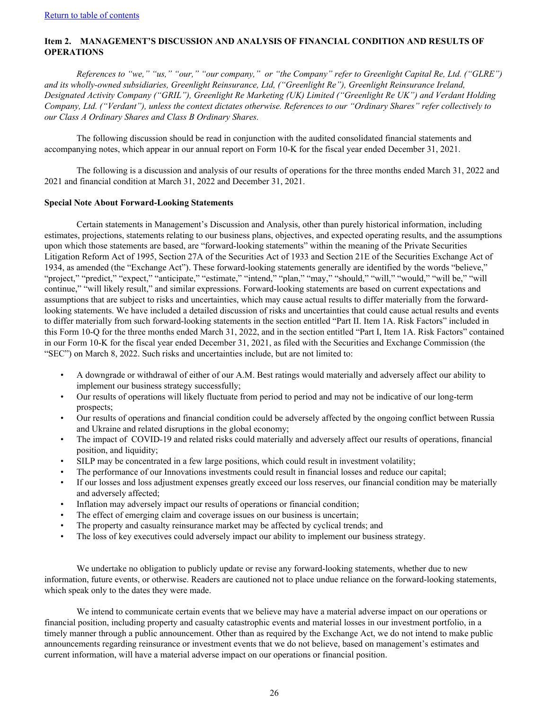## <span id="page-26-0"></span>**Item 2. MANAGEMENT'S DISCUSSION AND ANALYSIS OF FINANCIAL CONDITION AND RESULTS OF OPERATIONS**

*References to "we," "us," "our," "our company," or "the Company" refer to Greenlight Capital Re, Ltd. ("GLRE") and its wholly-owned subsidiaries, Greenlight Reinsurance, Ltd, ("Greenlight Re"), Greenlight Reinsurance Ireland, Designated Activity Company ("GRIL"), Greenlight Re Marketing (UK) Limited ("Greenlight Re UK") and Verdant Holding Company, Ltd. ("Verdant"), unless the context dictates otherwise. References to our "Ordinary Shares" refer collectively to our Class A Ordinary Shares and Class B Ordinary Shares.*

The following discussion should be read in conjunction with the audited consolidated financial statements and accompanying notes, which appear in our annual report on Form 10-K for the fiscal year ended December 31, 2021.

The following is a discussion and analysis of our results of operations for the three months ended March 31, 2022 and 2021 and financial condition at March 31, 2022 and December 31, 2021.

#### **Special Note About Forward-Looking Statements**

Certain statements in Management's Discussion and Analysis, other than purely historical information, including estimates, projections, statements relating to our business plans, objectives, and expected operating results, and the assumptions upon which those statements are based, are "forward-looking statements" within the meaning of the Private Securities Litigation Reform Act of 1995, Section 27A of the Securities Act of 1933 and Section 21E of the Securities Exchange Act of 1934, as amended (the "Exchange Act"). These forward-looking statements generally are identified by the words "believe," "project," "predict," "expect," "anticipate," "estimate," "intend," "plan," "may," "should," "will," "would," "will be," "will continue," "will likely result," and similar expressions. Forward-looking statements are based on current expectations and assumptions that are subject to risks and uncertainties, which may cause actual results to differ materially from the forwardlooking statements. We have included a detailed discussion of risks and uncertainties that could cause actual results and events to differ materially from such forward-looking statements in the section entitled "Part II. Item 1A. Risk Factors" included in this Form 10-Q for the three months ended March 31, 2022, and in the section entitled "Part I, Item 1A. Risk Factors" contained in our Form 10-K for the fiscal year ended December 31, 2021, as filed with the Securities and Exchange Commission (the "SEC") on March 8, 2022. Such risks and uncertainties include, but are not limited to:

- A downgrade or withdrawal of either of our A.M. Best ratings would materially and adversely affect our ability to implement our business strategy successfully;
- Our results of operations will likely fluctuate from period to period and may not be indicative of our long-term prospects;
- Our results of operations and financial condition could be adversely affected by the ongoing conflict between Russia and Ukraine and related disruptions in the global economy;
- The impact of COVID-19 and related risks could materially and adversely affect our results of operations, financial position, and liquidity;
- SILP may be concentrated in a few large positions, which could result in investment volatility;
- The performance of our Innovations investments could result in financial losses and reduce our capital;
- If our losses and loss adjustment expenses greatly exceed our loss reserves, our financial condition may be materially and adversely affected;
- Inflation may adversely impact our results of operations or financial condition;
- The effect of emerging claim and coverage issues on our business is uncertain;
- The property and casualty reinsurance market may be affected by cyclical trends; and
- The loss of key executives could adversely impact our ability to implement our business strategy.

We undertake no obligation to publicly update or revise any forward-looking statements, whether due to new information, future events, or otherwise. Readers are cautioned not to place undue reliance on the forward-looking statements, which speak only to the dates they were made.

We intend to communicate certain events that we believe may have a material adverse impact on our operations or financial position, including property and casualty catastrophic events and material losses in our investment portfolio, in a timely manner through a public announcement. Other than as required by the Exchange Act, we do not intend to make public announcements regarding reinsurance or investment events that we do not believe, based on management's estimates and current information, will have a material adverse impact on our operations or financial position.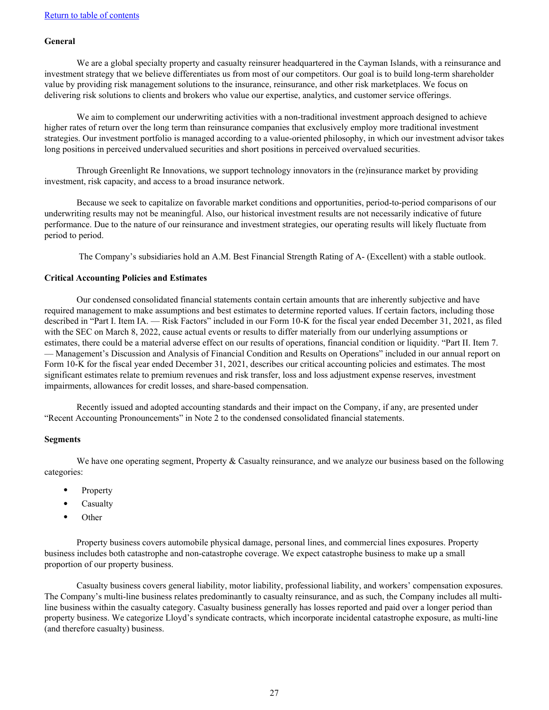## **General**

We are a global specialty property and casualty reinsurer headquartered in the Cayman Islands, with a reinsurance and investment strategy that we believe differentiates us from most of our competitors. Our goal is to build long-term shareholder value by providing risk management solutions to the insurance, reinsurance, and other risk marketplaces. We focus on delivering risk solutions to clients and brokers who value our expertise, analytics, and customer service offerings.

We aim to complement our underwriting activities with a non-traditional investment approach designed to achieve higher rates of return over the long term than reinsurance companies that exclusively employ more traditional investment strategies. Our investment portfolio is managed according to a value-oriented philosophy, in which our investment advisor takes long positions in perceived undervalued securities and short positions in perceived overvalued securities.

Through Greenlight Re Innovations, we support technology innovators in the (re)insurance market by providing investment, risk capacity, and access to a broad insurance network.

Because we seek to capitalize on favorable market conditions and opportunities, period-to-period comparisons of our underwriting results may not be meaningful. Also, our historical investment results are not necessarily indicative of future performance. Due to the nature of our reinsurance and investment strategies, our operating results will likely fluctuate from period to period.

The Company's subsidiaries hold an A.M. Best Financial Strength Rating of A- (Excellent) with a stable outlook.

#### **Critical Accounting Policies and Estimates**

Our condensed consolidated financial statements contain certain amounts that are inherently subjective and have required management to make assumptions and best estimates to determine reported values. If certain factors, including those described in "Part I. Item IA. — Risk Factors" included in our Form 10-K for the fiscal year ended December 31, 2021, as filed with the SEC on March 8, 2022, cause actual events or results to differ materially from our underlying assumptions or estimates, there could be a material adverse effect on our results of operations, financial condition or liquidity. "Part II. Item 7. — Management's Discussion and Analysis of Financial Condition and Results on Operations" included in our annual report on Form 10-K for the fiscal year ended December 31, 2021, describes our critical accounting policies and estimates. The most significant estimates relate to premium revenues and risk transfer, loss and loss adjustment expense reserves, investment impairments, allowances for credit losses, and share-based compensation.

Recently issued and adopted accounting standards and their impact on the Company, if any, are presented under "Recent Accounting Pronouncements" in Note 2 to the condensed consolidated financial statements.

#### **Segments**

We have one operating segment, Property  $\&$  Casualty reinsurance, and we analyze our business based on the following categories:

- Property
- Casualty
- Other

Property business covers automobile physical damage, personal lines, and commercial lines exposures. Property business includes both catastrophe and non-catastrophe coverage. We expect catastrophe business to make up a small proportion of our property business.

Casualty business covers general liability, motor liability, professional liability, and workers' compensation exposures. The Company's multi-line business relates predominantly to casualty reinsurance, and as such, the Company includes all multiline business within the casualty category. Casualty business generally has losses reported and paid over a longer period than property business. We categorize Lloyd's syndicate contracts, which incorporate incidental catastrophe exposure, as multi-line (and therefore casualty) business.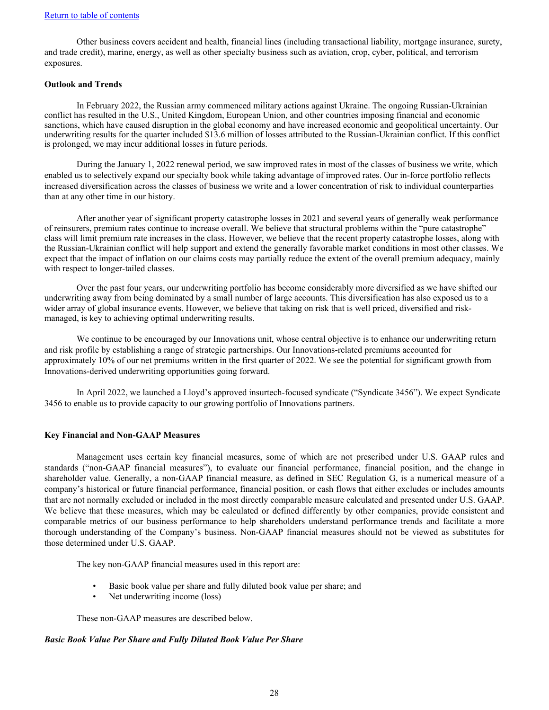Other business covers accident and health, financial lines (including transactional liability, mortgage insurance, surety, and trade credit), marine, energy, as well as other specialty business such as aviation, crop, cyber, political, and terrorism exposures.

#### **Outlook and Trends**

In February 2022, the Russian army commenced military actions against Ukraine. The ongoing Russian-Ukrainian conflict has resulted in the U.S., United Kingdom, European Union, and other countries imposing financial and economic sanctions, which have caused disruption in the global economy and have increased economic and geopolitical uncertainty. Our underwriting results for the quarter included \$13.6 million of losses attributed to the Russian-Ukrainian conflict. If this conflict is prolonged, we may incur additional losses in future periods.

During the January 1, 2022 renewal period, we saw improved rates in most of the classes of business we write, which enabled us to selectively expand our specialty book while taking advantage of improved rates. Our in-force portfolio reflects increased diversification across the classes of business we write and a lower concentration of risk to individual counterparties than at any other time in our history.

After another year of significant property catastrophe losses in 2021 and several years of generally weak performance of reinsurers, premium rates continue to increase overall. We believe that structural problems within the "pure catastrophe" class will limit premium rate increases in the class. However, we believe that the recent property catastrophe losses, along with the Russian-Ukrainian conflict will help support and extend the generally favorable market conditions in most other classes. We expect that the impact of inflation on our claims costs may partially reduce the extent of the overall premium adequacy, mainly with respect to longer-tailed classes.

Over the past four years, our underwriting portfolio has become considerably more diversified as we have shifted our underwriting away from being dominated by a small number of large accounts. This diversification has also exposed us to a wider array of global insurance events. However, we believe that taking on risk that is well priced, diversified and riskmanaged, is key to achieving optimal underwriting results.

We continue to be encouraged by our Innovations unit, whose central objective is to enhance our underwriting return and risk profile by establishing a range of strategic partnerships. Our Innovations-related premiums accounted for approximately 10% of our net premiums written in the first quarter of 2022. We see the potential for significant growth from Innovations-derived underwriting opportunities going forward.

In April 2022, we launched a Lloyd's approved insurtech-focused syndicate ("Syndicate 3456"). We expect Syndicate 3456 to enable us to provide capacity to our growing portfolio of Innovations partners.

#### **Key Financial and Non-GAAP Measures**

Management uses certain key financial measures, some of which are not prescribed under U.S. GAAP rules and standards ("non-GAAP financial measures"), to evaluate our financial performance, financial position, and the change in shareholder value. Generally, a non-GAAP financial measure, as defined in SEC Regulation G, is a numerical measure of a company's historical or future financial performance, financial position, or cash flows that either excludes or includes amounts that are not normally excluded or included in the most directly comparable measure calculated and presented under U.S. GAAP. We believe that these measures, which may be calculated or defined differently by other companies, provide consistent and comparable metrics of our business performance to help shareholders understand performance trends and facilitate a more thorough understanding of the Company's business. Non-GAAP financial measures should not be viewed as substitutes for those determined under U.S. GAAP.

The key non-GAAP financial measures used in this report are:

- Basic book value per share and fully diluted book value per share; and
- Net underwriting income (loss)

These non-GAAP measures are described below.

#### *Basic Book Value Per Share and Fully Diluted Book Value Per Share*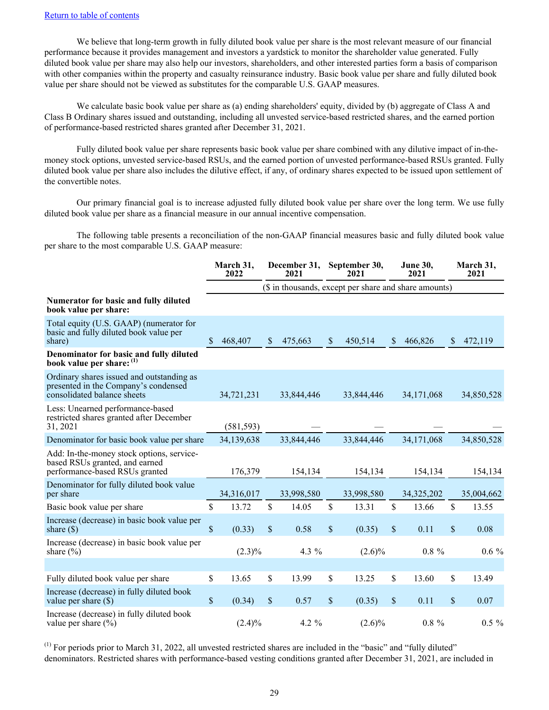We believe that long-term growth in fully diluted book value per share is the most relevant measure of our financial performance because it provides management and investors a yardstick to monitor the shareholder value generated. Fully diluted book value per share may also help our investors, shareholders, and other interested parties form a basis of comparison with other companies within the property and casualty reinsurance industry. Basic book value per share and fully diluted book value per share should not be viewed as substitutes for the comparable U.S. GAAP measures.

We calculate basic book value per share as (a) ending shareholders' equity, divided by (b) aggregate of Class A and Class B Ordinary shares issued and outstanding, including all unvested service-based restricted shares, and the earned portion of performance-based restricted shares granted after December 31, 2021.

Fully diluted book value per share represents basic book value per share combined with any dilutive impact of in-themoney stock options, unvested service-based RSUs, and the earned portion of unvested performance-based RSUs granted. Fully diluted book value per share also includes the dilutive effect, if any, of ordinary shares expected to be issued upon settlement of the convertible notes.

Our primary financial goal is to increase adjusted fully diluted book value per share over the long term. We use fully diluted book value per share as a financial measure in our annual incentive compensation.

The following table presents a reconciliation of the non-GAAP financial measures basic and fully diluted book value per share to the most comparable U.S. GAAP measure:

|                                                                                                                  |    | March 31,<br>2022 |              | December 31, September 30,<br>2021 |                           | 2021                                                  |               | <b>June 30,</b><br>2021 |               | March 31,<br>2021 |
|------------------------------------------------------------------------------------------------------------------|----|-------------------|--------------|------------------------------------|---------------------------|-------------------------------------------------------|---------------|-------------------------|---------------|-------------------|
|                                                                                                                  |    |                   |              |                                    |                           | (\$ in thousands, except per share and share amounts) |               |                         |               |                   |
| Numerator for basic and fully diluted<br>book value per share:                                                   |    |                   |              |                                    |                           |                                                       |               |                         |               |                   |
| Total equity (U.S. GAAP) (numerator for<br>basic and fully diluted book value per<br>share)                      | S  | 468,407           | <sup>S</sup> | 475,663                            | <sup>\$</sup>             | 450,514                                               | <sup>S</sup>  | 466,826                 | <sup>S</sup>  | 472,119           |
| Denominator for basic and fully diluted<br>book value per share: $^{(1)}$                                        |    |                   |              |                                    |                           |                                                       |               |                         |               |                   |
| Ordinary shares issued and outstanding as<br>presented in the Company's condensed<br>consolidated balance sheets |    | 34,721,231        |              | 33,844,446                         |                           | 33,844,446                                            |               | 34,171,068              |               | 34,850,528        |
| Less: Unearned performance-based<br>restricted shares granted after December<br>31, 2021                         |    | (581, 593)        |              |                                    |                           |                                                       |               |                         |               |                   |
| Denominator for basic book value per share                                                                       |    | 34,139,638        |              | 33,844,446                         |                           | 33,844,446                                            |               | 34,171,068              |               | 34,850,528        |
| Add: In-the-money stock options, service-<br>based RSUs granted, and earned<br>performance-based RSUs granted    |    | 176,379           |              | 154,134                            |                           | 154,134                                               |               | 154,134                 |               | 154,134           |
| Denominator for fully diluted book value<br>per share                                                            |    | 34,316,017        |              | 33,998,580                         |                           | 33,998,580                                            |               | 34,325,202              |               | 35,004,662        |
| Basic book value per share                                                                                       | \$ | 13.72             | \$           | 14.05                              | \$                        | 13.31                                                 | $\mathsf{\$}$ | 13.66                   | $\mathsf{\$}$ | 13.55             |
| Increase (decrease) in basic book value per<br>share $(\$)$                                                      | \$ | (0.33)            | \$           | 0.58                               | $\boldsymbol{\mathsf{S}}$ | (0.35)                                                | \$            | 0.11                    | \$            | 0.08              |
| Increase (decrease) in basic book value per<br>share $(\% )$                                                     |    | $(2.3)\%$         |              | 4.3 $%$                            |                           | $(2.6)\%$                                             |               | $0.8 \%$                |               | $0.6\%$           |
|                                                                                                                  |    |                   |              |                                    |                           |                                                       |               |                         |               |                   |
| Fully diluted book value per share                                                                               | \$ | 13.65             | \$           | 13.99                              | \$                        | 13.25                                                 | \$            | 13.60                   | \$            | 13.49             |
| Increase (decrease) in fully diluted book<br>value per share $(\$)$                                              | \$ | (0.34)            | \$           | 0.57                               | \$                        | (0.35)                                                | \$            | 0.11                    | \$            | 0.07              |
| Increase (decrease) in fully diluted book<br>value per share $(\% )$                                             |    | $(2.4)\%$         |              | 4.2 $\%$                           |                           | $(2.6)\%$                                             |               | $0.8 \%$                |               | $0.5 \%$          |

 $<sup>(1)</sup>$  For periods prior to March 31, 2022, all unvested restricted shares are included in the "basic" and "fully diluted"</sup> denominators. Restricted shares with performance-based vesting conditions granted after December 31, 2021, are included in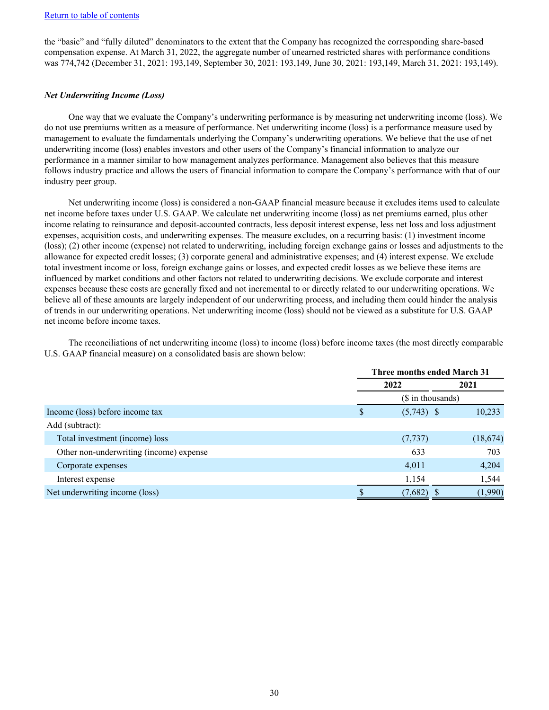the "basic" and "fully diluted" denominators to the extent that the Company has recognized the corresponding share-based compensation expense. At March 31, 2022, the aggregate number of unearned restricted shares with performance conditions was 774,742 (December 31, 2021: 193,149, September 30, 2021: 193,149, June 30, 2021: 193,149, March 31, 2021: 193,149).

#### *Net Underwriting Income (Loss)*

One way that we evaluate the Company's underwriting performance is by measuring net underwriting income (loss). We do not use premiums written as a measure of performance. Net underwriting income (loss) is a performance measure used by management to evaluate the fundamentals underlying the Company's underwriting operations. We believe that the use of net underwriting income (loss) enables investors and other users of the Company's financial information to analyze our performance in a manner similar to how management analyzes performance. Management also believes that this measure follows industry practice and allows the users of financial information to compare the Company's performance with that of our industry peer group.

Net underwriting income (loss) is considered a non-GAAP financial measure because it excludes items used to calculate net income before taxes under U.S. GAAP. We calculate net underwriting income (loss) as net premiums earned, plus other income relating to reinsurance and deposit-accounted contracts, less deposit interest expense, less net loss and loss adjustment expenses, acquisition costs, and underwriting expenses. The measure excludes, on a recurring basis: (1) investment income (loss); (2) other income (expense) not related to underwriting, including foreign exchange gains or losses and adjustments to the allowance for expected credit losses; (3) corporate general and administrative expenses; and (4) interest expense. We exclude total investment income or loss, foreign exchange gains or losses, and expected credit losses as we believe these items are influenced by market conditions and other factors not related to underwriting decisions. We exclude corporate and interest expenses because these costs are generally fixed and not incremental to or directly related to our underwriting operations. We believe all of these amounts are largely independent of our underwriting process, and including them could hinder the analysis of trends in our underwriting operations. Net underwriting income (loss) should not be viewed as a substitute for U.S. GAAP net income before income taxes.

The reconciliations of net underwriting income (loss) to income (loss) before income taxes (the most directly comparable U.S. GAAP financial measure) on a consolidated basis are shown below:

|                                         |   | Three months ended March 31 |           |  |  |
|-----------------------------------------|---|-----------------------------|-----------|--|--|
|                                         |   | 2022                        | 2021      |  |  |
|                                         |   | (\$ in thousands)           |           |  |  |
| Income (loss) before income tax         | S | $(5,743)$ \$                | 10,233    |  |  |
| Add (subtract):                         |   |                             |           |  |  |
| Total investment (income) loss          |   | (7, 737)                    | (18, 674) |  |  |
| Other non-underwriting (income) expense |   | 633                         | 703       |  |  |
| Corporate expenses                      |   | 4,011                       | 4,204     |  |  |
| Interest expense                        |   | 1,154                       | 1,544     |  |  |
| Net underwriting income (loss)          |   | (7,682)                     | (1,990)   |  |  |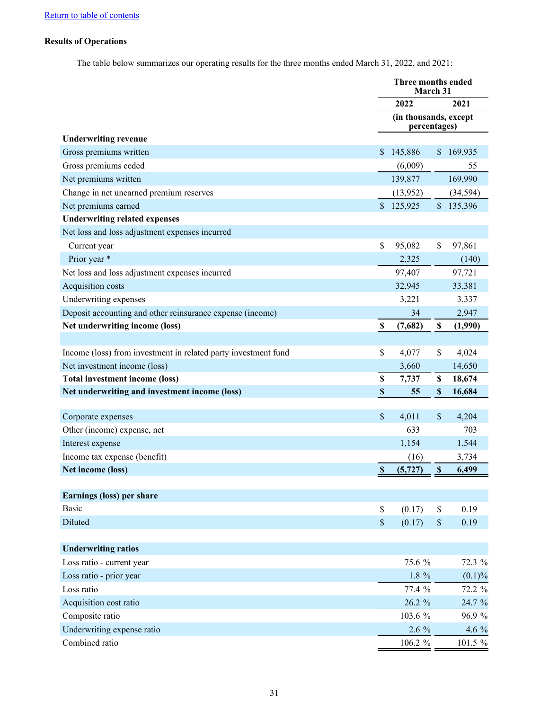## **Results of Operations**

The table below summarizes our operating results for the three months ended March 31, 2022, and 2021:

|                                                                | Three months ended<br><b>March 31</b> |                                       |                           |           |
|----------------------------------------------------------------|---------------------------------------|---------------------------------------|---------------------------|-----------|
|                                                                | 2022                                  |                                       |                           | 2021      |
|                                                                |                                       | (in thousands, except<br>percentages) |                           |           |
| <b>Underwriting revenue</b>                                    |                                       |                                       |                           |           |
| Gross premiums written                                         | S.                                    | 145,886                               |                           | \$169,935 |
| Gross premiums ceded                                           |                                       | (6,009)                               |                           | 55        |
| Net premiums written                                           |                                       | 139,877                               |                           | 169,990   |
| Change in net unearned premium reserves                        |                                       | (13,952)                              |                           | (34, 594) |
| Net premiums earned                                            |                                       | \$125,925                             |                           | \$135,396 |
| <b>Underwriting related expenses</b>                           |                                       |                                       |                           |           |
| Net loss and loss adjustment expenses incurred                 |                                       |                                       |                           |           |
| Current year                                                   | \$                                    | 95,082                                | \$                        | 97,861    |
| Prior year *                                                   |                                       | 2,325                                 |                           | (140)     |
| Net loss and loss adjustment expenses incurred                 |                                       | 97,407                                |                           | 97,721    |
| Acquisition costs                                              |                                       | 32,945                                |                           | 33,381    |
| Underwriting expenses                                          |                                       | 3,221                                 |                           | 3,337     |
| Deposit accounting and other reinsurance expense (income)      |                                       | 34                                    |                           | 2,947     |
| Net underwriting income (loss)                                 | \$                                    | (7,682)                               | $\mathbb S$               | (1,990)   |
|                                                                |                                       |                                       |                           |           |
| Income (loss) from investment in related party investment fund | \$                                    | 4,077                                 | \$                        | 4,024     |
| Net investment income (loss)                                   |                                       | 3,660                                 |                           | 14,650    |
| <b>Total investment income (loss)</b>                          | \$                                    | 7,737                                 | \$                        | 18,674    |
| Net underwriting and investment income (loss)                  | $\mathbb S$                           | 55                                    | $\boldsymbol{\mathsf{S}}$ | 16,684    |
|                                                                |                                       |                                       |                           |           |
| Corporate expenses                                             | $\mathbb S$                           | 4,011                                 | $\$$                      | 4,204     |
| Other (income) expense, net                                    |                                       | 633                                   |                           | 703       |
| Interest expense                                               |                                       | 1,154                                 |                           | 1,544     |
| Income tax expense (benefit)                                   |                                       | (16)                                  |                           | 3,734     |
| Net income (loss)                                              | $\boldsymbol{\mathsf{S}}$             | (5, 727)                              | $\boldsymbol{\mathsf{S}}$ | 6,499     |
|                                                                |                                       |                                       |                           |           |
| Earnings (loss) per share                                      |                                       |                                       |                           |           |
| <b>Basic</b>                                                   | \$                                    | (0.17)                                | $\mathbb S$               | 0.19      |
| Diluted                                                        | $\$$                                  | (0.17)                                | $\$$                      | 0.19      |
|                                                                |                                       |                                       |                           |           |
| <b>Underwriting ratios</b>                                     |                                       |                                       |                           |           |
| Loss ratio - current year                                      |                                       | 75.6 %                                |                           | 72.3 %    |
| Loss ratio - prior year                                        |                                       | $1.8 \%$                              |                           | $(0.1)\%$ |
| Loss ratio                                                     |                                       | 77.4 %                                |                           | 72.2 %    |
| Acquisition cost ratio                                         |                                       | 26.2 %                                |                           | 24.7 %    |
| Composite ratio                                                |                                       | 103.6 %                               |                           | 96.9%     |
| Underwriting expense ratio                                     |                                       | $2.6\%$                               |                           | 4.6 %     |
| Combined ratio                                                 |                                       | 106.2 %                               |                           | 101.5 %   |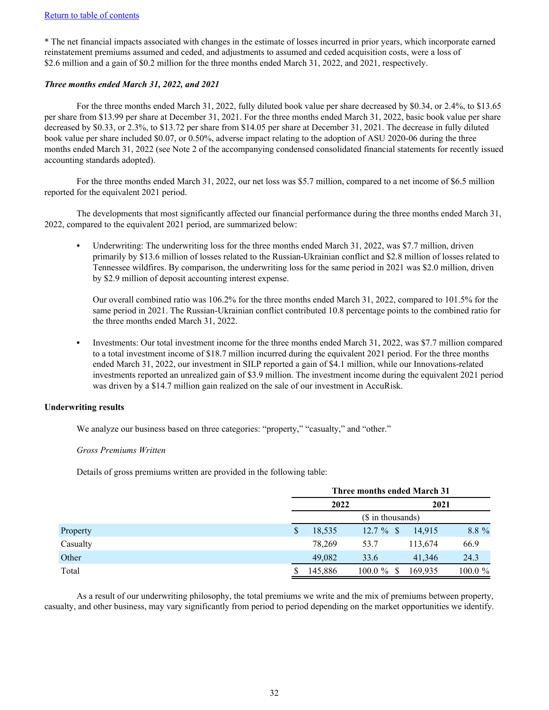\* The net financial impacts associated with changes in the estimate of losses incurred in prior years, which incorporate earned reinstatement premiums assumed and ceded, and adjustments to assumed and ceded acquisition costs, were a loss of \$2.6 million and a gain of \$0.2 million for the three months ended March 31, 2022, and 2021, respectively.

#### *Three months ended March 31, 2022, and 2021*

For the three months ended March 31, 2022, fully diluted book value per share decreased by \$0.34, or 2.4%, to \$13.65 per share from \$13.99 per share at December 31, 2021. For the three months ended March 31, 2022, basic book value per share decreased by \$0.33, or 2.3%, to \$13.72 per share from \$14.05 per share at December 31, 2021. The decrease in fully diluted book value per share included \$0.07, or 0.50%, adverse impact relating to the adoption of ASU 2020-06 during the three months ended March 31, 2022 (see Note 2 of the accompanying condensed consolidated financial statements for recently issued accounting standards adopted).

For the three months ended March 31, 2022, our net loss was \$5.7 million, compared to a net income of \$6.5 million reported for the equivalent 2021 period.

The developments that most significantly affected our financial performance during the three months ended March 31, 2022, compared to the equivalent 2021 period, are summarized below:

Underwriting: The underwriting loss for the three months ended March 31, 2022, was \$7.7 million, driven primarily by \$13.6 million of losses related to the Russian-Ukrainian conflict and \$2.8 million of losses related to Tennessee wildfires. By comparison, the underwriting loss for the same period in 2021 was \$2.0 million, driven by \$2.9 million of deposit accounting interest expense.

Our overall combined ratio was 106.2% for the three months ended March 31, 2022, compared to 101.5% for the same period in 2021. The Russian-Ukrainian conflict contributed 10.8 percentage points to the combined ratio for the three months ended March 31, 2022.

**•** Investments: Our total investment income for the three months ended March 31, 2022, was \$7.7 million compared to a total investment income of \$18.7 million incurred during the equivalent 2021 period. For the three months ended March 31, 2022, our investment in SILP reported a gain of \$4.1 million, while our Innovations-related investments reported an unrealized gain of \$3.9 million. The investment income during the equivalent 2021 period was driven by a \$14.7 million gain realized on the sale of our investment in AccuRisk.

#### **Underwriting results**

We analyze our business based on three categories: "property," "casualty," and "other."

#### *Gross Premiums Written*

Details of gross premiums written are provided in the following table:

|          | Three months ended March 31 |                 |         |           |  |  |
|----------|-----------------------------|-----------------|---------|-----------|--|--|
|          | 2022<br>2021                |                 |         |           |  |  |
|          | (\$ in thousands)           |                 |         |           |  |  |
| Property | 18,535                      | $12.7 \%$<br>-S | 14,915  | 8.8 %     |  |  |
| Casualty | 78.269                      | 53.7            | 113,674 | 66.9      |  |  |
| Other    | 49,082                      | 33.6            | 41.346  | 24.3      |  |  |
| Total    | 145,886                     | $100.0 \%$      | 169,935 | 100.0 $%$ |  |  |

As a result of our underwriting philosophy, the total premiums we write and the mix of premiums between property, casualty, and other business, may vary significantly from period to period depending on the market opportunities we identify.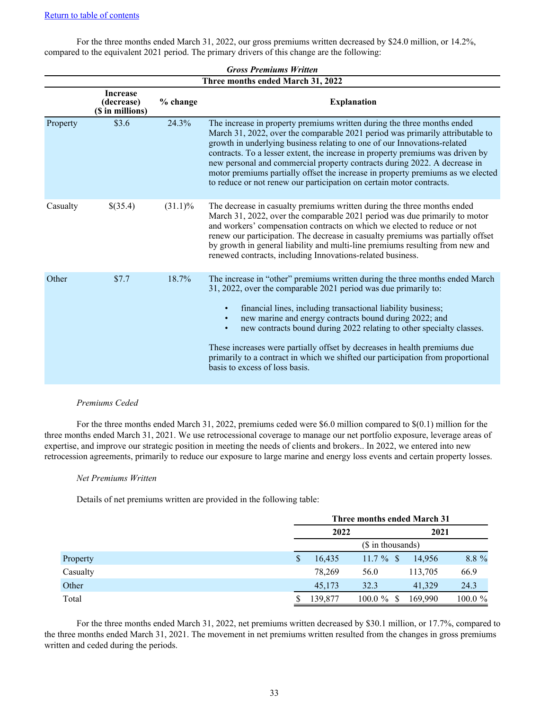For the three months ended March 31, 2022, our gross premiums written decreased by \$24.0 million, or 14.2%, compared to the equivalent 2021 period. The primary drivers of this change are the following:

|          | <b>Gross Premiums Written</b>                     |            |                                                                                                                                                                                                                                                                                                                                                                                                                                                                                                                                                                               |  |  |  |  |
|----------|---------------------------------------------------|------------|-------------------------------------------------------------------------------------------------------------------------------------------------------------------------------------------------------------------------------------------------------------------------------------------------------------------------------------------------------------------------------------------------------------------------------------------------------------------------------------------------------------------------------------------------------------------------------|--|--|--|--|
|          |                                                   |            | Three months ended March 31, 2022                                                                                                                                                                                                                                                                                                                                                                                                                                                                                                                                             |  |  |  |  |
|          | <b>Increase</b><br>(decrease)<br>(\$ in millions) | % change   | <b>Explanation</b>                                                                                                                                                                                                                                                                                                                                                                                                                                                                                                                                                            |  |  |  |  |
| Property | \$3.6                                             | 24.3%      | The increase in property premiums written during the three months ended<br>March 31, 2022, over the comparable 2021 period was primarily attributable to<br>growth in underlying business relating to one of our Innovations-related<br>contracts. To a lesser extent, the increase in property premiums was driven by<br>new personal and commercial property contracts during 2022. A decrease in<br>motor premiums partially offset the increase in property premiums as we elected<br>to reduce or not renew our participation on certain motor contracts.                |  |  |  |  |
| Casualty | \$(35.4)                                          | $(31.1)\%$ | The decrease in casualty premiums written during the three months ended<br>March 31, 2022, over the comparable 2021 period was due primarily to motor<br>and workers' compensation contracts on which we elected to reduce or not<br>renew our participation. The decrease in casualty premiums was partially offset<br>by growth in general liability and multi-line premiums resulting from new and<br>renewed contracts, including Innovations-related business.                                                                                                           |  |  |  |  |
| Other    | \$7.7                                             | 18.7%      | The increase in "other" premiums written during the three months ended March<br>31, 2022, over the comparable 2021 period was due primarily to:<br>financial lines, including transactional liability business;<br>$\bullet$<br>new marine and energy contracts bound during 2022; and<br>new contracts bound during 2022 relating to other specialty classes.<br>$\bullet$<br>These increases were partially offset by decreases in health premiums due<br>primarily to a contract in which we shifted our participation from proportional<br>basis to excess of loss basis. |  |  |  |  |

#### *Premiums Ceded*

For the three months ended March 31, 2022, premiums ceded were \$6.0 million compared to \$(0.1) million for the three months ended March 31, 2021. We use retrocessional coverage to manage our net portfolio exposure, leverage areas of expertise, and improve our strategic position in meeting the needs of clients and brokers.. In 2022, we entered into new retrocession agreements, primarily to reduce our exposure to large marine and energy loss events and certain property losses.

#### *Net Premiums Written*

Details of net premiums written are provided in the following table:

|          | Three months ended March 31 |               |         |            |  |
|----------|-----------------------------|---------------|---------|------------|--|
|          | 2022                        |               |         | 2021       |  |
|          | $($$ in thousands)          |               |         |            |  |
| Property | \$<br>16,435                | $11.7 \%$ \$  | 14,956  | 8.8 %      |  |
| Casualty | 78,269                      | 56.0          | 113,705 | 66.9       |  |
| Other    | 45.173                      | 32.3          | 41.329  | 24.3       |  |
| Total    | 139,877                     | $100.0 \%$ \$ | 169,990 | $100.0 \%$ |  |

For the three months ended March 31, 2022, net premiums written decreased by \$30.1 million, or 17.7%, compared to the three months ended March 31, 2021. The movement in net premiums written resulted from the changes in gross premiums written and ceded during the periods.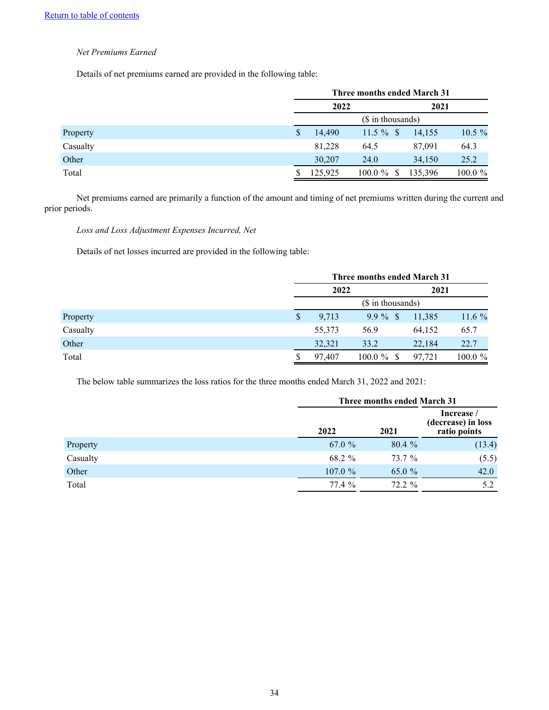## *Net Premiums Earned*

Details of net premiums earned are provided in the following table:

|          | Three months ended March 31 |                  |         |           |  |  |
|----------|-----------------------------|------------------|---------|-----------|--|--|
|          | 2022<br>2021                |                  |         |           |  |  |
|          | (\$ in thousands)           |                  |         |           |  |  |
| Property | 14,490                      | $11.5 \%$ \$     | 14,155  | $10.5 \%$ |  |  |
| Casualty | 81,228                      | 64.5             | 87.091  | 64.3      |  |  |
| Other    | 30.207                      | 24.0             | 34,150  | 25.2      |  |  |
| Total    | 125,925                     | $100.0 \%$<br>-8 | 135,396 | 100.0 $%$ |  |  |

Net premiums earned are primarily a function of the amount and timing of net premiums written during the current and prior periods.

## *Loss and Loss Adjustment Expenses Incurred, Net*

Details of net losses incurred are provided in the following table:

|          | Three months ended March 31 |               |        |            |  |  |
|----------|-----------------------------|---------------|--------|------------|--|--|
|          | 2022                        |               |        | 2021       |  |  |
|          | (\$ in thousands)           |               |        |            |  |  |
| Property | \$<br>9,713                 | $9.9\%$ \$    | 11,385 | 11.6 $%$   |  |  |
| Casualty | 55,373                      | 56.9          | 64,152 | 65.7       |  |  |
| Other    | 32,321                      | 33.2          | 22,184 | 22.7       |  |  |
| Total    | 97.407                      | $100.0 \%$ \$ | 97,721 | $100.0 \%$ |  |  |

The below table summarizes the loss ratios for the three months ended March 31, 2022 and 2021:

|          |            | Three months ended March 31 |                                                  |  |  |
|----------|------------|-----------------------------|--------------------------------------------------|--|--|
|          | 2022       | 2021                        | Increase /<br>(decrease) in loss<br>ratio points |  |  |
| Property | 67.0 $%$   | 80.4%                       | (13.4)                                           |  |  |
| Casualty | 68.2 %     | 73.7 %                      | (5.5)                                            |  |  |
| Other    | $107.0 \%$ | 65.0 $%$                    | 42.0                                             |  |  |
| Total    | 77.4 %     | 72.2 %                      | 5.2                                              |  |  |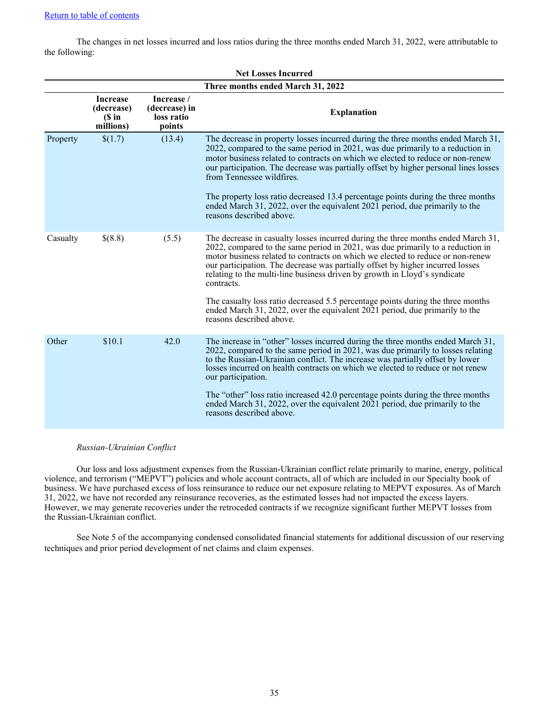The changes in net losses incurred and loss ratios during the three months ended March 31, 2022, were attributable to the following:

| <b>Net Losses Incurred</b>        |                                                       |                                                     |                                                                                                                                                                                                                                                                                                                                                                                                                                                |
|-----------------------------------|-------------------------------------------------------|-----------------------------------------------------|------------------------------------------------------------------------------------------------------------------------------------------------------------------------------------------------------------------------------------------------------------------------------------------------------------------------------------------------------------------------------------------------------------------------------------------------|
| Three months ended March 31, 2022 |                                                       |                                                     |                                                                                                                                                                                                                                                                                                                                                                                                                                                |
|                                   | <b>Increase</b><br>(decrease)<br>$(S$ in<br>millions) | Increase /<br>(decrease) in<br>loss ratio<br>points | <b>Explanation</b>                                                                                                                                                                                                                                                                                                                                                                                                                             |
| Property                          | \$(1.7)                                               | (13.4)                                              | The decrease in property losses incurred during the three months ended March 31,<br>2022, compared to the same period in 2021, was due primarily to a reduction in<br>motor business related to contracts on which we elected to reduce or non-renew<br>our participation. The decrease was partially offset by higher personal lines losses<br>from Tennessee wildfires.                                                                      |
|                                   |                                                       |                                                     | The property loss ratio decreased 13.4 percentage points during the three months<br>ended March 31, 2022, over the equivalent 2021 period, due primarily to the<br>reasons described above.                                                                                                                                                                                                                                                    |
| Casualty                          | \$(8.8)                                               | (5.5)                                               | The decrease in casualty losses incurred during the three months ended March 31,<br>2022, compared to the same period in 2021, was due primarily to a reduction in<br>motor business related to contracts on which we elected to reduce or non-renew<br>our participation. The decrease was partially offset by higher incurred losses<br>relating to the multi-line business driven by growth in Lloyd's syndicate<br>contracts.              |
|                                   |                                                       |                                                     | The casualty loss ratio decreased 5.5 percentage points during the three months<br>ended March 31, 2022, over the equivalent 2021 period, due primarily to the<br>reasons described above.                                                                                                                                                                                                                                                     |
| Other                             | \$10.1                                                | 42.0                                                | The increase in "other" losses incurred during the three months ended March 31,<br>2022, compared to the same period in 2021, was due primarily to losses relating<br>to the Russian-Ukrainian conflict. The increase was partially offset by lower<br>losses incurred on health contracts on which we elected to reduce or not renew<br>our participation.<br>The "other" loss ratio increased 42.0 percentage points during the three months |
|                                   |                                                       |                                                     | ended March 31, 2022, over the equivalent 2021 period, due primarily to the<br>reasons described above                                                                                                                                                                                                                                                                                                                                         |

#### *Russian-Ukrainian Conflict*

Our loss and loss adjustment expenses from the Russian-Ukrainian conflict relate primarily to marine, energy, political violence, and terrorism ("MEPVT") policies and whole account contracts, all of which are included in our Specialty book of business. We have purchased excess of loss reinsurance to reduce our net exposure relating to MEPVT exposures. As of March 31, 2022, we have not recorded any reinsurance recoveries, as the estimated losses had not impacted the excess layers. However, we may generate recoveries under the retroceded contracts if we recognize significant further MEPVT losses from the Russian-Ukrainian conflict.

See Note 5 of the accompanying condensed consolidated financial statements for additional discussion of our reserving techniques and prior period development of net claims and claim expenses.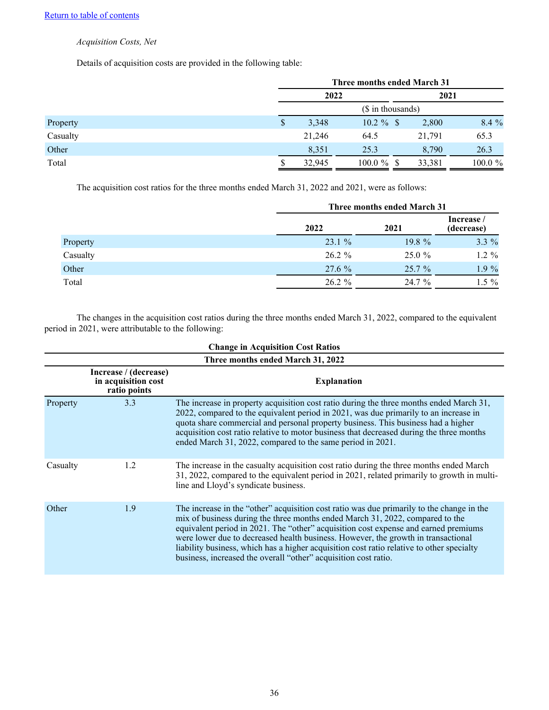## *Acquisition Costs, Net*

Details of acquisition costs are provided in the following table:

|          |   | Three months ended March 31 |                    |        |         |  |  |  |  |  |
|----------|---|-----------------------------|--------------------|--------|---------|--|--|--|--|--|
|          |   | 2022                        |                    | 2021   |         |  |  |  |  |  |
|          |   |                             | $($$ in thousands) |        |         |  |  |  |  |  |
| Property | S | 3,348                       | $10.2 \%$ \$       | 2,800  | $8.4\%$ |  |  |  |  |  |
| Casualty |   | 21,246                      | 64.5               | 21,791 | 65.3    |  |  |  |  |  |
| Other    |   | 8,351                       | 25.3               | 8,790  | 26.3    |  |  |  |  |  |
| Total    |   | 32.945                      | $100.0 \%$         | 33,381 | 100.0 % |  |  |  |  |  |

The acquisition cost ratios for the three months ended March 31, 2022 and 2021, were as follows:

|          | Three months ended March 31 |           |                          |  |  |  |  |
|----------|-----------------------------|-----------|--------------------------|--|--|--|--|
|          | 2022                        | 2021      | Increase /<br>(decrease) |  |  |  |  |
| Property | $23.1\%$                    | 19.8%     | $3.3\%$                  |  |  |  |  |
| Casualty | $26.2 \%$                   | $25.0 \%$ | $1.2 \%$                 |  |  |  |  |
| Other    | $27.6\%$                    | $25.7\%$  | $1.9\%$                  |  |  |  |  |
| Total    | $26.2 \%$                   | 24.7 %    | $1.5\%$                  |  |  |  |  |

The changes in the acquisition cost ratios during the three months ended March 31, 2022, compared to the equivalent period in 2021, were attributable to the following:

|          | <b>Change in Acquisition Cost Ratios</b>                     |                                                                                                                                                                                                                                                                                                                                                                                                                                                                                                                        |  |  |  |  |  |  |
|----------|--------------------------------------------------------------|------------------------------------------------------------------------------------------------------------------------------------------------------------------------------------------------------------------------------------------------------------------------------------------------------------------------------------------------------------------------------------------------------------------------------------------------------------------------------------------------------------------------|--|--|--|--|--|--|
|          | Three months ended March 31, 2022                            |                                                                                                                                                                                                                                                                                                                                                                                                                                                                                                                        |  |  |  |  |  |  |
|          | Increase / (decrease)<br>in acquisition cost<br>ratio points | <b>Explanation</b>                                                                                                                                                                                                                                                                                                                                                                                                                                                                                                     |  |  |  |  |  |  |
| Property | 3.3                                                          | The increase in property acquisition cost ratio during the three months ended March 31,<br>2022, compared to the equivalent period in 2021, was due primarily to an increase in<br>quota share commercial and personal property business. This business had a higher<br>acquisition cost ratio relative to motor business that decreased during the three months<br>ended March 31, 2022, compared to the same period in 2021.                                                                                         |  |  |  |  |  |  |
| Casualty | 1.2                                                          | The increase in the casualty acquisition cost ratio during the three months ended March<br>31, 2022, compared to the equivalent period in 2021, related primarily to growth in multi-<br>line and Lloyd's syndicate business.                                                                                                                                                                                                                                                                                          |  |  |  |  |  |  |
| Other    | 1.9                                                          | The increase in the "other" acquisition cost ratio was due primarily to the change in the<br>mix of business during the three months ended March 31, 2022, compared to the<br>equivalent period in 2021. The "other" acquisition cost expense and earned premiums<br>were lower due to decreased health business. However, the growth in transactional<br>liability business, which has a higher acquisition cost ratio relative to other specialty<br>business, increased the overall "other" acquisition cost ratio. |  |  |  |  |  |  |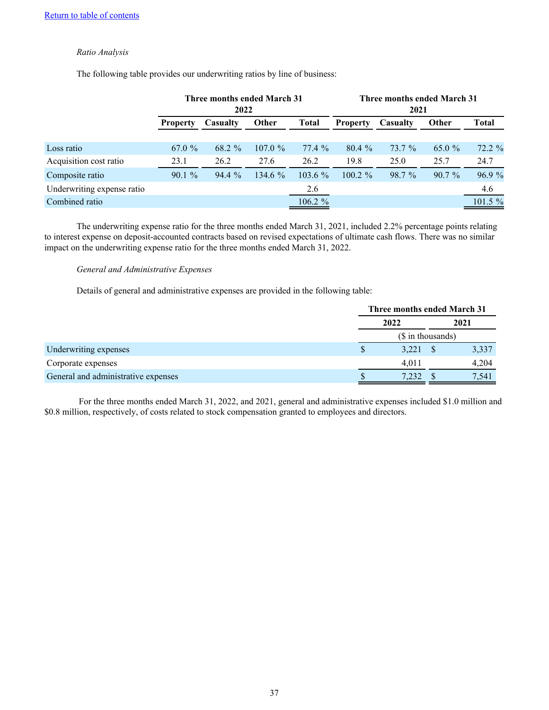### *Ratio Analysis*

The following table provides our underwriting ratios by line of business:

|                            | Three months ended March 31<br>2022 |          |            |            | 2021            | Three months ended March 31 |              |          |
|----------------------------|-------------------------------------|----------|------------|------------|-----------------|-----------------------------|--------------|----------|
|                            | <b>Property</b>                     | Casualty | Other      | Total      | <b>Property</b> | Casualty                    | <b>Other</b> | Total    |
|                            |                                     |          |            |            |                 |                             |              |          |
| Loss ratio                 | 67.0 $%$                            | 68.2 %   | $107.0 \%$ | 77.4%      | $80.4 \%$       | 73.7 %                      | 65.0 $%$     | $72.2\%$ |
| Acquisition cost ratio     | 23.1                                | 26.2     | 27.6       | 26.2       | 19.8            | 25.0                        | 25.7         | 24.7     |
| Composite ratio            | $90.1 \%$                           | 94.4%    | $134.6 \%$ | $103.6 \%$ | $100.2 \%$      | $98.7 \%$                   | $90.7\%$     | 96.9%    |
| Underwriting expense ratio |                                     |          |            | 2.6        |                 |                             |              | 4.6      |
| Combined ratio             |                                     |          |            | 106.2 %    |                 |                             |              | 101.5 %  |

The underwriting expense ratio for the three months ended March 31, 2021, included 2.2% percentage points relating to interest expense on deposit-accounted contracts based on revised expectations of ultimate cash flows. There was no similar impact on the underwriting expense ratio for the three months ended March 31, 2022.

#### *General and Administrative Expenses*

Details of general and administrative expenses are provided in the following table:

|                                     |    | Three months ended March 31 |  |       |  |  |  |
|-------------------------------------|----|-----------------------------|--|-------|--|--|--|
|                                     |    | 2022                        |  | 2021  |  |  |  |
|                                     |    | (\$ in thousands)           |  |       |  |  |  |
| Underwriting expenses               | S  | 3,221                       |  | 3,337 |  |  |  |
| Corporate expenses                  |    | 4.011                       |  | 4,204 |  |  |  |
| General and administrative expenses | ۰D | 7.232                       |  | 7,541 |  |  |  |

 For the three months ended March 31, 2022, and 2021, general and administrative expenses included \$1.0 million and \$0.8 million, respectively, of costs related to stock compensation granted to employees and directors.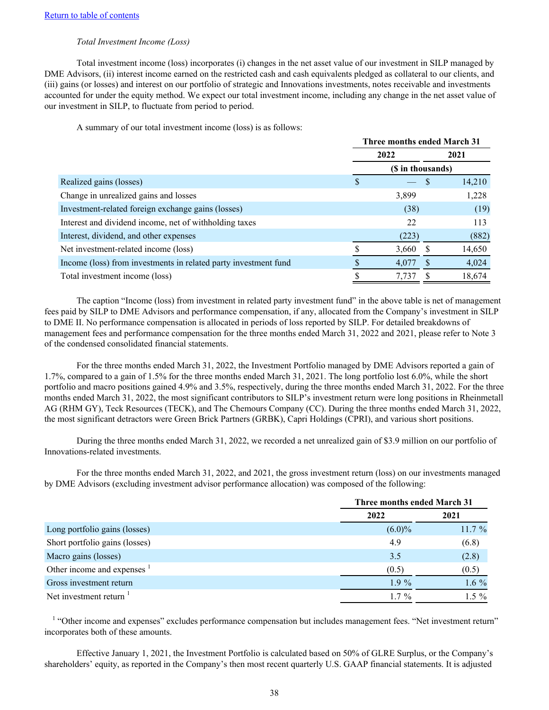#### *Total Investment Income (Loss)*

Total investment income (loss) incorporates (i) changes in the net asset value of our investment in SILP managed by DME Advisors, (ii) interest income earned on the restricted cash and cash equivalents pledged as collateral to our clients, and (iii) gains (or losses) and interest on our portfolio of strategic and Innovations investments, notes receivable and investments accounted for under the equity method. We expect our total investment income, including any change in the net asset value of our investment in SILP, to fluctuate from period to period.

A summary of our total investment income (loss) is as follows:

|                                                                 |      | <b>Three months ended March 31</b> |  |        |  |  |
|-----------------------------------------------------------------|------|------------------------------------|--|--------|--|--|
|                                                                 | 2022 |                                    |  | 2021   |  |  |
|                                                                 |      | (\$ in thousands)                  |  |        |  |  |
| Realized gains (losses)                                         | S    |                                    |  | 14,210 |  |  |
| Change in unrealized gains and losses                           |      | 3,899                              |  | 1,228  |  |  |
| Investment-related foreign exchange gains (losses)              |      | (38)                               |  | (19)   |  |  |
| Interest and dividend income, net of withholding taxes          |      | 22                                 |  | 113    |  |  |
| Interest, dividend, and other expenses                          |      | (223)                              |  | (882)  |  |  |
| Net investment-related income (loss)                            |      | 3,660                              |  | 14,650 |  |  |
| Income (loss) from investments in related party investment fund |      | 4,077                              |  | 4,024  |  |  |
| Total investment income (loss)                                  |      | 7.737                              |  | 18,674 |  |  |
|                                                                 |      |                                    |  |        |  |  |

The caption "Income (loss) from investment in related party investment fund" in the above table is net of management fees paid by SILP to DME Advisors and performance compensation, if any, allocated from the Company's investment in SILP to DME II. No performance compensation is allocated in periods of loss reported by SILP. For detailed breakdowns of management fees and performance compensation for the three months ended March 31, 2022 and 2021, please refer to Note 3 of the condensed consolidated financial statements.

For the three months ended March 31, 2022, the Investment Portfolio managed by DME Advisors reported a gain of 1.7%, compared to a gain of 1.5% for the three months ended March 31, 2021. The long portfolio lost 6.0%, while the short portfolio and macro positions gained 4.9% and 3.5%, respectively, during the three months ended March 31, 2022. For the three months ended March 31, 2022, the most significant contributors to SILP's investment return were long positions in Rheinmetall AG (RHM GY), Teck Resources (TECK), and The Chemours Company (CC). During the three months ended March 31, 2022, the most significant detractors were Green Brick Partners (GRBK), Capri Holdings (CPRI), and various short positions.

During the three months ended March 31, 2022, we recorded a net unrealized gain of \$3.9 million on our portfolio of Innovations-related investments.

For the three months ended March 31, 2022, and 2021, the gross investment return (loss) on our investments managed by DME Advisors (excluding investment advisor performance allocation) was composed of the following:

|                                        | Three months ended March 31 |         |
|----------------------------------------|-----------------------------|---------|
|                                        | 2022                        | 2021    |
| Long portfolio gains (losses)          | $(6.0)\%$                   | 11.7%   |
| Short portfolio gains (losses)         | 4.9                         | (6.8)   |
| Macro gains (losses)                   | 3.5                         | (2.8)   |
| Other income and expenses <sup>1</sup> | (0.5)                       | (0.5)   |
| Gross investment return                | $1.9\%$                     | 1.6 $%$ |
| Net investment return $\frac{1}{1}$    | $1.7\%$                     | $1.5\%$ |

<sup>1</sup> "Other income and expenses" excludes performance compensation but includes management fees. "Net investment return" incorporates both of these amounts.

Effective January 1, 2021, the Investment Portfolio is calculated based on 50% of GLRE Surplus, or the Company's shareholders' equity, as reported in the Company's then most recent quarterly U.S. GAAP financial statements. It is adjusted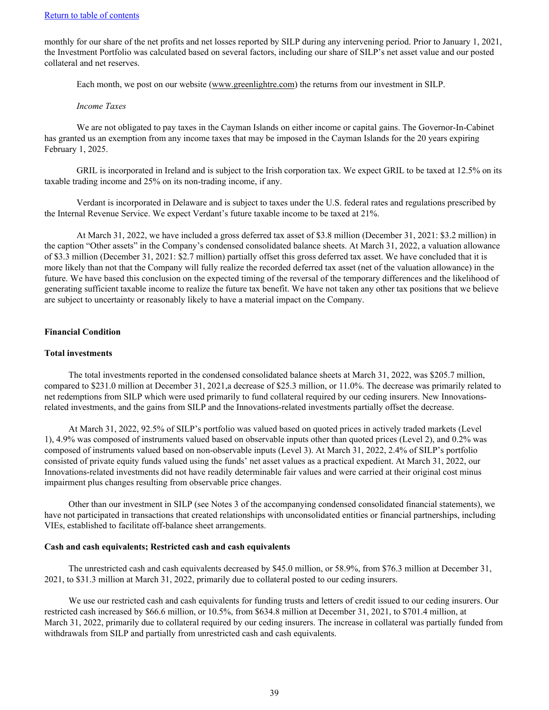monthly for our share of the net profits and net losses reported by SILP during any intervening period. Prior to January 1, 2021, the Investment Portfolio was calculated based on several factors, including our share of SILP's net asset value and our posted collateral and net reserves.

Each month, we post on our website (www.greenlightre.com) the returns from our investment in SILP.

#### *Income Taxes*

We are not obligated to pay taxes in the Cayman Islands on either income or capital gains. The Governor-In-Cabinet has granted us an exemption from any income taxes that may be imposed in the Cayman Islands for the 20 years expiring February 1, 2025.

GRIL is incorporated in Ireland and is subject to the Irish corporation tax. We expect GRIL to be taxed at 12.5% on its taxable trading income and 25% on its non-trading income, if any.

Verdant is incorporated in Delaware and is subject to taxes under the U.S. federal rates and regulations prescribed by the Internal Revenue Service. We expect Verdant's future taxable income to be taxed at 21%.

At March 31, 2022, we have included a gross deferred tax asset of \$3.8 million (December 31, 2021: \$3.2 million) in the caption "Other assets" in the Company's condensed consolidated balance sheets. At March 31, 2022, a valuation allowance of \$3.3 million (December 31, 2021: \$2.7 million) partially offset this gross deferred tax asset. We have concluded that it is more likely than not that the Company will fully realize the recorded deferred tax asset (net of the valuation allowance) in the future. We have based this conclusion on the expected timing of the reversal of the temporary differences and the likelihood of generating sufficient taxable income to realize the future tax benefit. We have not taken any other tax positions that we believe are subject to uncertainty or reasonably likely to have a material impact on the Company.

#### **Financial Condition**

#### **Total investments**

The total investments reported in the condensed consolidated balance sheets at March 31, 2022, was \$205.7 million, compared to \$231.0 million at December 31, 2021,a decrease of \$25.3 million, or 11.0%. The decrease was primarily related to net redemptions from SILP which were used primarily to fund collateral required by our ceding insurers. New Innovationsrelated investments, and the gains from SILP and the Innovations-related investments partially offset the decrease.

At March 31, 2022, 92.5% of SILP's portfolio was valued based on quoted prices in actively traded markets (Level 1), 4.9% was composed of instruments valued based on observable inputs other than quoted prices (Level 2), and 0.2% was composed of instruments valued based on non-observable inputs (Level 3). At March 31, 2022, 2.4% of SILP's portfolio consisted of private equity funds valued using the funds' net asset values as a practical expedient. At March 31, 2022, our Innovations-related investments did not have readily determinable fair values and were carried at their original cost minus impairment plus changes resulting from observable price changes.

Other than our investment in SILP (see Notes 3 of the accompanying condensed consolidated financial statements), we have not participated in transactions that created relationships with unconsolidated entities or financial partnerships, including VIEs, established to facilitate off-balance sheet arrangements.

## **Cash and cash equivalents; Restricted cash and cash equivalents**

The unrestricted cash and cash equivalents decreased by \$45.0 million, or 58.9%, from \$76.3 million at December 31, 2021, to \$31.3 million at March 31, 2022, primarily due to collateral posted to our ceding insurers.

We use our restricted cash and cash equivalents for funding trusts and letters of credit issued to our ceding insurers. Our restricted cash increased by \$66.6 million, or 10.5%, from \$634.8 million at December 31, 2021, to \$701.4 million, at March 31, 2022, primarily due to collateral required by our ceding insurers. The increase in collateral was partially funded from withdrawals from SILP and partially from unrestricted cash and cash equivalents.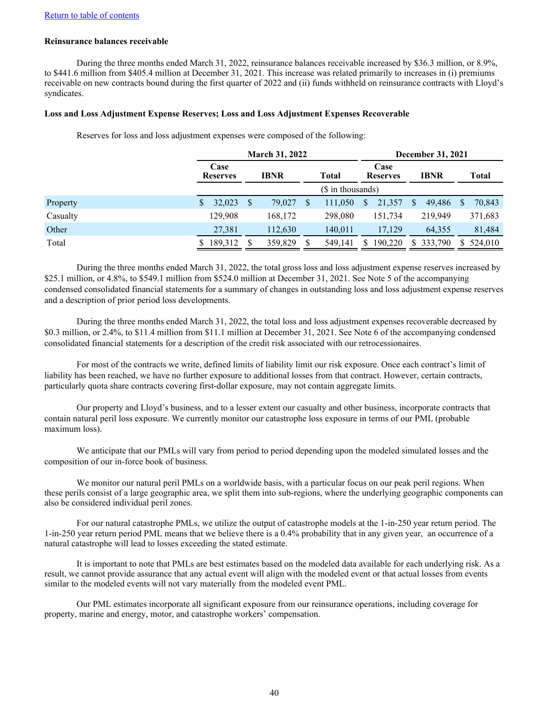#### **Reinsurance balances receivable**

During the three months ended March 31, 2022, reinsurance balances receivable increased by \$36.3 million, or 8.9%, to \$441.6 million from \$405.4 million at December 31, 2021. This increase was related primarily to increases in (i) premiums receivable on new contracts bound during the first quarter of 2022 and (ii) funds withheld on reinsurance contracts with Lloyd's syndicates.

#### **Loss and Loss Adjustment Expense Reserves; Loss and Loss Adjustment Expenses Recoverable**

|          | <b>March 31, 2022</b>   |               |             |  | December 31, 2021 |   |                         |    |             |    |              |
|----------|-------------------------|---------------|-------------|--|-------------------|---|-------------------------|----|-------------|----|--------------|
|          | Case<br><b>Reserves</b> |               | <b>IBNR</b> |  | <b>Total</b>      |   | Case<br><b>Reserves</b> |    | <b>IBNR</b> |    | <b>Total</b> |
|          |                         |               |             |  | (\$ in thousands) |   |                         |    |             |    |              |
| Property | 32,023<br><sup>S</sup>  | <sup>\$</sup> | 79,027      |  | 111.050           | S | 21,357                  | \$ | 49.486      | \$ | 70,843       |
| Casualty | 129.908                 |               | 168,172     |  | 298,080           |   | 151,734                 |    | 219.949     |    | 371,683      |
| Other    | 27,381                  |               | 112.630     |  | 140.011           |   | 17,129                  |    | 64,355      |    | 81,484       |
| Total    | 189,312                 |               | 359,829     |  | 549,141           |   | 190,220                 | S. | 333,790     | S. | 524.010      |

Reserves for loss and loss adjustment expenses were composed of the following:

During the three months ended March 31, 2022, the total gross loss and loss adjustment expense reserves increased by \$25.1 million, or 4.8%, to \$549.1 million from \$524.0 million at December 31, 2021. See Note 5 of the accompanying condensed consolidated financial statements for a summary of changes in outstanding loss and loss adjustment expense reserves and a description of prior period loss developments.

During the three months ended March 31, 2022, the total loss and loss adjustment expenses recoverable decreased by \$0.3 million, or 2.4%, to \$11.4 million from \$11.1 million at December 31, 2021. See Note 6 of the accompanying condensed consolidated financial statements for a description of the credit risk associated with our retrocessionaires.

For most of the contracts we write, defined limits of liability limit our risk exposure. Once each contract's limit of liability has been reached, we have no further exposure to additional losses from that contract. However, certain contracts, particularly quota share contracts covering first-dollar exposure, may not contain aggregate limits.

Our property and Lloyd's business, and to a lesser extent our casualty and other business, incorporate contracts that contain natural peril loss exposure. We currently monitor our catastrophe loss exposure in terms of our PML (probable maximum loss).

We anticipate that our PMLs will vary from period to period depending upon the modeled simulated losses and the composition of our in-force book of business.

We monitor our natural peril PMLs on a worldwide basis, with a particular focus on our peak peril regions. When these perils consist of a large geographic area, we split them into sub-regions, where the underlying geographic components can also be considered individual peril zones.

For our natural catastrophe PMLs, we utilize the output of catastrophe models at the 1-in-250 year return period. The 1-in-250 year return period PML means that we believe there is a 0.4% probability that in any given year, an occurrence of a natural catastrophe will lead to losses exceeding the stated estimate.

It is important to note that PMLs are best estimates based on the modeled data available for each underlying risk. As a result, we cannot provide assurance that any actual event will align with the modeled event or that actual losses from events similar to the modeled events will not vary materially from the modeled event PML.

Our PML estimates incorporate all significant exposure from our reinsurance operations, including coverage for property, marine and energy, motor, and catastrophe workers' compensation.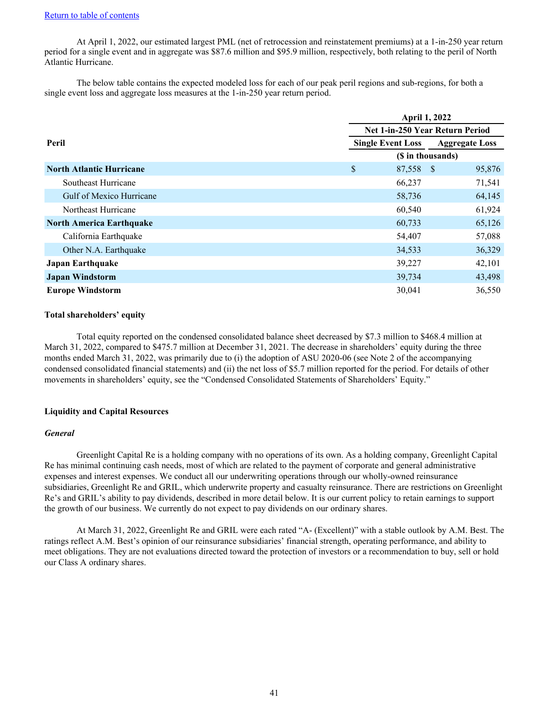At April 1, 2022, our estimated largest PML (net of retrocession and reinstatement premiums) at a 1-in-250 year return period for a single event and in aggregate was \$87.6 million and \$95.9 million, respectively, both relating to the peril of North Atlantic Hurricane.

The below table contains the expected modeled loss for each of our peak peril regions and sub-regions, for both a single event loss and aggregate loss measures at the 1-in-250 year return period.

|                                 | April 1, 2022                   |                          |  |                       |  |  |  |  |
|---------------------------------|---------------------------------|--------------------------|--|-----------------------|--|--|--|--|
|                                 | Net 1-in-250 Year Return Period |                          |  |                       |  |  |  |  |
| Peril                           |                                 | <b>Single Event Loss</b> |  | <b>Aggregate Loss</b> |  |  |  |  |
|                                 |                                 | (\$ in thousands)        |  |                       |  |  |  |  |
| <b>North Atlantic Hurricane</b> | \$                              | 87,558 \$                |  | 95,876                |  |  |  |  |
| Southeast Hurricane             |                                 | 66,237                   |  | 71,541                |  |  |  |  |
| <b>Gulf of Mexico Hurricane</b> |                                 | 58,736                   |  | 64,145                |  |  |  |  |
| Northeast Hurricane             |                                 | 60,540                   |  | 61,924                |  |  |  |  |
| <b>North America Earthquake</b> |                                 | 60,733                   |  | 65,126                |  |  |  |  |
| California Earthquake           |                                 | 54,407                   |  | 57,088                |  |  |  |  |
| Other N.A. Earthquake           |                                 | 34,533                   |  | 36,329                |  |  |  |  |
| <b>Japan Earthquake</b>         |                                 | 39,227                   |  | 42,101                |  |  |  |  |
| <b>Japan Windstorm</b>          |                                 | 39,734                   |  | 43,498                |  |  |  |  |
| <b>Europe Windstorm</b>         |                                 | 30,041                   |  | 36,550                |  |  |  |  |

## **Total shareholders' equity**

Total equity reported on the condensed consolidated balance sheet decreased by \$7.3 million to \$468.4 million at March 31, 2022, compared to \$475.7 million at December 31, 2021. The decrease in shareholders' equity during the three months ended March 31, 2022, was primarily due to (i) the adoption of ASU 2020-06 (see Note 2 of the accompanying condensed consolidated financial statements) and (ii) the net loss of \$5.7 million reported for the period. For details of other movements in shareholders' equity, see the "Condensed Consolidated Statements of Shareholders' Equity."

#### **Liquidity and Capital Resources**

### *General*

Greenlight Capital Re is a holding company with no operations of its own. As a holding company, Greenlight Capital Re has minimal continuing cash needs, most of which are related to the payment of corporate and general administrative expenses and interest expenses. We conduct all our underwriting operations through our wholly-owned reinsurance subsidiaries, Greenlight Re and GRIL, which underwrite property and casualty reinsurance. There are restrictions on Greenlight Re's and GRIL's ability to pay dividends, described in more detail below. It is our current policy to retain earnings to support the growth of our business. We currently do not expect to pay dividends on our ordinary shares.

At March 31, 2022, Greenlight Re and GRIL were each rated "A- (Excellent)" with a stable outlook by A.M. Best. The ratings reflect A.M. Best's opinion of our reinsurance subsidiaries' financial strength, operating performance, and ability to meet obligations. They are not evaluations directed toward the protection of investors or a recommendation to buy, sell or hold our Class A ordinary shares.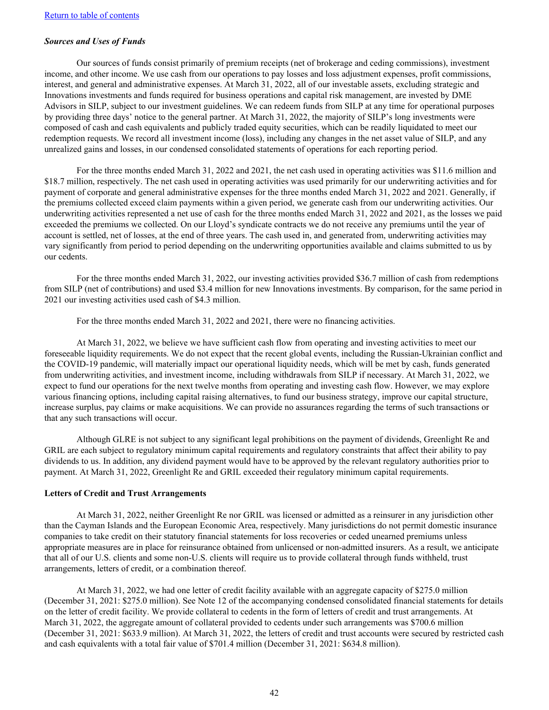#### *Sources and Uses of Funds*

Our sources of funds consist primarily of premium receipts (net of brokerage and ceding commissions), investment income, and other income. We use cash from our operations to pay losses and loss adjustment expenses, profit commissions, interest, and general and administrative expenses. At March 31, 2022, all of our investable assets, excluding strategic and Innovations investments and funds required for business operations and capital risk management, are invested by DME Advisors in SILP, subject to our investment guidelines. We can redeem funds from SILP at any time for operational purposes by providing three days' notice to the general partner. At March 31, 2022, the majority of SILP's long investments were composed of cash and cash equivalents and publicly traded equity securities, which can be readily liquidated to meet our redemption requests. We record all investment income (loss), including any changes in the net asset value of SILP, and any unrealized gains and losses, in our condensed consolidated statements of operations for each reporting period.

For the three months ended March 31, 2022 and 2021, the net cash used in operating activities was \$11.6 million and \$18.7 million, respectively. The net cash used in operating activities was used primarily for our underwriting activities and for payment of corporate and general administrative expenses for the three months ended March 31, 2022 and 2021. Generally, if the premiums collected exceed claim payments within a given period, we generate cash from our underwriting activities. Our underwriting activities represented a net use of cash for the three months ended March 31, 2022 and 2021, as the losses we paid exceeded the premiums we collected. On our Lloyd's syndicate contracts we do not receive any premiums until the year of account is settled, net of losses, at the end of three years. The cash used in, and generated from, underwriting activities may vary significantly from period to period depending on the underwriting opportunities available and claims submitted to us by our cedents.

For the three months ended March 31, 2022, our investing activities provided \$36.7 million of cash from redemptions from SILP (net of contributions) and used \$3.4 million for new Innovations investments. By comparison, for the same period in 2021 our investing activities used cash of \$4.3 million.

For the three months ended March 31, 2022 and 2021, there were no financing activities.

At March 31, 2022, we believe we have sufficient cash flow from operating and investing activities to meet our foreseeable liquidity requirements. We do not expect that the recent global events, including the Russian-Ukrainian conflict and the COVID-19 pandemic, will materially impact our operational liquidity needs, which will be met by cash, funds generated from underwriting activities, and investment income, including withdrawals from SILP if necessary. At March 31, 2022, we expect to fund our operations for the next twelve months from operating and investing cash flow. However, we may explore various financing options, including capital raising alternatives, to fund our business strategy, improve our capital structure, increase surplus, pay claims or make acquisitions. We can provide no assurances regarding the terms of such transactions or that any such transactions will occur.

Although GLRE is not subject to any significant legal prohibitions on the payment of dividends, Greenlight Re and GRIL are each subject to regulatory minimum capital requirements and regulatory constraints that affect their ability to pay dividends to us. In addition, any dividend payment would have to be approved by the relevant regulatory authorities prior to payment. At March 31, 2022, Greenlight Re and GRIL exceeded their regulatory minimum capital requirements.

## **Letters of Credit and Trust Arrangements**

At March 31, 2022, neither Greenlight Re nor GRIL was licensed or admitted as a reinsurer in any jurisdiction other than the Cayman Islands and the European Economic Area, respectively. Many jurisdictions do not permit domestic insurance companies to take credit on their statutory financial statements for loss recoveries or ceded unearned premiums unless appropriate measures are in place for reinsurance obtained from unlicensed or non-admitted insurers. As a result, we anticipate that all of our U.S. clients and some non-U.S. clients will require us to provide collateral through funds withheld, trust arrangements, letters of credit, or a combination thereof.

At March 31, 2022, we had one letter of credit facility available with an aggregate capacity of \$275.0 million (December 31, 2021: \$275.0 million). See Note 12 of the accompanying condensed consolidated financial statements for details on the letter of credit facility. We provide collateral to cedents in the form of letters of credit and trust arrangements. At March 31, 2022, the aggregate amount of collateral provided to cedents under such arrangements was \$700.6 million (December 31, 2021: \$633.9 million). At March 31, 2022, the letters of credit and trust accounts were secured by restricted cash and cash equivalents with a total fair value of \$701.4 million (December 31, 2021: \$634.8 million).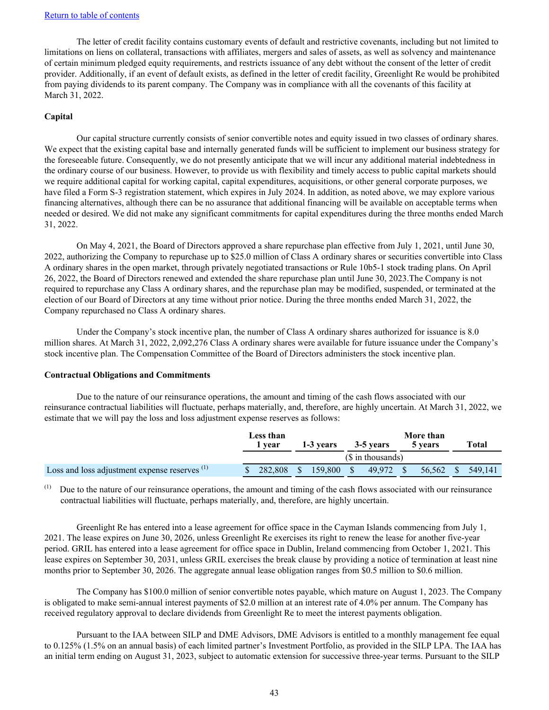The letter of credit facility contains customary events of default and restrictive covenants, including but not limited to limitations on liens on collateral, transactions with affiliates, mergers and sales of assets, as well as solvency and maintenance of certain minimum pledged equity requirements, and restricts issuance of any debt without the consent of the letter of credit provider. Additionally, if an event of default exists, as defined in the letter of credit facility, Greenlight Re would be prohibited from paying dividends to its parent company. The Company was in compliance with all the covenants of this facility at March 31, 2022.

#### **Capital**

Our capital structure currently consists of senior convertible notes and equity issued in two classes of ordinary shares. We expect that the existing capital base and internally generated funds will be sufficient to implement our business strategy for the foreseeable future. Consequently, we do not presently anticipate that we will incur any additional material indebtedness in the ordinary course of our business. However, to provide us with flexibility and timely access to public capital markets should we require additional capital for working capital, capital expenditures, acquisitions, or other general corporate purposes, we have filed a Form S-3 registration statement, which expires in July 2024. In addition, as noted above, we may explore various financing alternatives, although there can be no assurance that additional financing will be available on acceptable terms when needed or desired. We did not make any significant commitments for capital expenditures during the three months ended March 31, 2022.

On May 4, 2021, the Board of Directors approved a share repurchase plan effective from July 1, 2021, until June 30, 2022, authorizing the Company to repurchase up to \$25.0 million of Class A ordinary shares or securities convertible into Class A ordinary shares in the open market, through privately negotiated transactions or Rule 10b5-1 stock trading plans. On April 26, 2022, the Board of Directors renewed and extended the share repurchase plan until June 30, 2023.The Company is not required to repurchase any Class A ordinary shares, and the repurchase plan may be modified, suspended, or terminated at the election of our Board of Directors at any time without prior notice. During the three months ended March 31, 2022, the Company repurchased no Class A ordinary shares.

Under the Company's stock incentive plan, the number of Class A ordinary shares authorized for issuance is 8.0 million shares. At March 31, 2022, 2,092,276 Class A ordinary shares were available for future issuance under the Company's stock incentive plan. The Compensation Committee of the Board of Directors administers the stock incentive plan.

#### **Contractual Obligations and Commitments**

Due to the nature of our reinsurance operations, the amount and timing of the cash flows associated with our reinsurance contractual liabilities will fluctuate, perhaps materially, and, therefore, are highly uncertain. At March 31, 2022, we estimate that we will pay the loss and loss adjustment expense reserves as follows:

|                                                          | Less than |         |              |           |      |                   |         |  |         |
|----------------------------------------------------------|-----------|---------|--------------|-----------|------|-------------------|---------|--|---------|
|                                                          |           | l vear  |              | 1-3 vears |      | 3-5 years         | 5 years |  | Total   |
|                                                          |           |         |              |           |      | (\$ in thousands) |         |  |         |
| Loss and loss adjustment expense reserves <sup>(1)</sup> |           | 282.808 | <sup>S</sup> | 159.800   | - \$ | 49.972 \$         | 56.562  |  | 549.141 |

 $<sup>(1)</sup>$  Due to the nature of our reinsurance operations, the amount and timing of the cash flows associated with our reinsurance</sup> contractual liabilities will fluctuate, perhaps materially, and, therefore, are highly uncertain.

Greenlight Re has entered into a lease agreement for office space in the Cayman Islands commencing from July 1, 2021. The lease expires on June 30, 2026, unless Greenlight Re exercises its right to renew the lease for another five-year period. GRIL has entered into a lease agreement for office space in Dublin, Ireland commencing from October 1, 2021. This lease expires on September 30, 2031, unless GRIL exercises the break clause by providing a notice of termination at least nine months prior to September 30, 2026. The aggregate annual lease obligation ranges from \$0.5 million to \$0.6 million.

The Company has \$100.0 million of senior convertible notes payable, which mature on August 1, 2023. The Company is obligated to make semi-annual interest payments of \$2.0 million at an interest rate of 4.0% per annum. The Company has received regulatory approval to declare dividends from Greenlight Re to meet the interest payments obligation.

Pursuant to the IAA between SILP and DME Advisors, DME Advisors is entitled to a monthly management fee equal to 0.125% (1.5% on an annual basis) of each limited partner's Investment Portfolio, as provided in the SILP LPA. The IAA has an initial term ending on August 31, 2023, subject to automatic extension for successive three-year terms. Pursuant to the SILP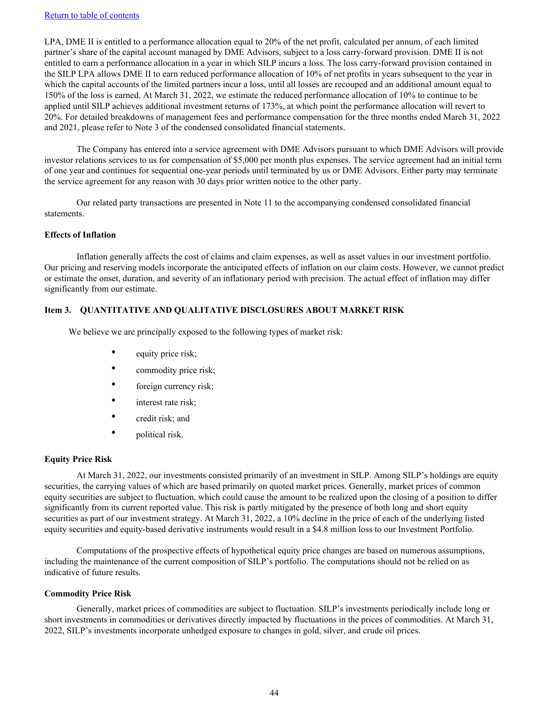LPA, DME II is entitled to a performance allocation equal to 20% of the net profit, calculated per annum, of each limited partner's share of the capital account managed by DME Advisors, subject to a loss carry-forward provision. DME II is not entitled to earn a performance allocation in a year in which SILP incurs a loss. The loss carry-forward provision contained in the SILP LPA allows DME II to earn reduced performance allocation of 10% of net profits in years subsequent to the year in which the capital accounts of the limited partners incur a loss, until all losses are recouped and an additional amount equal to 150% of the loss is earned. At March 31, 2022, we estimate the reduced performance allocation of 10% to continue to be applied until SILP achieves additional investment returns of 173%, at which point the performance allocation will revert to 20%. For detailed breakdowns of management fees and performance compensation for the three months ended March 31, 2022 and 2021, please refer to Note 3 of the condensed consolidated financial statements.

The Company has entered into a service agreement with DME Advisors pursuant to which DME Advisors will provide investor relations services to us for compensation of \$5,000 per month plus expenses. The service agreement had an initial term of one year and continues for sequential one-year periods until terminated by us or DME Advisors. Either party may terminate the service agreement for any reason with 30 days prior written notice to the other party.

Our related party transactions are presented in Note 11 to the accompanying condensed consolidated financial statements.

#### **Effects of Inflation**

Inflation generally affects the cost of claims and claim expenses, as well as asset values in our investment portfolio. Our pricing and reserving models incorporate the anticipated effects of inflation on our claim costs. However, we cannot predict or estimate the onset, duration, and severity of an inflationary period with precision. The actual effect of inflation may differ significantly from our estimate.

## **Item 3. QUANTITATIVE AND QUALITATIVE DISCLOSURES ABOUT MARKET RISK**

We believe we are principally exposed to the following types of market risk:

- equity price risk;
- commodity price risk;
- foreign currency risk;
- interest rate risk;
- credit risk; and
- political risk.

## **Equity Price Risk**

At March 31, 2022, our investments consisted primarily of an investment in SILP. Among SILP's holdings are equity securities, the carrying values of which are based primarily on quoted market prices. Generally, market prices of common equity securities are subject to fluctuation, which could cause the amount to be realized upon the closing of a position to differ significantly from its current reported value. This risk is partly mitigated by the presence of both long and short equity securities as part of our investment strategy. At March 31, 2022, a 10% decline in the price of each of the underlying listed equity securities and equity-based derivative instruments would result in a \$4.8 million loss to our Investment Portfolio.

Computations of the prospective effects of hypothetical equity price changes are based on numerous assumptions, including the maintenance of the current composition of SILP's portfolio. The computations should not be relied on as indicative of future results.

#### **Commodity Price Risk**

Generally, market prices of commodities are subject to fluctuation. SILP's investments periodically include long or short investments in commodities or derivatives directly impacted by fluctuations in the prices of commodities. At March 31, 2022, SILP's investments incorporate unhedged exposure to changes in gold, silver, and crude oil prices.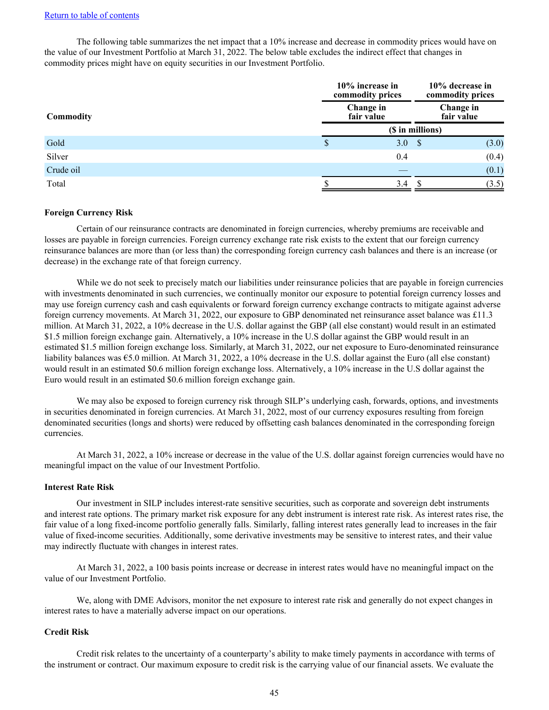The following table summarizes the net impact that a 10% increase and decrease in commodity prices would have on the value of our Investment Portfolio at March 31, 2022. The below table excludes the indirect effect that changes in commodity prices might have on equity securities in our Investment Portfolio.

|           | 10% increase in<br>commodity prices |     | 10% decrease in<br>commodity prices |                         |  |
|-----------|-------------------------------------|-----|-------------------------------------|-------------------------|--|
| Commodity | Change in<br>fair value             |     |                                     | Change in<br>fair value |  |
|           |                                     |     | (\$ in millions)                    |                         |  |
| Gold      | \$                                  | 3.0 | <b>S</b>                            | (3.0)                   |  |
| Silver    |                                     | 0.4 |                                     | (0.4)                   |  |
| Crude oil |                                     |     |                                     | (0.1)                   |  |
| Total     |                                     | 3.4 |                                     | (3.5)                   |  |

#### **Foreign Currency Risk**

Certain of our reinsurance contracts are denominated in foreign currencies, whereby premiums are receivable and losses are payable in foreign currencies. Foreign currency exchange rate risk exists to the extent that our foreign currency reinsurance balances are more than (or less than) the corresponding foreign currency cash balances and there is an increase (or decrease) in the exchange rate of that foreign currency.

While we do not seek to precisely match our liabilities under reinsurance policies that are payable in foreign currencies with investments denominated in such currencies, we continually monitor our exposure to potential foreign currency losses and may use foreign currency cash and cash equivalents or forward foreign currency exchange contracts to mitigate against adverse foreign currency movements. At March 31, 2022, our exposure to GBP denominated net reinsurance asset balance was £11.3 million. At March 31, 2022, a 10% decrease in the U.S. dollar against the GBP (all else constant) would result in an estimated \$1.5 million foreign exchange gain. Alternatively, a 10% increase in the U.S dollar against the GBP would result in an estimated \$1.5 million foreign exchange loss. Similarly, at March 31, 2022, our net exposure to Euro-denominated reinsurance liability balances was  $\epsilon$ 5.0 million. At March 31, 2022, a 10% decrease in the U.S. dollar against the Euro (all else constant) would result in an estimated \$0.6 million foreign exchange loss. Alternatively, a 10% increase in the U.S dollar against the Euro would result in an estimated \$0.6 million foreign exchange gain.

We may also be exposed to foreign currency risk through SILP's underlying cash, forwards, options, and investments in securities denominated in foreign currencies. At March 31, 2022, most of our currency exposures resulting from foreign denominated securities (longs and shorts) were reduced by offsetting cash balances denominated in the corresponding foreign currencies.

At March 31, 2022, a 10% increase or decrease in the value of the U.S. dollar against foreign currencies would have no meaningful impact on the value of our Investment Portfolio.

#### **Interest Rate Risk**

Our investment in SILP includes interest-rate sensitive securities, such as corporate and sovereign debt instruments and interest rate options. The primary market risk exposure for any debt instrument is interest rate risk. As interest rates rise, the fair value of a long fixed-income portfolio generally falls. Similarly, falling interest rates generally lead to increases in the fair value of fixed-income securities. Additionally, some derivative investments may be sensitive to interest rates, and their value may indirectly fluctuate with changes in interest rates.

At March 31, 2022, a 100 basis points increase or decrease in interest rates would have no meaningful impact on the value of our Investment Portfolio.

We, along with DME Advisors, monitor the net exposure to interest rate risk and generally do not expect changes in interest rates to have a materially adverse impact on our operations.

### **Credit Risk**

Credit risk relates to the uncertainty of a counterparty's ability to make timely payments in accordance with terms of the instrument or contract. Our maximum exposure to credit risk is the carrying value of our financial assets. We evaluate the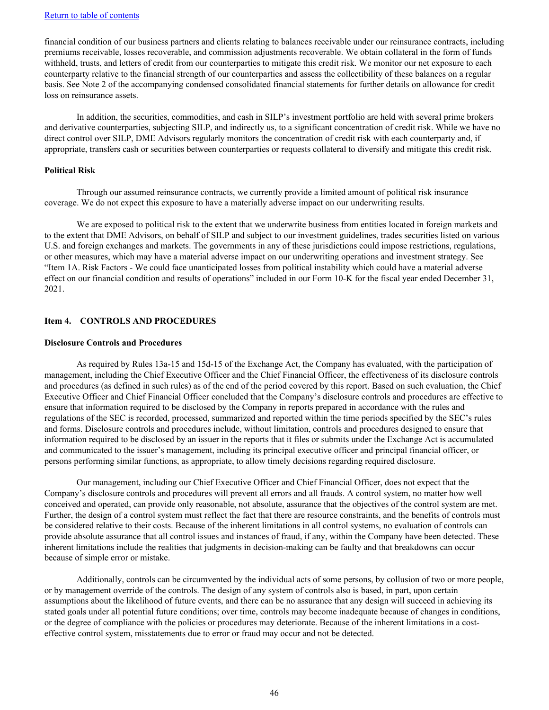financial condition of our business partners and clients relating to balances receivable under our reinsurance contracts, including premiums receivable, losses recoverable, and commission adjustments recoverable. We obtain collateral in the form of funds withheld, trusts, and letters of credit from our counterparties to mitigate this credit risk. We monitor our net exposure to each counterparty relative to the financial strength of our counterparties and assess the collectibility of these balances on a regular basis. See Note 2 of the accompanying condensed consolidated financial statements for further details on allowance for credit loss on reinsurance assets.

In addition, the securities, commodities, and cash in SILP's investment portfolio are held with several prime brokers and derivative counterparties, subjecting SILP, and indirectly us, to a significant concentration of credit risk. While we have no direct control over SILP, DME Advisors regularly monitors the concentration of credit risk with each counterparty and, if appropriate, transfers cash or securities between counterparties or requests collateral to diversify and mitigate this credit risk.

## **Political Risk**

Through our assumed reinsurance contracts, we currently provide a limited amount of political risk insurance coverage. We do not expect this exposure to have a materially adverse impact on our underwriting results.

We are exposed to political risk to the extent that we underwrite business from entities located in foreign markets and to the extent that DME Advisors, on behalf of SILP and subject to our investment guidelines, trades securities listed on various U.S. and foreign exchanges and markets. The governments in any of these jurisdictions could impose restrictions, regulations, or other measures, which may have a material adverse impact on our underwriting operations and investment strategy. See "Item 1A. Risk Factors - We could face unanticipated losses from political instability which could have a material adverse effect on our financial condition and results of operations" included in our Form 10-K for the fiscal year ended December 31, 2021.

#### **Item 4. CONTROLS AND PROCEDURES**

#### **Disclosure Controls and Procedures**

As required by Rules 13a-15 and 15d-15 of the Exchange Act, the Company has evaluated, with the participation of management, including the Chief Executive Officer and the Chief Financial Officer, the effectiveness of its disclosure controls and procedures (as defined in such rules) as of the end of the period covered by this report. Based on such evaluation, the Chief Executive Officer and Chief Financial Officer concluded that the Company's disclosure controls and procedures are effective to ensure that information required to be disclosed by the Company in reports prepared in accordance with the rules and regulations of the SEC is recorded, processed, summarized and reported within the time periods specified by the SEC's rules and forms. Disclosure controls and procedures include, without limitation, controls and procedures designed to ensure that information required to be disclosed by an issuer in the reports that it files or submits under the Exchange Act is accumulated and communicated to the issuer's management, including its principal executive officer and principal financial officer, or persons performing similar functions, as appropriate, to allow timely decisions regarding required disclosure.

Our management, including our Chief Executive Officer and Chief Financial Officer, does not expect that the Company's disclosure controls and procedures will prevent all errors and all frauds. A control system, no matter how well conceived and operated, can provide only reasonable, not absolute, assurance that the objectives of the control system are met. Further, the design of a control system must reflect the fact that there are resource constraints, and the benefits of controls must be considered relative to their costs. Because of the inherent limitations in all control systems, no evaluation of controls can provide absolute assurance that all control issues and instances of fraud, if any, within the Company have been detected. These inherent limitations include the realities that judgments in decision-making can be faulty and that breakdowns can occur because of simple error or mistake.

Additionally, controls can be circumvented by the individual acts of some persons, by collusion of two or more people, or by management override of the controls. The design of any system of controls also is based, in part, upon certain assumptions about the likelihood of future events, and there can be no assurance that any design will succeed in achieving its stated goals under all potential future conditions; over time, controls may become inadequate because of changes in conditions, or the degree of compliance with the policies or procedures may deteriorate. Because of the inherent limitations in a costeffective control system, misstatements due to error or fraud may occur and not be detected.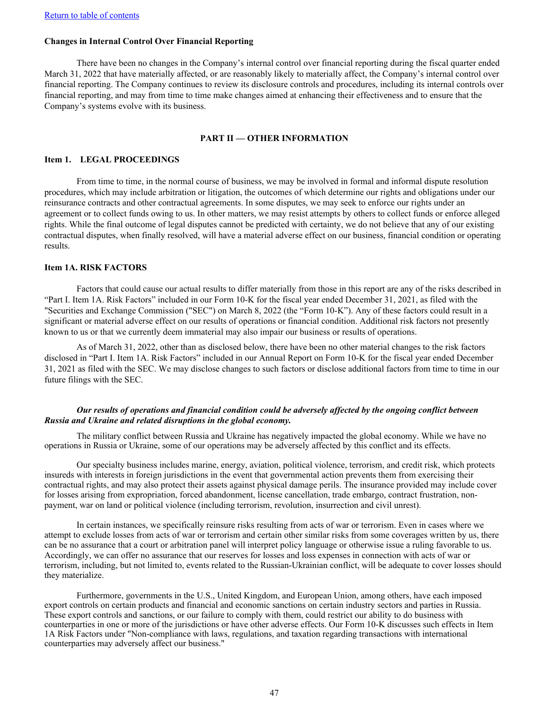### **Changes in Internal Control Over Financial Reporting**

There have been no changes in the Company's internal control over financial reporting during the fiscal quarter ended March 31, 2022 that have materially affected, or are reasonably likely to materially affect, the Company's internal control over financial reporting. The Company continues to review its disclosure controls and procedures, including its internal controls over financial reporting, and may from time to time make changes aimed at enhancing their effectiveness and to ensure that the Company's systems evolve with its business.

#### **PART II — OTHER INFORMATION**

#### **Item 1. LEGAL PROCEEDINGS**

From time to time, in the normal course of business, we may be involved in formal and informal dispute resolution procedures, which may include arbitration or litigation, the outcomes of which determine our rights and obligations under our reinsurance contracts and other contractual agreements. In some disputes, we may seek to enforce our rights under an agreement or to collect funds owing to us. In other matters, we may resist attempts by others to collect funds or enforce alleged rights. While the final outcome of legal disputes cannot be predicted with certainty, we do not believe that any of our existing contractual disputes, when finally resolved, will have a material adverse effect on our business, financial condition or operating results.

#### **Item 1A. RISK FACTORS**

Factors that could cause our actual results to differ materially from those in this report are any of the risks described in "Part I. Item 1A. Risk Factors" included in our Form 10-K for the fiscal year ended December 31, 2021, as filed with the "Securities and Exchange Commission ("SEC") on March 8, 2022 (the "Form 10-K"). Any of these factors could result in a significant or material adverse effect on our results of operations or financial condition. Additional risk factors not presently known to us or that we currently deem immaterial may also impair our business or results of operations.

As of March 31, 2022, other than as disclosed below, there have been no other material changes to the risk factors disclosed in "Part I. Item 1A. Risk Factors" included in our Annual Report on Form 10-K for the fiscal year ended December 31, 2021 as filed with the SEC. We may disclose changes to such factors or disclose additional factors from time to time in our future filings with the SEC.

## *Our results of operations and financial condition could be adversely affected by the ongoing conflict between Russia and Ukraine and related disruptions in the global economy.*

The military conflict between Russia and Ukraine has negatively impacted the global economy. While we have no operations in Russia or Ukraine, some of our operations may be adversely affected by this conflict and its effects.

Our specialty business includes marine, energy, aviation, political violence, terrorism, and credit risk, which protects insureds with interests in foreign jurisdictions in the event that governmental action prevents them from exercising their contractual rights, and may also protect their assets against physical damage perils. The insurance provided may include cover for losses arising from expropriation, forced abandonment, license cancellation, trade embargo, contract frustration, nonpayment, war on land or political violence (including terrorism, revolution, insurrection and civil unrest).

In certain instances, we specifically reinsure risks resulting from acts of war or terrorism. Even in cases where we attempt to exclude losses from acts of war or terrorism and certain other similar risks from some coverages written by us, there can be no assurance that a court or arbitration panel will interpret policy language or otherwise issue a ruling favorable to us. Accordingly, we can offer no assurance that our reserves for losses and loss expenses in connection with acts of war or terrorism, including, but not limited to, events related to the Russian-Ukrainian conflict, will be adequate to cover losses should they materialize.

Furthermore, governments in the U.S., United Kingdom, and European Union, among others, have each imposed export controls on certain products and financial and economic sanctions on certain industry sectors and parties in Russia. These export controls and sanctions, or our failure to comply with them, could restrict our ability to do business with counterparties in one or more of the jurisdictions or have other adverse effects. Our Form 10-K discusses such effects in Item 1A Risk Factors under "Non-compliance with laws, regulations, and taxation regarding transactions with international counterparties may adversely affect our business."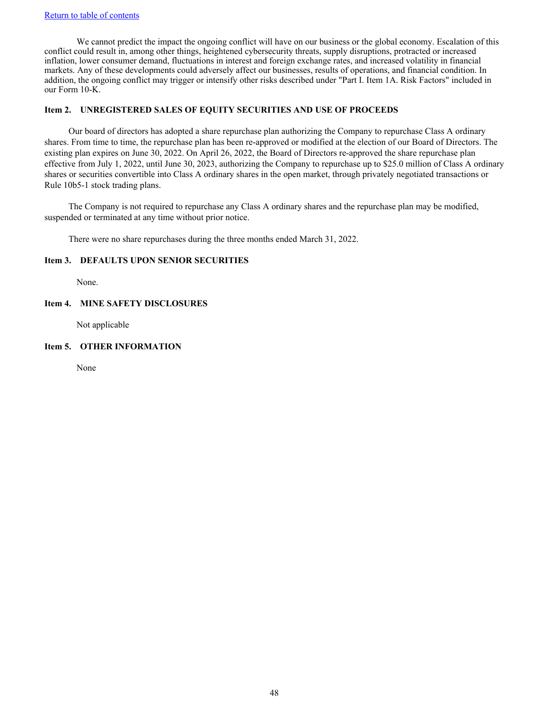We cannot predict the impact the ongoing conflict will have on our business or the global economy. Escalation of this conflict could result in, among other things, heightened cybersecurity threats, supply disruptions, protracted or increased inflation, lower consumer demand, fluctuations in interest and foreign exchange rates, and increased volatility in financial markets. Any of these developments could adversely affect our businesses, results of operations, and financial condition. In addition, the ongoing conflict may trigger or intensify other risks described under "Part I. Item 1A. Risk Factors" included in our Form 10-K.

## **Item 2. UNREGISTERED SALES OF EQUITY SECURITIES AND USE OF PROCEEDS**

Our board of directors has adopted a share repurchase plan authorizing the Company to repurchase Class A ordinary shares. From time to time, the repurchase plan has been re-approved or modified at the election of our Board of Directors. The existing plan expires on June 30, 2022. On April 26, 2022, the Board of Directors re-approved the share repurchase plan effective from July 1, 2022, until June 30, 2023, authorizing the Company to repurchase up to \$25.0 million of Class A ordinary shares or securities convertible into Class A ordinary shares in the open market, through privately negotiated transactions or Rule 10b5-1 stock trading plans.

The Company is not required to repurchase any Class A ordinary shares and the repurchase plan may be modified, suspended or terminated at any time without prior notice.

There were no share repurchases during the three months ended March 31, 2022.

## **Item 3. DEFAULTS UPON SENIOR SECURITIES**

None.

#### **Item 4. MINE SAFETY DISCLOSURES**

Not applicable

## **Item 5. OTHER INFORMATION**

None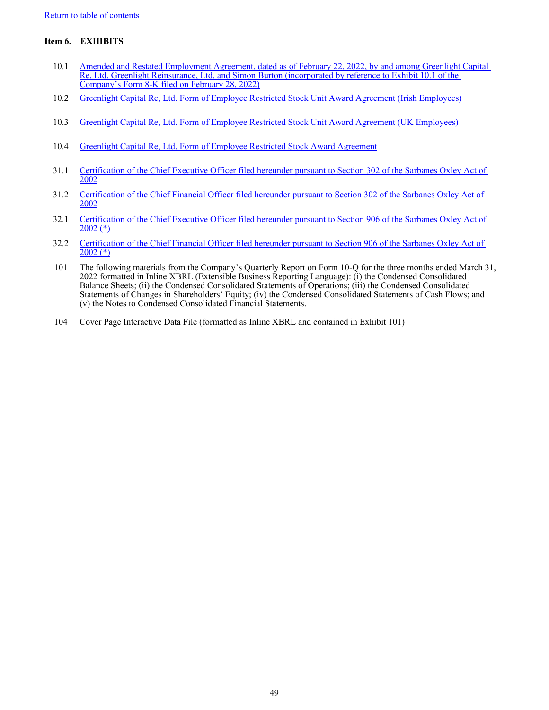## **Item 6. EXHIBITS**

- 10.1 Amended and Restated Employment Agreement, dated as of February 22, 2022, by and among Greenlight Capital [Re, Ltd, Greenlight Reinsurance, Ltd. and Simon Burton \(incorporated by reference to Exhibit 10.1 of the](http://www.sec.gov/Archives/edgar/data/1385613/000138561322000018/amendedandrestatedburtonem.htm)  [Company's Form 8-K filed on February 28, 2022\)](http://www.sec.gov/Archives/edgar/data/1385613/000138561322000018/amendedandrestatedburtonem.htm)
- 10.2 Greenlight Capital Re, Ltd. Form of Employee Restricted Stock Unit Award Agreement (Irish Employees)
- 10.3 Greenlight Capital Re, Ltd. Form of Employee Restricted Stock Unit Award Agreement (UK Employees)
- 10.4 [Greenlight Capital Re, Ltd. Form of Employee Restricted Stock Award Agreement](#page-67-0)
- 31.1 Certification of the Chief Executive Officer filed hereunder pursuant to Section 302 of the Sarbanes Oxley Act of 2002
- 31.2 Certification of the Chief Financial Officer filed hereunder pursuant to Section 302 of the Sarbanes Oxley Act of 2002
- 32.1 Certification of the Chief Executive Officer filed hereunder pursuant to Section 906 of the Sarbanes Oxley Act of 2002 (\*)
- 32.2 Certification of the Chief Financial Officer filed hereunder pursuant to Section 906 of the Sarbanes Oxley Act of  $2002$  (\*)
- 101 The following materials from the Company's Quarterly Report on Form 10-Q for the three months ended March 31, 2022 formatted in Inline XBRL (Extensible Business Reporting Language): (i) the Condensed Consolidated Balance Sheets; (ii) the Condensed Consolidated Statements of Operations; (iii) the Condensed Consolidated Statements of Changes in Shareholders' Equity; (iv) the Condensed Consolidated Statements of Cash Flows; and (v) the Notes to Condensed Consolidated Financial Statements.
- 104 Cover Page Interactive Data File (formatted as Inline XBRL and contained in Exhibit 101)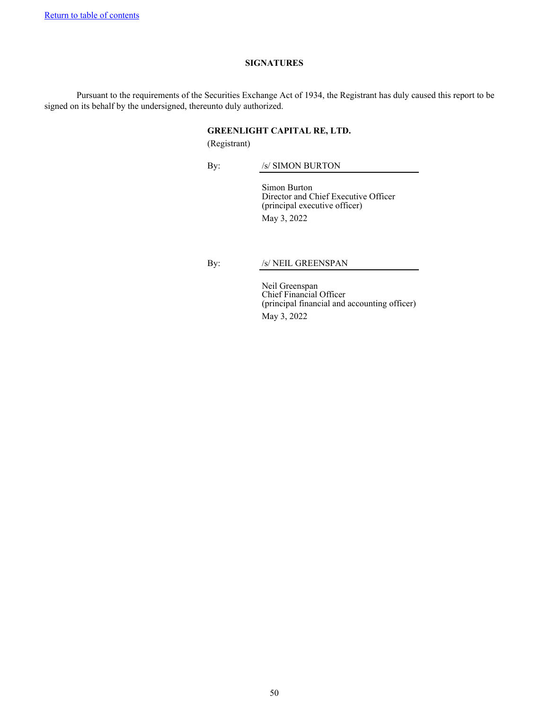#### **SIGNATURES**

Pursuant to the requirements of the Securities Exchange Act of 1934, the Registrant has duly caused this report to be signed on its behalf by the undersigned, thereunto duly authorized.

#### **GREENLIGHT CAPITAL RE, LTD.**

(Registrant)

By: /s/ SIMON BURTON

Simon Burton Director and Chief Executive Officer (principal executive officer) May 3, 2022

By: /s/ NEIL GREENSPAN

Neil Greenspan Chief Financial Officer (principal financial and accounting officer) May 3, 2022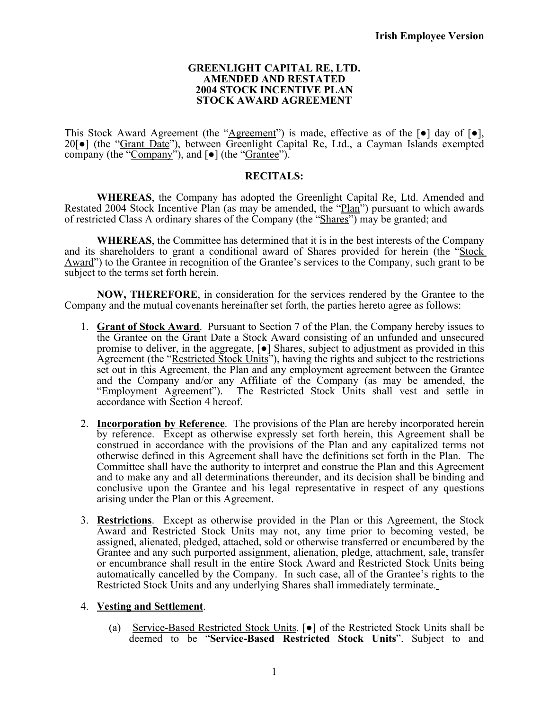## **GREENLIGHT CAPITAL RE, LTD. AMENDED AND RESTATED 2004 STOCK INCENTIVE PLAN STOCK AWARD AGREEMENT**

This Stock Award Agreement (the "Agreement") is made, effective as of the [●] day of [●], 20[●] (the "Grant Date"), between Greenlight Capital Re, Ltd., a Cayman Islands exempted company (the " $\overline{ Company}$ "), and  $\lceil \bullet \rceil$  (the " $\overline{Grantee}$ ").

# **RECITALS:**

**WHEREAS**, the Company has adopted the Greenlight Capital Re, Ltd. Amended and Restated 2004 Stock Incentive Plan (as may be amended, the "Plan") pursuant to which awards of restricted Class A ordinary shares of the Company (the "Shares") may be granted; and

**WHEREAS**, the Committee has determined that it is in the best interests of the Company and its shareholders to grant a conditional award of Shares provided for herein (the "Stock Award") to the Grantee in recognition of the Grantee's services to the Company, such grant to be subject to the terms set forth herein.

**NOW, THEREFORE**, in consideration for the services rendered by the Grantee to the Company and the mutual covenants hereinafter set forth, the parties hereto agree as follows:

- 1. **Grant of Stock Award**. Pursuant to Section 7 of the Plan, the Company hereby issues to the Grantee on the Grant Date a Stock Award consisting of an unfunded and unsecured promise to deliver, in the aggregate, [●] Shares, subject to adjustment as provided in this Agreement (the "Restricted Stock Units"), having the rights and subject to the restrictions set out in this Agreement, the Plan and any employment agreement between the Grantee and the Company and/or any Affiliate of the Company (as may be amended, the "Employment Agreement"). The Restricted Stock Units shall vest and settle in accordance with Section 4 hereof.
- 2. **Incorporation by Reference**. The provisions of the Plan are hereby incorporated herein by reference. Except as otherwise expressly set forth herein, this Agreement shall be construed in accordance with the provisions of the Plan and any capitalized terms not otherwise defined in this Agreement shall have the definitions set forth in the Plan. The Committee shall have the authority to interpret and construe the Plan and this Agreement and to make any and all determinations thereunder, and its decision shall be binding and conclusive upon the Grantee and his legal representative in respect of any questions arising under the Plan or this Agreement.
- 3. **Restrictions**. Except as otherwise provided in the Plan or this Agreement, the Stock Award and Restricted Stock Units may not, any time prior to becoming vested, be assigned, alienated, pledged, attached, sold or otherwise transferred or encumbered by the Grantee and any such purported assignment, alienation, pledge, attachment, sale, transfer or encumbrance shall result in the entire Stock Award and Restricted Stock Units being automatically cancelled by the Company. In such case, all of the Grantee's rights to the Restricted Stock Units and any underlying Shares shall immediately terminate.

# 4. **Vesting and Settlement**.

(a) Service-Based Restricted Stock Units. [●] of the Restricted Stock Units shall be deemed to be "**Service-Based Restricted Stock Units**". Subject to and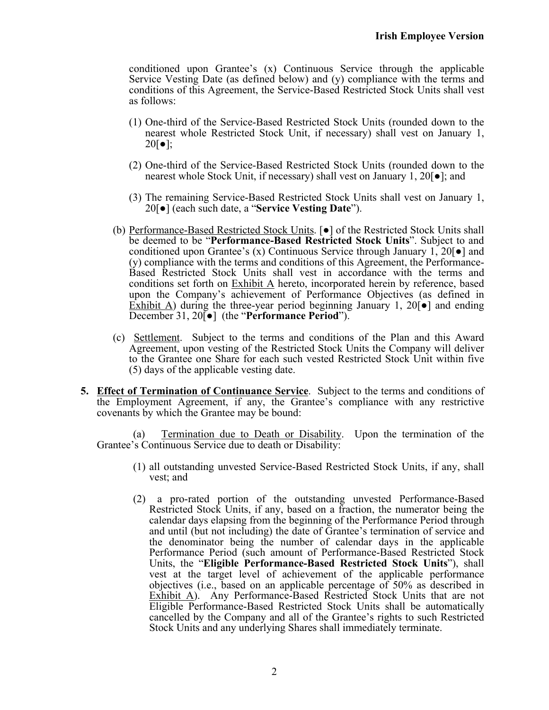conditioned upon Grantee's (x) Continuous Service through the applicable Service Vesting Date (as defined below) and (y) compliance with the terms and conditions of this Agreement, the Service-Based Restricted Stock Units shall vest as follows:

- (1) One-third of the Service-Based Restricted Stock Units (rounded down to the nearest whole Restricted Stock Unit, if necessary) shall vest on January 1,  $20\bullet$ ];
- (2) One-third of the Service-Based Restricted Stock Units (rounded down to the nearest whole Stock Unit, if necessary) shall vest on January 1, 20[●]; and
- (3) The remaining Service-Based Restricted Stock Units shall vest on January 1, 20[●] (each such date, a "**Service Vesting Date**").
- (b) Performance-Based Restricted Stock Units. [●] of the Restricted Stock Units shall be deemed to be "**Performance-Based Restricted Stock Units**". Subject to and conditioned upon Grantee's (x) Continuous Service through January 1, 20[●] and (y) compliance with the terms and conditions of this Agreement, the Performance-Based Restricted Stock Units shall vest in accordance with the terms and conditions set forth on Exhibit A hereto, incorporated herein by reference, based upon the Company's achievement of Performance Objectives (as defined in Exhibit A) during the three-year period beginning January 1, 20 $\bullet$  and ending December 31, 20[●] (the "**Performance Period**").
- (c) Settlement. Subject to the terms and conditions of the Plan and this Award Agreement, upon vesting of the Restricted Stock Units the Company will deliver to the Grantee one Share for each such vested Restricted Stock Unit within five (5) days of the applicable vesting date.
- **5. Effect of Termination of Continuance Service**. Subject to the terms and conditions of the Employment Agreement, if any, the Grantee's compliance with any restrictive covenants by which the Grantee may be bound:

(a) Termination due to Death or Disability. Upon the termination of the Grantee's Continuous Service due to death or Disability:

- (1) all outstanding unvested Service-Based Restricted Stock Units, if any, shall vest; and
- (2) a pro-rated portion of the outstanding unvested Performance-Based Restricted Stock Units, if any, based on a fraction, the numerator being the calendar days elapsing from the beginning of the Performance Period through and until (but not including) the date of Grantee's termination of service and the denominator being the number of calendar days in the applicable Performance Period (such amount of Performance-Based Restricted Stock Units, the "**Eligible Performance-Based Restricted Stock Units**"), shall vest at the target level of achievement of the applicable performance objectives (i.e., based on an applicable percentage of 50% as described in Exhibit A). Any Performance-Based Restricted Stock Units that are not Eligible Performance-Based Restricted Stock Units shall be automatically cancelled by the Company and all of the Grantee's rights to such Restricted Stock Units and any underlying Shares shall immediately terminate.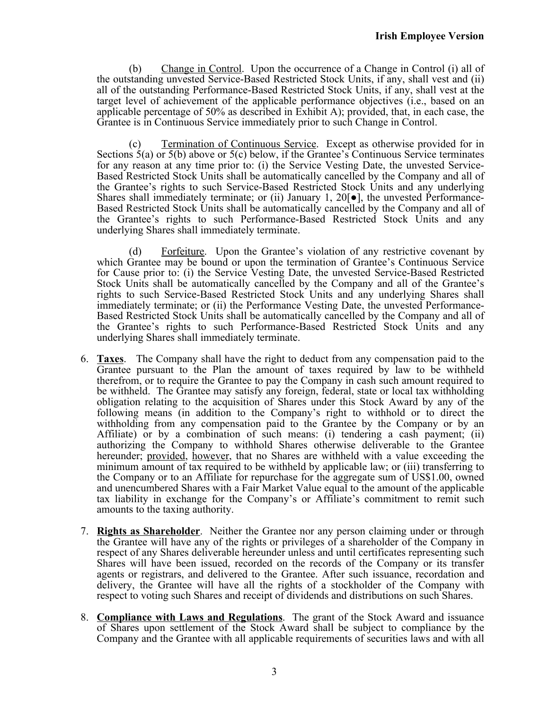(b) Change in Control. Upon the occurrence of a Change in Control (i) all of the outstanding unvested Service-Based Restricted Stock Units, if any, shall vest and (ii) all of the outstanding Performance-Based Restricted Stock Units, if any, shall vest at the target level of achievement of the applicable performance objectives (i.e., based on an applicable percentage of 50% as described in Exhibit A); provided, that, in each case, the Grantee is in Continuous Service immediately prior to such Change in Control.

(c) Termination of Continuous Service. Except as otherwise provided for in Sections 5(a) or 5(b) above or 5(c) below, if the Grantee's Continuous Service terminates for any reason at any time prior to: (i) the Service Vesting Date, the unvested Service-Based Restricted Stock Units shall be automatically cancelled by the Company and all of the Grantee's rights to such Service-Based Restricted Stock Units and any underlying Shares shall immediately terminate; or (ii) January 1, 20 $\lceil \bullet \rceil$ , the unvested Performance-Based Restricted Stock Units shall be automatically cancelled by the Company and all of the Grantee's rights to such Performance-Based Restricted Stock Units and any underlying Shares shall immediately terminate.

(d) Forfeiture. Upon the Grantee's violation of any restrictive covenant by which Grantee may be bound or upon the termination of Grantee's Continuous Service for Cause prior to: (i) the Service Vesting Date, the unvested Service-Based Restricted Stock Units shall be automatically cancelled by the Company and all of the Grantee's rights to such Service-Based Restricted Stock Units and any underlying Shares shall immediately terminate; or (ii) the Performance Vesting Date, the unvested Performance-Based Restricted Stock Units shall be automatically cancelled by the Company and all of the Grantee's rights to such Performance-Based Restricted Stock Units and any underlying Shares shall immediately terminate.

- 6. **Taxes**. The Company shall have the right to deduct from any compensation paid to the Grantee pursuant to the Plan the amount of taxes required by law to be withheld therefrom, or to require the Grantee to pay the Company in cash such amount required to be withheld. The Grantee may satisfy any foreign, federal, state or local tax withholding obligation relating to the acquisition of Shares under this Stock Award by any of the following means (in addition to the Company's right to withhold or to direct the withholding from any compensation paid to the Grantee by the Company or by an Affiliate) or by a combination of such means: (i) tendering a cash payment; (ii) authorizing the Company to withhold Shares otherwise deliverable to the Grantee hereunder; provided, however, that no Shares are withheld with a value exceeding the minimum amount of tax required to be withheld by applicable law; or (iii) transferring to the Company or to an Affiliate for repurchase for the aggregate sum of US\$1.00, owned and unencumbered Shares with a Fair Market Value equal to the amount of the applicable tax liability in exchange for the Company's or Affiliate's commitment to remit such amounts to the taxing authority.
- 7. **Rights as Shareholder**. Neither the Grantee nor any person claiming under or through the Grantee will have any of the rights or privileges of a shareholder of the Company in respect of any Shares deliverable hereunder unless and until certificates representing such Shares will have been issued, recorded on the records of the Company or its transfer agents or registrars, and delivered to the Grantee. After such issuance, recordation and delivery, the Grantee will have all the rights of a stockholder of the Company with respect to voting such Shares and receipt of dividends and distributions on such Shares.
- 8. **Compliance with Laws and Regulations**. The grant of the Stock Award and issuance of Shares upon settlement of the Stock Award shall be subject to compliance by the Company and the Grantee with all applicable requirements of securities laws and with all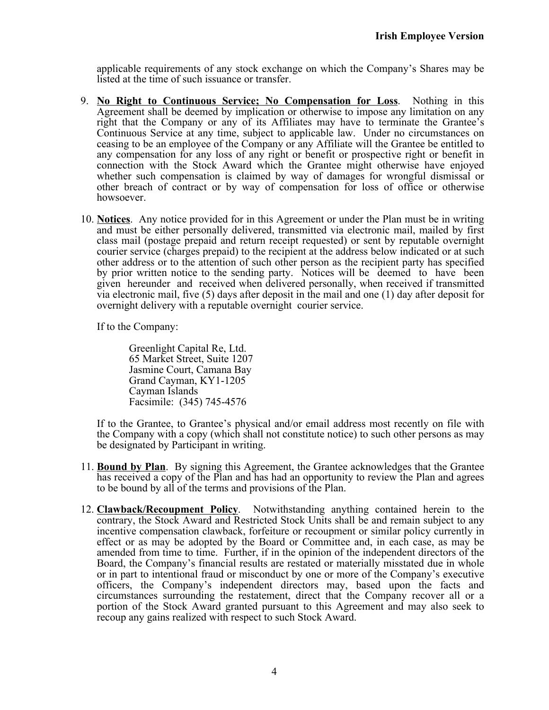applicable requirements of any stock exchange on which the Company's Shares may be listed at the time of such issuance or transfer.

- 9. **No Right to Continuous Service; No Compensation for Loss**. Nothing in this Agreement shall be deemed by implication or otherwise to impose any limitation on any right that the Company or any of its Affiliates may have to terminate the Grantee's Continuous Service at any time, subject to applicable law. Under no circumstances on ceasing to be an employee of the Company or any Affiliate will the Grantee be entitled to any compensation for any loss of any right or benefit or prospective right or benefit in connection with the Stock Award which the Grantee might otherwise have enjoyed whether such compensation is claimed by way of damages for wrongful dismissal or other breach of contract or by way of compensation for loss of office or otherwise howsoever.
- 10. **Notices**. Any notice provided for in this Agreement or under the Plan must be in writing and must be either personally delivered, transmitted via electronic mail, mailed by first class mail (postage prepaid and return receipt requested) or sent by reputable overnight courier service (charges prepaid) to the recipient at the address below indicated or at such other address or to the attention of such other person as the recipient party has specified by prior written notice to the sending party. Notices will be deemed to have been given hereunder and received when delivered personally, when received if transmitted via electronic mail, five (5) days after deposit in the mail and one (1) day after deposit for overnight delivery with a reputable overnight courier service.

If to the Company:

 Greenlight Capital Re, Ltd. 65 Market Street, Suite 1207 Jasmine Court, Camana Bay Grand Cayman, KY1-1205 Cayman Islands Facsimile: (345) 745-4576

If to the Grantee, to Grantee's physical and/or email address most recently on file with the Company with a copy (which shall not constitute notice) to such other persons as may be designated by Participant in writing.

- 11. **Bound by Plan**. By signing this Agreement, the Grantee acknowledges that the Grantee has received a copy of the Plan and has had an opportunity to review the Plan and agrees to be bound by all of the terms and provisions of the Plan.
- 12. **Clawback/Recoupment Policy**. Notwithstanding anything contained herein to the contrary, the Stock Award and Restricted Stock Units shall be and remain subject to any incentive compensation clawback, forfeiture or recoupment or similar policy currently in effect or as may be adopted by the Board or Committee and, in each case, as may be amended from time to time. Further, if in the opinion of the independent directors of the Board, the Company's financial results are restated or materially misstated due in whole or in part to intentional fraud or misconduct by one or more of the Company's executive officers, the Company's independent directors may, based upon the facts and circumstances surrounding the restatement, direct that the Company recover all or a portion of the Stock Award granted pursuant to this Agreement and may also seek to recoup any gains realized with respect to such Stock Award.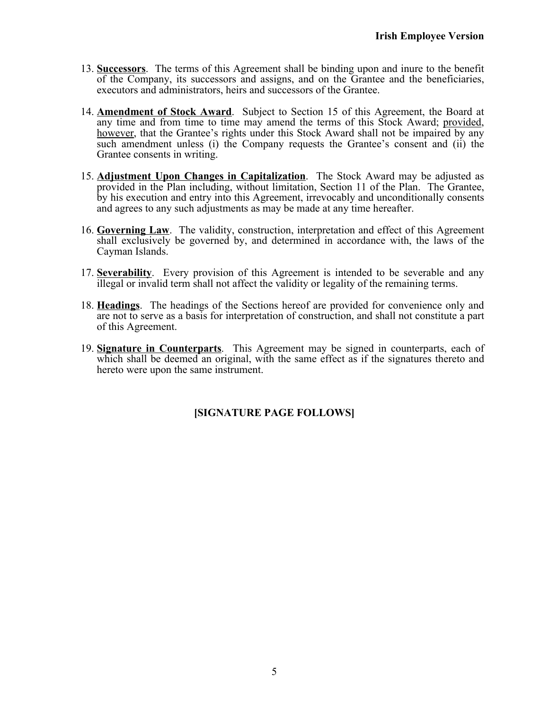- 13. **Successors**. The terms of this Agreement shall be binding upon and inure to the benefit of the Company, its successors and assigns, and on the Grantee and the beneficiaries, executors and administrators, heirs and successors of the Grantee.
- 14. **Amendment of Stock Award**. Subject to Section 15 of this Agreement, the Board at any time and from time to time may amend the terms of this Stock Award; provided, however, that the Grantee's rights under this Stock Award shall not be impaired by any such amendment unless (i) the Company requests the Grantee's consent and (ii) the Grantee consents in writing.
- 15. **Adjustment Upon Changes in Capitalization**. The Stock Award may be adjusted as provided in the Plan including, without limitation, Section 11 of the Plan. The Grantee, by his execution and entry into this Agreement, irrevocably and unconditionally consents and agrees to any such adjustments as may be made at any time hereafter.
- 16. **Governing Law**. The validity, construction, interpretation and effect of this Agreement shall exclusively be governed by, and determined in accordance with, the laws of the Cayman Islands.
- 17. **Severability**. Every provision of this Agreement is intended to be severable and any illegal or invalid term shall not affect the validity or legality of the remaining terms.
- 18. **Headings**. The headings of the Sections hereof are provided for convenience only and are not to serve as a basis for interpretation of construction, and shall not constitute a part of this Agreement.
- 19. **Signature in Counterparts**. This Agreement may be signed in counterparts, each of which shall be deemed an original, with the same effect as if the signatures thereto and hereto were upon the same instrument.

# **[SIGNATURE PAGE FOLLOWS]**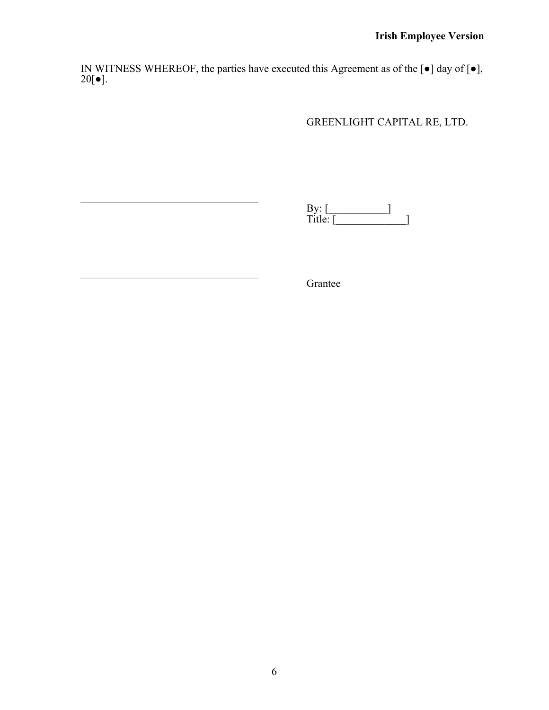IN WITNESS WHEREOF, the parties have executed this Agreement as of the [●] day of [●],  $20[\bullet]$ .

 $\mathcal{L}_\text{max}$  , where  $\mathcal{L}_\text{max}$  is the set of the set of the set of the set of the set of the set of the set of the set of the set of the set of the set of the set of the set of the set of the set of the set of the se

 $\mathcal{L}_\text{max}$  , where  $\mathcal{L}_\text{max}$  is the set of the set of the set of the set of the set of the set of the set of the set of the set of the set of the set of the set of the set of the set of the set of the set of the se

GREENLIGHT CAPITAL RE, LTD.

| $- - -$<br>   |  |
|---------------|--|
| -<br>. .<br>. |  |

Grantee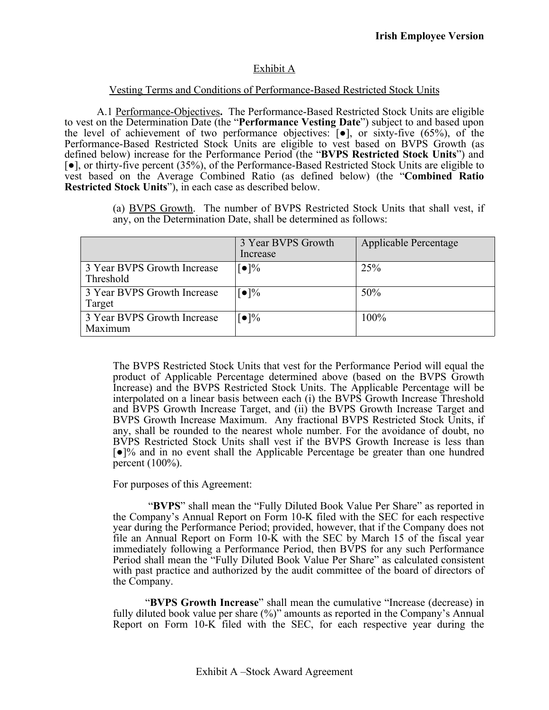# Exhibit A

# Vesting Terms and Conditions of Performance-Based Restricted Stock Units

A.1 Performance-Objectives**.** The Performance-Based Restricted Stock Units are eligible to vest on the Determination Date (the "**Performance Vesting Date**") subject to and based upon the level of achievement of two performance objectives:  $\phi$ ], or sixty-five (65%), of the Performance-Based Restricted Stock Units are eligible to vest based on BVPS Growth (as defined below) increase for the Performance Period (the "**BVPS Restricted Stock Units**") and [●], or thirty-five percent (35%), of the Performance-Based Restricted Stock Units are eligible to vest based on the Average Combined Ratio (as defined below) (the "**Combined Ratio Restricted Stock Units**"), in each case as described below.

> (a) BVPS Growth. The number of BVPS Restricted Stock Units that shall vest, if any, on the Determination Date, shall be determined as follows:

|                                          | 3 Year BVPS Growth<br>Increase | Applicable Percentage |
|------------------------------------------|--------------------------------|-----------------------|
| 3 Year BVPS Growth Increase<br>Threshold | $\bullet$  %                   | 25%                   |
| 3 Year BVPS Growth Increase<br>Target    | $\bullet$  %                   | 50%                   |
| 3 Year BVPS Growth Increase<br>Maximum   | $\bullet$  %                   | $100\%$               |

The BVPS Restricted Stock Units that vest for the Performance Period will equal the product of Applicable Percentage determined above (based on the BVPS Growth Increase) and the BVPS Restricted Stock Units. The Applicable Percentage will be interpolated on a linear basis between each (i) the BVPS Growth Increase Threshold and BVPS Growth Increase Target, and (ii) the BVPS Growth Increase Target and BVPS Growth Increase Maximum. Any fractional BVPS Restricted Stock Units, if any, shall be rounded to the nearest whole number. For the avoidance of doubt, no BVPS Restricted Stock Units shall vest if the BVPS Growth Increase is less than [●]% and in no event shall the Applicable Percentage be greater than one hundred percent (100%).

For purposes of this Agreement:

 "**BVPS**" shall mean the "Fully Diluted Book Value Per Share" as reported in the Company's Annual Report on Form 10-K filed with the SEC for each respective year during the Performance Period; provided, however, that if the Company does not file an Annual Report on Form 10-K with the SEC by March 15 of the fiscal year immediately following a Performance Period, then BVPS for any such Performance Period shall mean the "Fully Diluted Book Value Per Share" as calculated consistent with past practice and authorized by the audit committee of the board of directors of the Company.

"**BVPS Growth Increase**" shall mean the cumulative "Increase (decrease) in fully diluted book value per share (%)" amounts as reported in the Company's Annual Report on Form 10-K filed with the SEC, for each respective year during the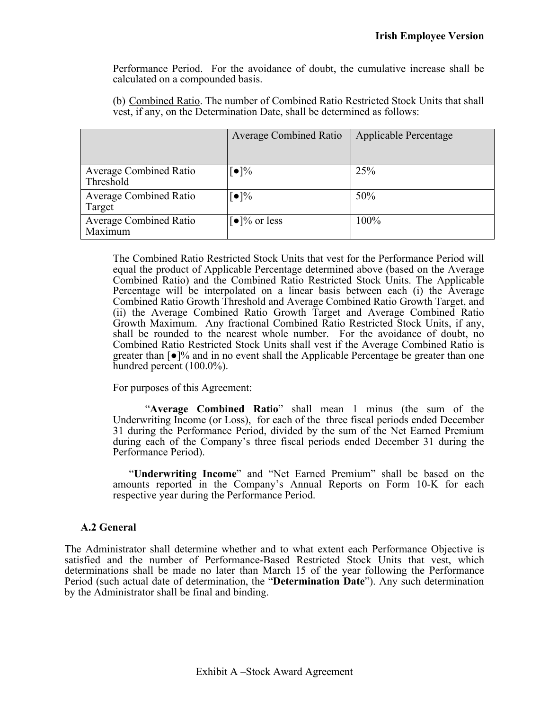Performance Period. For the avoidance of doubt, the cumulative increase shall be calculated on a compounded basis.

(b) Combined Ratio. The number of Combined Ratio Restricted Stock Units that shall vest, if any, on the Determination Date, shall be determined as follows:

|                                            | <b>Average Combined Ratio</b>     | Applicable Percentage |
|--------------------------------------------|-----------------------------------|-----------------------|
| <b>Average Combined Ratio</b><br>Threshold | $\lceil \bullet \rceil\%$         | 25%                   |
| <b>Average Combined Ratio</b><br>Target    | $\lceil \bullet \rceil\%$         | 50%                   |
| <b>Average Combined Ratio</b><br>Maximum   | $\lceil \bullet \rceil\%$ or less | 100%                  |

The Combined Ratio Restricted Stock Units that vest for the Performance Period will equal the product of Applicable Percentage determined above (based on the Average Combined Ratio) and the Combined Ratio Restricted Stock Units. The Applicable Percentage will be interpolated on a linear basis between each (i) the Average Combined Ratio Growth Threshold and Average Combined Ratio Growth Target, and (ii) the Average Combined Ratio Growth Target and Average Combined Ratio Growth Maximum. Any fractional Combined Ratio Restricted Stock Units, if any, shall be rounded to the nearest whole number. For the avoidance of doubt, no Combined Ratio Restricted Stock Units shall vest if the Average Combined Ratio is greater than [●]% and in no event shall the Applicable Percentage be greater than one hundred percent (100.0%).

For purposes of this Agreement:

"**Average Combined Ratio**" shall mean 1 minus (the sum of the Underwriting Income (or Loss), for each of the three fiscal periods ended December 31 during the Performance Period, divided by the sum of the Net Earned Premium during each of the Company's three fiscal periods ended December 31 during the Performance Period).

"**Underwriting Income**" and "Net Earned Premium" shall be based on the amounts reported in the Company's Annual Reports on Form 10-K for each respective year during the Performance Period.

# **A.2 General**

The Administrator shall determine whether and to what extent each Performance Objective is satisfied and the number of Performance-Based Restricted Stock Units that vest, which determinations shall be made no later than March 15 of the year following the Performance Period (such actual date of determination, the "**Determination Date**"). Any such determination by the Administrator shall be final and binding.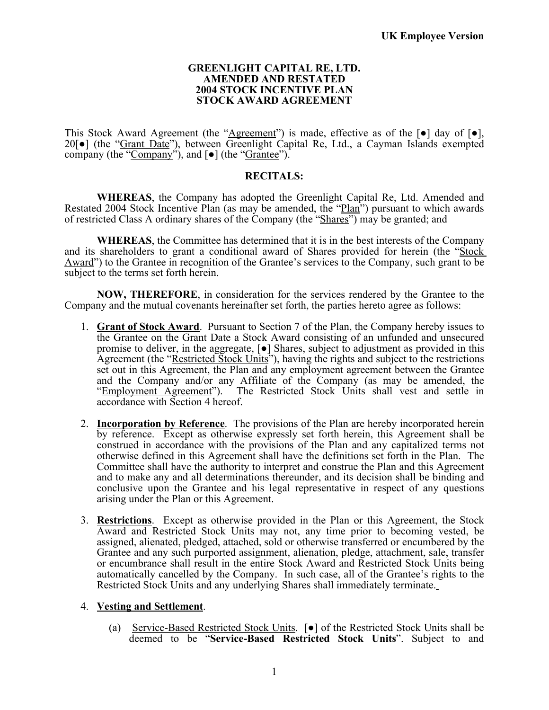## **GREENLIGHT CAPITAL RE, LTD. AMENDED AND RESTATED 2004 STOCK INCENTIVE PLAN STOCK AWARD AGREEMENT**

This Stock Award Agreement (the "Agreement") is made, effective as of the [●] day of [●], 20[●] (the "Grant Date"), between Greenlight Capital Re, Ltd., a Cayman Islands exempted company (the " $\overline{ Company}$ "), and  $\lceil \bullet \rceil$  (the " $\overline{Grantee}$ ").

# **RECITALS:**

**WHEREAS**, the Company has adopted the Greenlight Capital Re, Ltd. Amended and Restated 2004 Stock Incentive Plan (as may be amended, the "Plan") pursuant to which awards of restricted Class A ordinary shares of the Company (the "Shares") may be granted; and

**WHEREAS**, the Committee has determined that it is in the best interests of the Company and its shareholders to grant a conditional award of Shares provided for herein (the "Stock Award") to the Grantee in recognition of the Grantee's services to the Company, such grant to be subject to the terms set forth herein.

**NOW, THEREFORE**, in consideration for the services rendered by the Grantee to the Company and the mutual covenants hereinafter set forth, the parties hereto agree as follows:

- 1. **Grant of Stock Award**. Pursuant to Section 7 of the Plan, the Company hereby issues to the Grantee on the Grant Date a Stock Award consisting of an unfunded and unsecured promise to deliver, in the aggregate, [●] Shares, subject to adjustment as provided in this Agreement (the "Restricted Stock Units"), having the rights and subject to the restrictions set out in this Agreement, the Plan and any employment agreement between the Grantee and the Company and/or any Affiliate of the Company (as may be amended, the "Employment Agreement"). The Restricted Stock Units shall vest and settle in accordance with Section 4 hereof.
- 2. **Incorporation by Reference**. The provisions of the Plan are hereby incorporated herein by reference. Except as otherwise expressly set forth herein, this Agreement shall be construed in accordance with the provisions of the Plan and any capitalized terms not otherwise defined in this Agreement shall have the definitions set forth in the Plan. The Committee shall have the authority to interpret and construe the Plan and this Agreement and to make any and all determinations thereunder, and its decision shall be binding and conclusive upon the Grantee and his legal representative in respect of any questions arising under the Plan or this Agreement.
- 3. **Restrictions**. Except as otherwise provided in the Plan or this Agreement, the Stock Award and Restricted Stock Units may not, any time prior to becoming vested, be assigned, alienated, pledged, attached, sold or otherwise transferred or encumbered by the Grantee and any such purported assignment, alienation, pledge, attachment, sale, transfer or encumbrance shall result in the entire Stock Award and Restricted Stock Units being automatically cancelled by the Company. In such case, all of the Grantee's rights to the Restricted Stock Units and any underlying Shares shall immediately terminate.

# 4. **Vesting and Settlement**.

(a) Service-Based Restricted Stock Units. [●] of the Restricted Stock Units shall be deemed to be "**Service-Based Restricted Stock Units**". Subject to and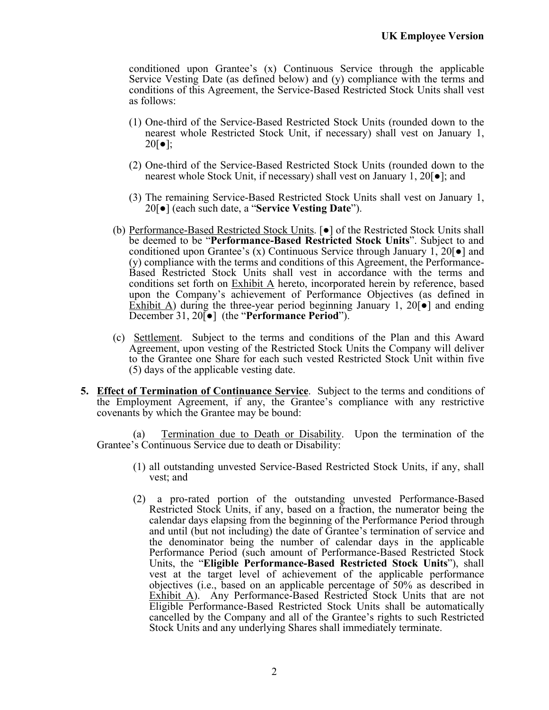conditioned upon Grantee's (x) Continuous Service through the applicable Service Vesting Date (as defined below) and (y) compliance with the terms and conditions of this Agreement, the Service-Based Restricted Stock Units shall vest as follows:

- (1) One-third of the Service-Based Restricted Stock Units (rounded down to the nearest whole Restricted Stock Unit, if necessary) shall vest on January 1,  $20\bullet$ ];
- (2) One-third of the Service-Based Restricted Stock Units (rounded down to the nearest whole Stock Unit, if necessary) shall vest on January 1, 20[●]; and
- (3) The remaining Service-Based Restricted Stock Units shall vest on January 1, 20[●] (each such date, a "**Service Vesting Date**").
- (b) Performance-Based Restricted Stock Units. [●] of the Restricted Stock Units shall be deemed to be "**Performance-Based Restricted Stock Units**". Subject to and conditioned upon Grantee's (x) Continuous Service through January 1, 20[●] and (y) compliance with the terms and conditions of this Agreement, the Performance-Based Restricted Stock Units shall vest in accordance with the terms and conditions set forth on Exhibit A hereto, incorporated herein by reference, based upon the Company's achievement of Performance Objectives (as defined in Exhibit A) during the three-year period beginning January 1, 20 $\bullet$  and ending December 31, 20[●] (the "**Performance Period**").
- (c) Settlement. Subject to the terms and conditions of the Plan and this Award Agreement, upon vesting of the Restricted Stock Units the Company will deliver to the Grantee one Share for each such vested Restricted Stock Unit within five (5) days of the applicable vesting date.
- **5. Effect of Termination of Continuance Service**. Subject to the terms and conditions of the Employment Agreement, if any, the Grantee's compliance with any restrictive covenants by which the Grantee may be bound:

(a) Termination due to Death or Disability. Upon the termination of the Grantee's Continuous Service due to death or Disability:

- (1) all outstanding unvested Service-Based Restricted Stock Units, if any, shall vest; and
- (2) a pro-rated portion of the outstanding unvested Performance-Based Restricted Stock Units, if any, based on a fraction, the numerator being the calendar days elapsing from the beginning of the Performance Period through and until (but not including) the date of Grantee's termination of service and the denominator being the number of calendar days in the applicable Performance Period (such amount of Performance-Based Restricted Stock Units, the "**Eligible Performance-Based Restricted Stock Units**"), shall vest at the target level of achievement of the applicable performance objectives (i.e., based on an applicable percentage of 50% as described in Exhibit A). Any Performance-Based Restricted Stock Units that are not Eligible Performance-Based Restricted Stock Units shall be automatically cancelled by the Company and all of the Grantee's rights to such Restricted Stock Units and any underlying Shares shall immediately terminate.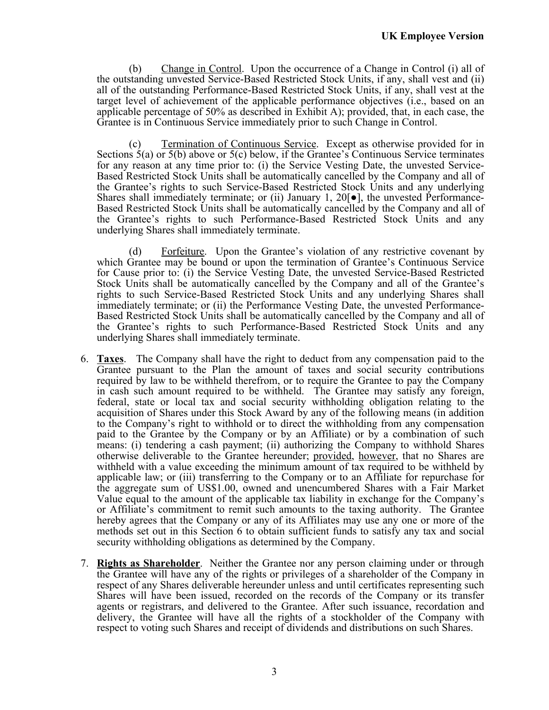(b) Change in Control. Upon the occurrence of a Change in Control (i) all of the outstanding unvested Service-Based Restricted Stock Units, if any, shall vest and (ii) all of the outstanding Performance-Based Restricted Stock Units, if any, shall vest at the target level of achievement of the applicable performance objectives (i.e., based on an applicable percentage of 50% as described in Exhibit A); provided, that, in each case, the Grantee is in Continuous Service immediately prior to such Change in Control.

(c) Termination of Continuous Service. Except as otherwise provided for in Sections 5(a) or 5(b) above or 5(c) below, if the Grantee's Continuous Service terminates for any reason at any time prior to: (i) the Service Vesting Date, the unvested Service-Based Restricted Stock Units shall be automatically cancelled by the Company and all of the Grantee's rights to such Service-Based Restricted Stock Units and any underlying Shares shall immediately terminate; or (ii) January 1, 20 $\lceil \bullet \rceil$ , the unvested Performance-Based Restricted Stock Units shall be automatically cancelled by the Company and all of the Grantee's rights to such Performance-Based Restricted Stock Units and any underlying Shares shall immediately terminate.

(d) Forfeiture. Upon the Grantee's violation of any restrictive covenant by which Grantee may be bound or upon the termination of Grantee's Continuous Service for Cause prior to: (i) the Service Vesting Date, the unvested Service-Based Restricted Stock Units shall be automatically cancelled by the Company and all of the Grantee's rights to such Service-Based Restricted Stock Units and any underlying Shares shall immediately terminate; or (ii) the Performance Vesting Date, the unvested Performance-Based Restricted Stock Units shall be automatically cancelled by the Company and all of the Grantee's rights to such Performance-Based Restricted Stock Units and any underlying Shares shall immediately terminate.

- 6. **Taxes**. The Company shall have the right to deduct from any compensation paid to the Grantee pursuant to the Plan the amount of taxes and social security contributions required by law to be withheld therefrom, or to require the Grantee to pay the Company in cash such amount required to be withheld. The Grantee may satisfy any foreign, federal, state or local tax and social security withholding obligation relating to the acquisition of Shares under this Stock Award by any of the following means (in addition to the Company's right to withhold or to direct the withholding from any compensation paid to the Grantee by the Company or by an Affiliate) or by a combination of such means: (i) tendering a cash payment; (ii) authorizing the Company to withhold Shares otherwise deliverable to the Grantee hereunder; provided, however, that no Shares are withheld with a value exceeding the minimum amount of tax required to be withheld by applicable law; or (iii) transferring to the Company or to an Affiliate for repurchase for the aggregate sum of US\$1.00, owned and unencumbered Shares with a Fair Market Value equal to the amount of the applicable tax liability in exchange for the Company's or Affiliate's commitment to remit such amounts to the taxing authority. The Grantee hereby agrees that the Company or any of its Affiliates may use any one or more of the methods set out in this Section 6 to obtain sufficient funds to satisfy any tax and social security withholding obligations as determined by the Company.
- 7. **Rights as Shareholder**. Neither the Grantee nor any person claiming under or through the Grantee will have any of the rights or privileges of a shareholder of the Company in respect of any Shares deliverable hereunder unless and until certificates representing such Shares will have been issued, recorded on the records of the Company or its transfer agents or registrars, and delivered to the Grantee. After such issuance, recordation and delivery, the Grantee will have all the rights of a stockholder of the Company with respect to voting such Shares and receipt of dividends and distributions on such Shares.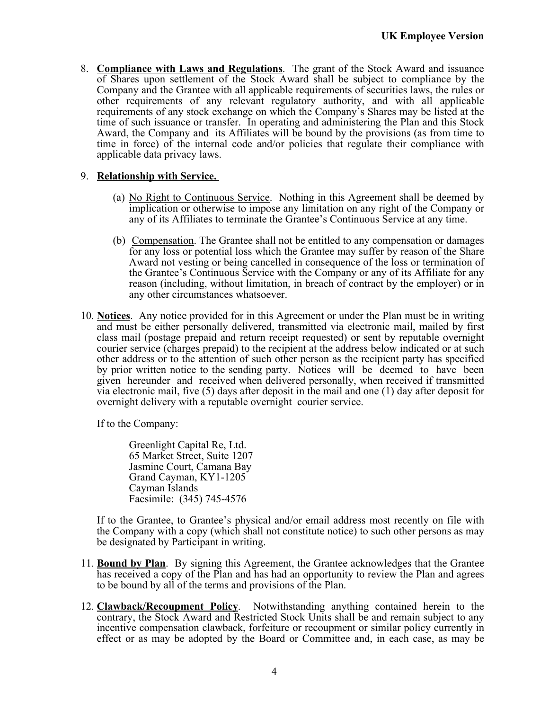8. **Compliance with Laws and Regulations**. The grant of the Stock Award and issuance of Shares upon settlement of the Stock Award shall be subject to compliance by the Company and the Grantee with all applicable requirements of securities laws, the rules or other requirements of any relevant regulatory authority, and with all applicable requirements of any stock exchange on which the Company's Shares may be listed at the time of such issuance or transfer. In operating and administering the Plan and this Stock Award, the Company and its Affiliates will be bound by the provisions (as from time to time in force) of the internal code and/or policies that regulate their compliance with applicable data privacy laws.

# 9. **Relationship with Service.**

- (a) No Right to Continuous Service. Nothing in this Agreement shall be deemed by implication or otherwise to impose any limitation on any right of the Company or any of its Affiliates to terminate the Grantee's Continuous Service at any time.
- (b) Compensation. The Grantee shall not be entitled to any compensation or damages for any loss or potential loss which the Grantee may suffer by reason of the Share Award not vesting or being cancelled in consequence of the loss or termination of the Grantee's Continuous Service with the Company or any of its Affiliate for any reason (including, without limitation, in breach of contract by the employer) or in any other circumstances whatsoever.
- 10. **Notices**. Any notice provided for in this Agreement or under the Plan must be in writing and must be either personally delivered, transmitted via electronic mail, mailed by first class mail (postage prepaid and return receipt requested) or sent by reputable overnight courier service (charges prepaid) to the recipient at the address below indicated or at such other address or to the attention of such other person as the recipient party has specified by prior written notice to the sending party. Notices will be deemed to have been given hereunder and received when delivered personally, when received if transmitted via electronic mail, five (5) days after deposit in the mail and one (1) day after deposit for overnight delivery with a reputable overnight courier service.

If to the Company:

 Greenlight Capital Re, Ltd. 65 Market Street, Suite 1207 Jasmine Court, Camana Bay Grand Cayman, KY1-1205 Cayman Islands Facsimile: (345) 745-4576

If to the Grantee, to Grantee's physical and/or email address most recently on file with the Company with a copy (which shall not constitute notice) to such other persons as may be designated by Participant in writing.

- 11. **Bound by Plan**. By signing this Agreement, the Grantee acknowledges that the Grantee has received a copy of the Plan and has had an opportunity to review the Plan and agrees to be bound by all of the terms and provisions of the Plan.
- 12. **Clawback/Recoupment Policy**. Notwithstanding anything contained herein to the contrary, the Stock Award and Restricted Stock Units shall be and remain subject to any incentive compensation clawback, forfeiture or recoupment or similar policy currently in effect or as may be adopted by the Board or Committee and, in each case, as may be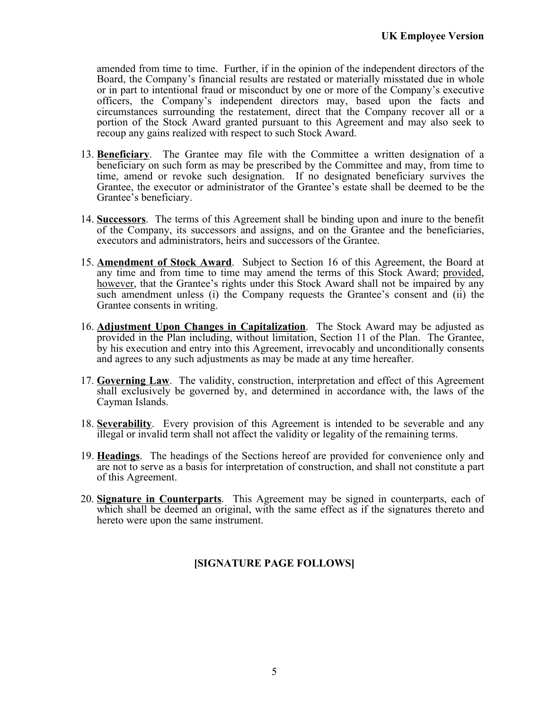amended from time to time. Further, if in the opinion of the independent directors of the Board, the Company's financial results are restated or materially misstated due in whole or in part to intentional fraud or misconduct by one or more of the Company's executive officers, the Company's independent directors may, based upon the facts and circumstances surrounding the restatement, direct that the Company recover all or a portion of the Stock Award granted pursuant to this Agreement and may also seek to recoup any gains realized with respect to such Stock Award.

- 13. **Beneficiary**. The Grantee may file with the Committee a written designation of a beneficiary on such form as may be prescribed by the Committee and may, from time to time, amend or revoke such designation. If no designated beneficiary survives the Grantee, the executor or administrator of the Grantee's estate shall be deemed to be the Grantee's beneficiary.
- 14. **Successors**. The terms of this Agreement shall be binding upon and inure to the benefit of the Company, its successors and assigns, and on the Grantee and the beneficiaries, executors and administrators, heirs and successors of the Grantee.
- 15. **Amendment of Stock Award**. Subject to Section 16 of this Agreement, the Board at any time and from time to time may amend the terms of this Stock Award; provided, however, that the Grantee's rights under this Stock Award shall not be impaired by any such amendment unless (i) the Company requests the Grantee's consent and (ii) the Grantee consents in writing.
- 16. **Adjustment Upon Changes in Capitalization**. The Stock Award may be adjusted as provided in the Plan including, without limitation, Section 11 of the Plan. The Grantee, by his execution and entry into this Agreement, irrevocably and unconditionally consents and agrees to any such adjustments as may be made at any time hereafter.
- 17. **Governing Law**. The validity, construction, interpretation and effect of this Agreement shall exclusively be governed by, and determined in accordance with, the laws of the Cayman Islands.
- 18. **Severability**. Every provision of this Agreement is intended to be severable and any illegal or invalid term shall not affect the validity or legality of the remaining terms.
- 19. **Headings**. The headings of the Sections hereof are provided for convenience only and are not to serve as a basis for interpretation of construction, and shall not constitute a part of this Agreement.
- 20. **Signature in Counterparts**. This Agreement may be signed in counterparts, each of which shall be deemed an original, with the same effect as if the signatures thereto and hereto were upon the same instrument.

# **[SIGNATURE PAGE FOLLOWS]**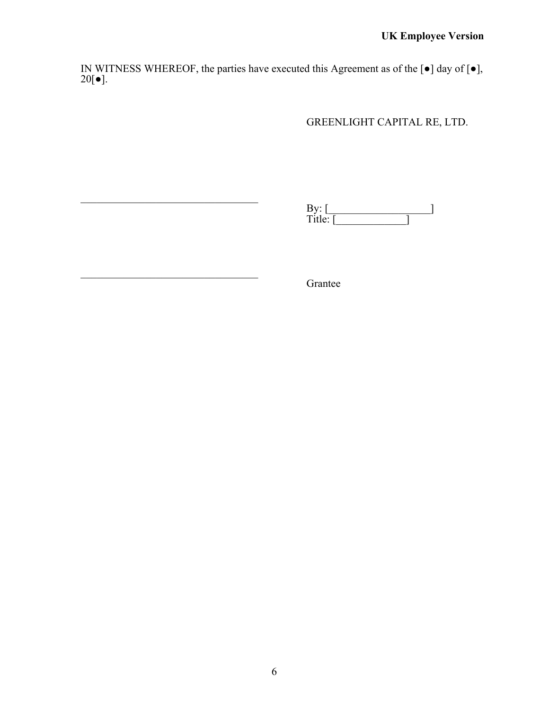IN WITNESS WHEREOF, the parties have executed this Agreement as of the [●] day of [●],  $20[\bullet]$ .

 $\mathcal{L}_\text{max}$  , where  $\mathcal{L}_\text{max}$  is the set of the set of the set of the set of the set of the set of the set of the set of the set of the set of the set of the set of the set of the set of the set of the set of the se

 $\mathcal{L}_\text{max}$  , where  $\mathcal{L}_\text{max}$  is the set of the set of the set of the set of the set of the set of the set of the set of the set of the set of the set of the set of the set of the set of the set of the set of the se

GREENLIGHT CAPITAL RE, LTD.

Grantee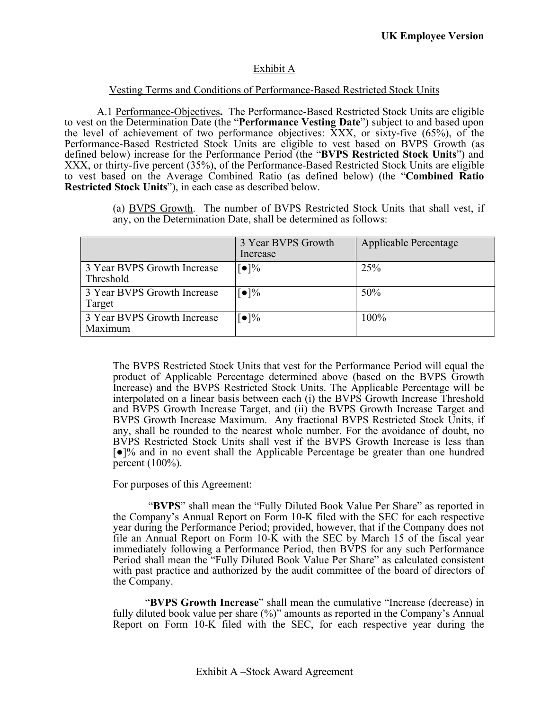# Exhibit A

# Vesting Terms and Conditions of Performance-Based Restricted Stock Units

A.1 Performance-Objectives**.** The Performance-Based Restricted Stock Units are eligible to vest on the Determination Date (the "**Performance Vesting Date**") subject to and based upon the level of achievement of two performance objectives: XXX, or sixty-five (65%), of the Performance-Based Restricted Stock Units are eligible to vest based on BVPS Growth (as defined below) increase for the Performance Period (the "**BVPS Restricted Stock Units**") and XXX, or thirty-five percent (35%), of the Performance-Based Restricted Stock Units are eligible to vest based on the Average Combined Ratio (as defined below) (the "**Combined Ratio Restricted Stock Units**"), in each case as described below.

> (a) BVPS Growth. The number of BVPS Restricted Stock Units that shall vest, if any, on the Determination Date, shall be determined as follows:

|                                          | 3 Year BVPS Growth<br>Increase | Applicable Percentage |
|------------------------------------------|--------------------------------|-----------------------|
| 3 Year BVPS Growth Increase<br>Threshold | $\bullet$  %                   | 25%                   |
| 3 Year BVPS Growth Increase<br>Target    | $\bullet$  %                   | 50%                   |
| 3 Year BVPS Growth Increase<br>Maximum   | $\bullet$  %                   | $100\%$               |

The BVPS Restricted Stock Units that vest for the Performance Period will equal the product of Applicable Percentage determined above (based on the BVPS Growth Increase) and the BVPS Restricted Stock Units. The Applicable Percentage will be interpolated on a linear basis between each (i) the BVPS Growth Increase Threshold and BVPS Growth Increase Target, and (ii) the BVPS Growth Increase Target and BVPS Growth Increase Maximum. Any fractional BVPS Restricted Stock Units, if any, shall be rounded to the nearest whole number. For the avoidance of doubt, no BVPS Restricted Stock Units shall vest if the BVPS Growth Increase is less than [●]% and in no event shall the Applicable Percentage be greater than one hundred percent (100%).

For purposes of this Agreement:

 "**BVPS**" shall mean the "Fully Diluted Book Value Per Share" as reported in the Company's Annual Report on Form 10-K filed with the SEC for each respective year during the Performance Period; provided, however, that if the Company does not file an Annual Report on Form 10-K with the SEC by March 15 of the fiscal year immediately following a Performance Period, then BVPS for any such Performance Period shall mean the "Fully Diluted Book Value Per Share" as calculated consistent with past practice and authorized by the audit committee of the board of directors of the Company.

"**BVPS Growth Increase**" shall mean the cumulative "Increase (decrease) in fully diluted book value per share (%)" amounts as reported in the Company's Annual Report on Form 10-K filed with the SEC, for each respective year during the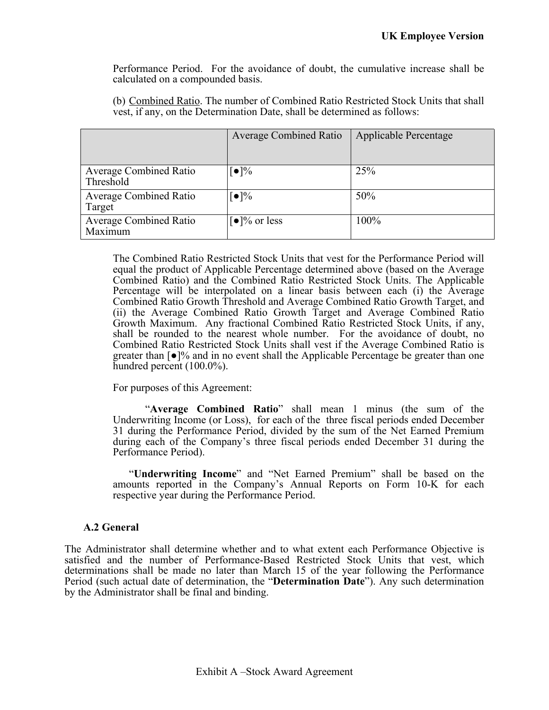Performance Period. For the avoidance of doubt, the cumulative increase shall be calculated on a compounded basis.

(b) Combined Ratio. The number of Combined Ratio Restricted Stock Units that shall vest, if any, on the Determination Date, shall be determined as follows:

|                                            | <b>Average Combined Ratio</b>     | Applicable Percentage |
|--------------------------------------------|-----------------------------------|-----------------------|
| <b>Average Combined Ratio</b><br>Threshold | $\lceil \bullet \rceil\%$         | 25%                   |
| <b>Average Combined Ratio</b><br>Target    | $\lceil \bullet \rceil\%$         | 50%                   |
| <b>Average Combined Ratio</b><br>Maximum   | $\lceil \bullet \rceil\%$ or less | 100%                  |

The Combined Ratio Restricted Stock Units that vest for the Performance Period will equal the product of Applicable Percentage determined above (based on the Average Combined Ratio) and the Combined Ratio Restricted Stock Units. The Applicable Percentage will be interpolated on a linear basis between each (i) the Average Combined Ratio Growth Threshold and Average Combined Ratio Growth Target, and (ii) the Average Combined Ratio Growth Target and Average Combined Ratio Growth Maximum. Any fractional Combined Ratio Restricted Stock Units, if any, shall be rounded to the nearest whole number. For the avoidance of doubt, no Combined Ratio Restricted Stock Units shall vest if the Average Combined Ratio is greater than [●]% and in no event shall the Applicable Percentage be greater than one hundred percent (100.0%).

For purposes of this Agreement:

"**Average Combined Ratio**" shall mean 1 minus (the sum of the Underwriting Income (or Loss), for each of the three fiscal periods ended December 31 during the Performance Period, divided by the sum of the Net Earned Premium during each of the Company's three fiscal periods ended December 31 during the Performance Period).

"**Underwriting Income**" and "Net Earned Premium" shall be based on the amounts reported in the Company's Annual Reports on Form 10-K for each respective year during the Performance Period.

# **A.2 General**

The Administrator shall determine whether and to what extent each Performance Objective is satisfied and the number of Performance-Based Restricted Stock Units that vest, which determinations shall be made no later than March 15 of the year following the Performance Period (such actual date of determination, the "**Determination Date**"). Any such determination by the Administrator shall be final and binding.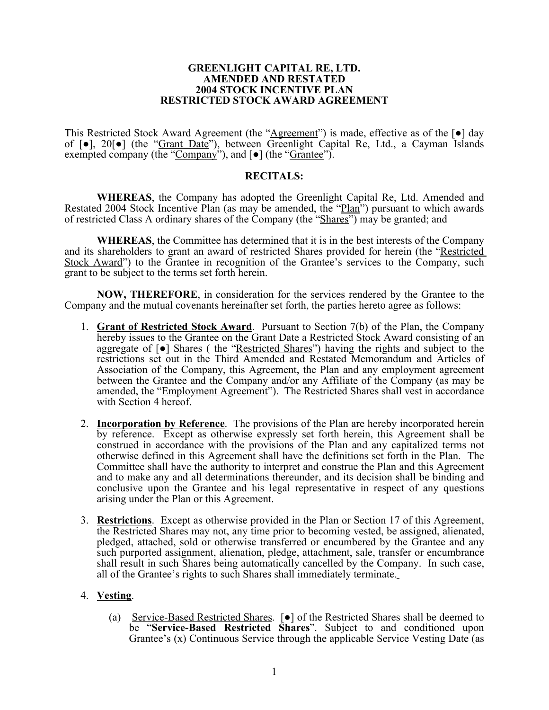## **GREENLIGHT CAPITAL RE, LTD. AMENDED AND RESTATED 2004 STOCK INCENTIVE PLAN RESTRICTED STOCK AWARD AGREEMENT**

<span id="page-67-0"></span>This Restricted Stock Award Agreement (the "Agreement") is made, effective as of the [●] day of [●], 20[●] (the "Grant Date"), between Greenlight Capital Re, Ltd., a Cayman Islands exempted company (the "Company"), and [●] (the "Grantee").

# **RECITALS:**

**WHEREAS**, the Company has adopted the Greenlight Capital Re, Ltd. Amended and Restated 2004 Stock Incentive Plan (as may be amended, the "Plan") pursuant to which awards of restricted Class A ordinary shares of the Company (the "Shares") may be granted; and

**WHEREAS**, the Committee has determined that it is in the best interests of the Company and its shareholders to grant an award of restricted Shares provided for herein (the "Restricted Stock Award") to the Grantee in recognition of the Grantee's services to the Company, such grant to be subject to the terms set forth herein.

**NOW, THEREFORE**, in consideration for the services rendered by the Grantee to the Company and the mutual covenants hereinafter set forth, the parties hereto agree as follows:

- 1. **Grant of Restricted Stock Award**. Pursuant to Section 7(b) of the Plan, the Company hereby issues to the Grantee on the Grant Date a Restricted Stock Award consisting of an aggregate of [●] Shares ( the "Restricted Shares") having the rights and subject to the restrictions set out in the Third Amended and Restated Memorandum and Articles of Association of the Company, this Agreement, the Plan and any employment agreement between the Grantee and the Company and/or any Affiliate of the Company (as may be amended, the "Employment Agreement"). The Restricted Shares shall vest in accordance with Section 4 hereof.
- 2. **Incorporation by Reference**. The provisions of the Plan are hereby incorporated herein by reference. Except as otherwise expressly set forth herein, this Agreement shall be construed in accordance with the provisions of the Plan and any capitalized terms not otherwise defined in this Agreement shall have the definitions set forth in the Plan. The Committee shall have the authority to interpret and construe the Plan and this Agreement and to make any and all determinations thereunder, and its decision shall be binding and conclusive upon the Grantee and his legal representative in respect of any questions arising under the Plan or this Agreement.
- 3. **Restrictions**. Except as otherwise provided in the Plan or Section 17 of this Agreement, the Restricted Shares may not, any time prior to becoming vested, be assigned, alienated, pledged, attached, sold or otherwise transferred or encumbered by the Grantee and any such purported assignment, alienation, pledge, attachment, sale, transfer or encumbrance shall result in such Shares being automatically cancelled by the Company. In such case, all of the Grantee's rights to such Shares shall immediately terminate.

# 4. **Vesting**.

(a) Service-Based Restricted Shares. [●] of the Restricted Shares shall be deemed to be "**Service-Based Restricted Shares**". Subject to and conditioned upon Grantee's (x) Continuous Service through the applicable Service Vesting Date (as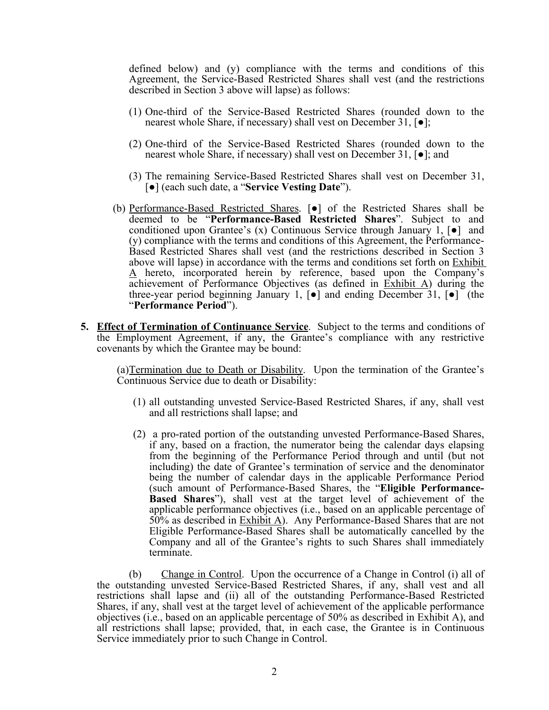defined below) and (y) compliance with the terms and conditions of this Agreement, the Service-Based Restricted Shares shall vest (and the restrictions described in Section 3 above will lapse) as follows:

- (1) One-third of the Service-Based Restricted Shares (rounded down to the nearest whole Share, if necessary) shall vest on December 31, [●];
- (2) One-third of the Service-Based Restricted Shares (rounded down to the nearest whole Share, if necessary) shall vest on December 31, [●]; and
- (3) The remaining Service-Based Restricted Shares shall vest on December 31, [●] (each such date, a "**Service Vesting Date**").
- (b) Performance-Based Restricted Shares. [●] of the Restricted Shares shall be deemed to be "**Performance-Based Restricted Shares**". Subject to and conditioned upon Grantee's (x) Continuous Service through January 1, [●] and (y) compliance with the terms and conditions of this Agreement, the Performance-Based Restricted Shares shall vest (and the restrictions described in Section 3 above will lapse) in accordance with the terms and conditions set forth on Exhibit A hereto, incorporated herein by reference, based upon the Company's achievement of Performance Objectives (as defined in Exhibit A) during the three-year period beginning January 1,  $\lceil \bullet \rceil$  and ending December 31,  $\lceil \bullet \rceil$  (the "**Performance Period**").
- **5. Effect of Termination of Continuance Service**. Subject to the terms and conditions of the Employment Agreement, if any, the Grantee's compliance with any restrictive covenants by which the Grantee may be bound:

(a)Termination due to Death or Disability. Upon the termination of the Grantee's Continuous Service due to death or Disability:

- (1) all outstanding unvested Service-Based Restricted Shares, if any, shall vest and all restrictions shall lapse; and
- (2) a pro-rated portion of the outstanding unvested Performance-Based Shares, if any, based on a fraction, the numerator being the calendar days elapsing from the beginning of the Performance Period through and until (but not including) the date of Grantee's termination of service and the denominator being the number of calendar days in the applicable Performance Period (such amount of Performance-Based Shares, the "**Eligible Performance-Based Shares**"), shall vest at the target level of achievement of the applicable performance objectives (i.e., based on an applicable percentage of  $50\%$  as described in Exhibit A). Any Performance-Based Shares that are not Eligible Performance-Based Shares shall be automatically cancelled by the Company and all of the Grantee's rights to such Shares shall immediately terminate.

(b) Change in Control. Upon the occurrence of a Change in Control (i) all of the outstanding unvested Service-Based Restricted Shares, if any, shall vest and all restrictions shall lapse and (ii) all of the outstanding Performance-Based Restricted Shares, if any, shall vest at the target level of achievement of the applicable performance objectives (i.e., based on an applicable percentage of 50% as described in Exhibit A), and all restrictions shall lapse; provided, that, in each case, the Grantee is in Continuous Service immediately prior to such Change in Control.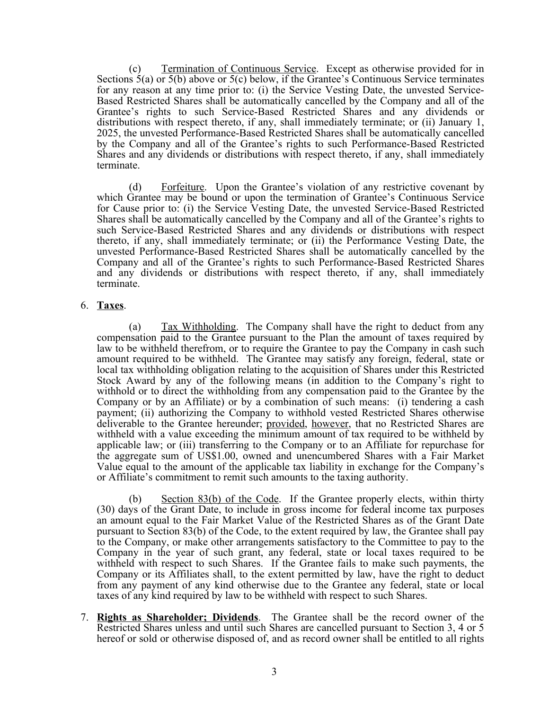(c) Termination of Continuous Service. Except as otherwise provided for in Sections 5(a) or 5(b) above or 5(c) below, if the Grantee's Continuous Service terminates for any reason at any time prior to: (i) the Service Vesting Date, the unvested Service-Based Restricted Shares shall be automatically cancelled by the Company and all of the Grantee's rights to such Service-Based Restricted Shares and any dividends or distributions with respect thereto, if any, shall immediately terminate; or (ii) January 1, 2025, the unvested Performance-Based Restricted Shares shall be automatically cancelled by the Company and all of the Grantee's rights to such Performance-Based Restricted Shares and any dividends or distributions with respect thereto, if any, shall immediately terminate.

(d) Forfeiture. Upon the Grantee's violation of any restrictive covenant by which Grantee may be bound or upon the termination of Grantee's Continuous Service for Cause prior to: (i) the Service Vesting Date, the unvested Service-Based Restricted Shares shall be automatically cancelled by the Company and all of the Grantee's rights to such Service-Based Restricted Shares and any dividends or distributions with respect thereto, if any, shall immediately terminate; or (ii) the Performance Vesting Date, the unvested Performance-Based Restricted Shares shall be automatically cancelled by the Company and all of the Grantee's rights to such Performance-Based Restricted Shares and any dividends or distributions with respect thereto, if any, shall immediately terminate.

# 6. **Taxes**.

(a) Tax Withholding. The Company shall have the right to deduct from any compensation paid to the Grantee pursuant to the Plan the amount of taxes required by law to be withheld therefrom, or to require the Grantee to pay the Company in cash such amount required to be withheld. The Grantee may satisfy any foreign, federal, state or local tax withholding obligation relating to the acquisition of Shares under this Restricted Stock Award by any of the following means (in addition to the Company's right to withhold or to direct the withholding from any compensation paid to the Grantee by the Company or by an Affiliate) or by a combination of such means: (i) tendering a cash payment; (ii) authorizing the Company to withhold vested Restricted Shares otherwise deliverable to the Grantee hereunder; provided, however, that no Restricted Shares are withheld with a value exceeding the minimum amount of tax required to be withheld by applicable law; or (iii) transferring to the Company or to an Affiliate for repurchase for the aggregate sum of US\$1.00, owned and unencumbered Shares with a Fair Market Value equal to the amount of the applicable tax liability in exchange for the Company's or Affiliate's commitment to remit such amounts to the taxing authority.

(b) Section 83(b) of the Code. If the Grantee properly elects, within thirty (30) days of the Grant Date, to include in gross income for federal income tax purposes an amount equal to the Fair Market Value of the Restricted Shares as of the Grant Date pursuant to Section 83(b) of the Code, to the extent required by law, the Grantee shall pay to the Company, or make other arrangements satisfactory to the Committee to pay to the Company in the year of such grant, any federal, state or local taxes required to be withheld with respect to such Shares. If the Grantee fails to make such payments, the Company or its Affiliates shall, to the extent permitted by law, have the right to deduct from any payment of any kind otherwise due to the Grantee any federal, state or local taxes of any kind required by law to be withheld with respect to such Shares.

7. **Rights as Shareholder; Dividends**. The Grantee shall be the record owner of the Restricted Shares unless and until such Shares are cancelled pursuant to Section 3, 4 or 5 hereof or sold or otherwise disposed of, and as record owner shall be entitled to all rights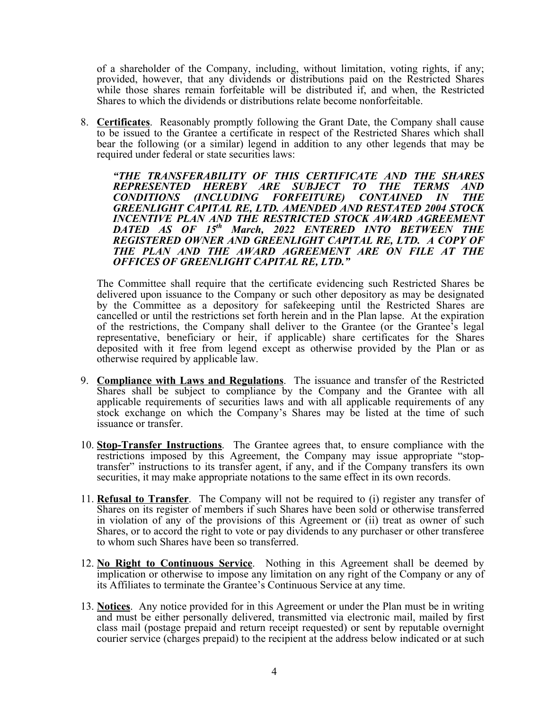of a shareholder of the Company, including, without limitation, voting rights, if any; provided, however, that any dividends or distributions paid on the Restricted Shares while those shares remain forfeitable will be distributed if, and when, the Restricted Shares to which the dividends or distributions relate become nonforfeitable.

8. **Certificates**. Reasonably promptly following the Grant Date, the Company shall cause to be issued to the Grantee a certificate in respect of the Restricted Shares which shall bear the following (or a similar) legend in addition to any other legends that may be required under federal or state securities laws:

*"THE TRANSFERABILITY OF THIS CERTIFICATE AND THE SHARES REPRESENTED HEREBY ARE SUBJECT TO THE TERMS AND CONDITIONS (INCLUDING FORFEITURE) CONTAINED IN THE GREENLIGHT CAPITAL RE, LTD. AMENDED AND RESTATED 2004 STOCK INCENTIVE PLAN AND THE RESTRICTED STOCK AWARD AGREEMENT DATED AS OF 15th March, 2022 ENTERED INTO BETWEEN THE REGISTERED OWNER AND GREENLIGHT CAPITAL RE, LTD. A COPY OF THE PLAN AND THE AWARD AGREEMENT ARE ON FILE AT THE OFFICES OF GREENLIGHT CAPITAL RE, LTD."*

The Committee shall require that the certificate evidencing such Restricted Shares be delivered upon issuance to the Company or such other depository as may be designated by the Committee as a depository for safekeeping until the Restricted Shares are cancelled or until the restrictions set forth herein and in the Plan lapse. At the expiration of the restrictions, the Company shall deliver to the Grantee (or the Grantee's legal representative, beneficiary or heir, if applicable) share certificates for the Shares deposited with it free from legend except as otherwise provided by the Plan or as otherwise required by applicable law.

- 9. **Compliance with Laws and Regulations**. The issuance and transfer of the Restricted Shares shall be subject to compliance by the Company and the Grantee with all applicable requirements of securities laws and with all applicable requirements of any stock exchange on which the Company's Shares may be listed at the time of such issuance or transfer.
- 10. **Stop-Transfer Instructions**. The Grantee agrees that, to ensure compliance with the restrictions imposed by this Agreement, the Company may issue appropriate "stoptransfer" instructions to its transfer agent, if any, and if the Company transfers its own securities, it may make appropriate notations to the same effect in its own records.
- 11. **Refusal to Transfer**. The Company will not be required to (i) register any transfer of Shares on its register of members if such Shares have been sold or otherwise transferred in violation of any of the provisions of this Agreement or (ii) treat as owner of such Shares, or to accord the right to vote or pay dividends to any purchaser or other transferee to whom such Shares have been so transferred.
- 12. **No Right to Continuous Service**. Nothing in this Agreement shall be deemed by implication or otherwise to impose any limitation on any right of the Company or any of its Affiliates to terminate the Grantee's Continuous Service at any time.
- 13. **Notices**. Any notice provided for in this Agreement or under the Plan must be in writing and must be either personally delivered, transmitted via electronic mail, mailed by first class mail (postage prepaid and return receipt requested) or sent by reputable overnight courier service (charges prepaid) to the recipient at the address below indicated or at such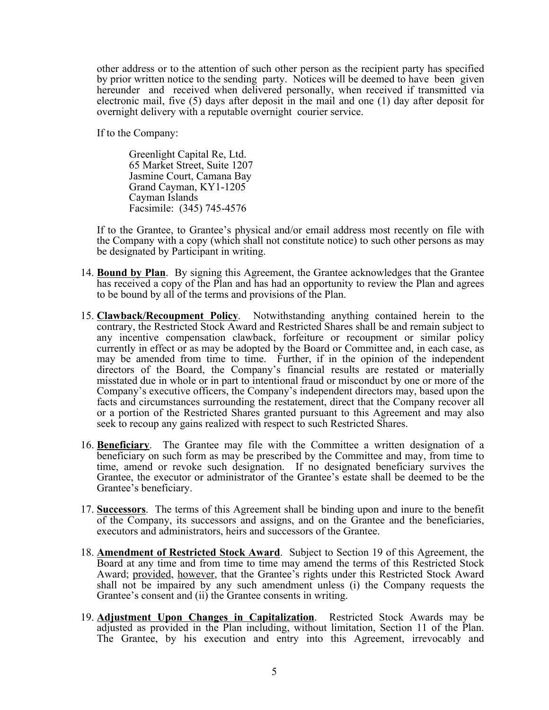other address or to the attention of such other person as the recipient party has specified by prior written notice to the sending party. Notices will be deemed to have been given by prior written notice to the benefits pressure personally, when received if transmitted via electronic mail, five (5) days after deposit in the mail and one (1) day after deposit for overnight delivery with a reputable overnight courier service.

If to the Company:

 Greenlight Capital Re, Ltd. 65 Market Street, Suite 1207 Jasmine Court, Camana Bay Grand Cayman, KY1-1205 Cayman Islands Facsimile: (345) 745-4576

If to the Grantee, to Grantee's physical and/or email address most recently on file with the Company with a copy (which shall not constitute notice) to such other persons as may be designated by Participant in writing.

- 14. **Bound by Plan**. By signing this Agreement, the Grantee acknowledges that the Grantee has received a copy of the Plan and has had an opportunity to review the Plan and agrees to be bound by all of the terms and provisions of the Plan.
- 15. **Clawback/Recoupment Policy**. Notwithstanding anything contained herein to the contrary, the Restricted Stock Award and Restricted Shares shall be and remain subject to any incentive compensation clawback, forfeiture or recoupment or similar policy currently in effect or as may be adopted by the Board or Committee and, in each case, as may be amended from time to time. Further, if in the opinion of the independent directors of the Board, the Company's financial results are restated or materially misstated due in whole or in part to intentional fraud or misconduct by one or more of the Company's executive officers, the Company's independent directors may, based upon the facts and circumstances surrounding the restatement, direct that the Company recover all or a portion of the Restricted Shares granted pursuant to this Agreement and may also seek to recoup any gains realized with respect to such Restricted Shares.
- 16. **Beneficiary**. The Grantee may file with the Committee a written designation of a beneficiary on such form as may be prescribed by the Committee and may, from time to time, amend or revoke such designation. If no designated beneficiary survives the Grantee, the executor or administrator of the Grantee's estate shall be deemed to be the Grantee's beneficiary.
- 17. **Successors**. The terms of this Agreement shall be binding upon and inure to the benefit of the Company, its successors and assigns, and on the Grantee and the beneficiaries, executors and administrators, heirs and successors of the Grantee.
- 18. **Amendment of Restricted Stock Award**. Subject to Section 19 of this Agreement, the Board at any time and from time to time may amend the terms of this Restricted Stock Award; provided, however, that the Grantee's rights under this Restricted Stock Award shall not be impaired by any such amendment unless (i) the Company requests the Grantee's consent and (ii) the Grantee consents in writing.
- 19. **Adjustment Upon Changes in Capitalization**. Restricted Stock Awards may be adjusted as provided in the Plan including, without limitation, Section 11 of the Plan. The Grantee, by his execution and entry into this Agreement, irrevocably and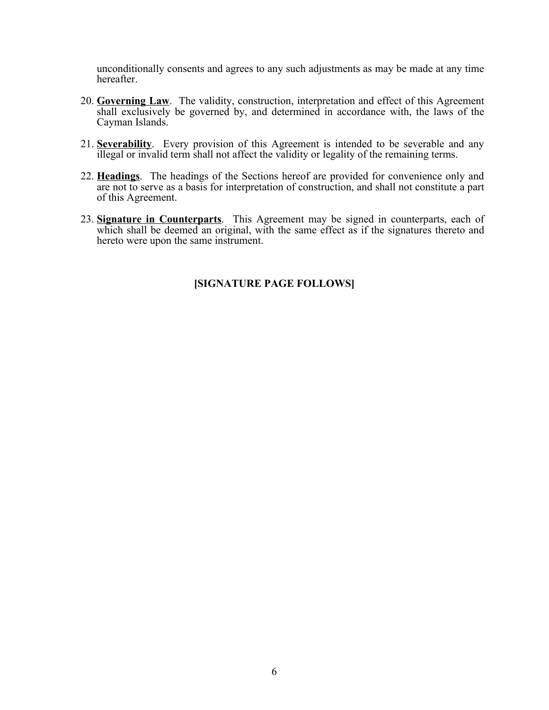unconditionally consents and agrees to any such adjustments as may be made at any time hereafter.

- 20. **Governing Law**. The validity, construction, interpretation and effect of this Agreement shall exclusively be governed by, and determined in accordance with, the laws of the Cayman Islands.
- 21. **Severability**. Every provision of this Agreement is intended to be severable and any illegal or invalid term shall not affect the validity or legality of the remaining terms.
- 22. **Headings**. The headings of the Sections hereof are provided for convenience only and are not to serve as a basis for interpretation of construction, and shall not constitute a part of this Agreement.
- 23. **Signature in Counterparts**. This Agreement may be signed in counterparts, each of which shall be deemed an original, with the same effect as if the signatures thereto and hereto were upon the same instrument.

# **[SIGNATURE PAGE FOLLOWS]**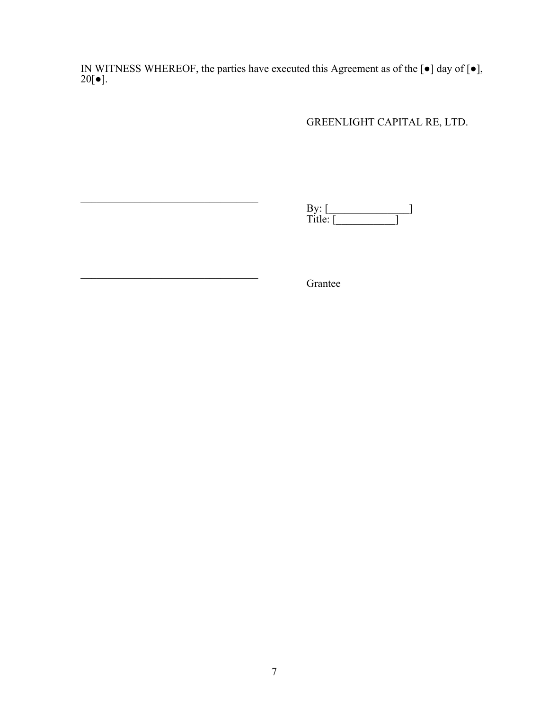IN WITNESS WHEREOF, the parties have executed this Agreement as of the [●] day of [●],  $20[\bullet]$ .

 $\mathcal{L}_\text{max}$  , where  $\mathcal{L}_\text{max}$  is the set of the set of the set of the set of the set of the set of the set of the set of the set of the set of the set of the set of the set of the set of the set of the set of the se

 $\mathcal{L}_\text{max}$ 

GREENLIGHT CAPITAL RE, LTD.

 $\mathbf{B}$ y: [  $\qquad \qquad$  ] Title: [\_\_\_\_\_\_\_\_\_\_\_]

Grantee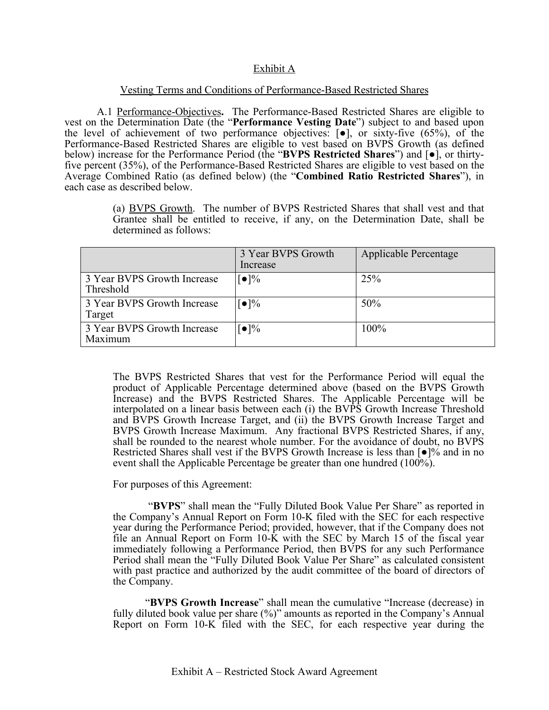## Exhibit A

## Vesting Terms and Conditions of Performance-Based Restricted Shares

A.1 Performance-Objectives**.** The Performance-Based Restricted Shares are eligible to vest on the Determination Date (the "**Performance Vesting Date**") subject to and based upon the level of achievement of two performance objectives:  $\lceil \bullet \rceil$ , or sixty-five (65%), of the Performance-Based Restricted Shares are eligible to vest based on BVPS Growth (as defined below) increase for the Performance Period (the "**BVPS Restricted Shares**") and [●], or thirtyfive percent (35%), of the Performance-Based Restricted Shares are eligible to vest based on the Average Combined Ratio (as defined below) (the "**Combined Ratio Restricted Shares**"), in each case as described below.

> (a) BVPS Growth. The number of BVPS Restricted Shares that shall vest and that Grantee shall be entitled to receive, if any, on the Determination Date, shall be determined as follows:

|                                          | 3 Year BVPS Growth<br>Increase | <b>Applicable Percentage</b> |
|------------------------------------------|--------------------------------|------------------------------|
| 3 Year BVPS Growth Increase<br>Threshold | $\lceil \bullet \rceil\%$      | 25%                          |
| 3 Year BVPS Growth Increase<br>Target    | $\lceil \bullet \rceil\%$      | 50%                          |
| 3 Year BVPS Growth Increase<br>Maximum   | $\lceil\bullet\rceil\%$        | 100%                         |

The BVPS Restricted Shares that vest for the Performance Period will equal the product of Applicable Percentage determined above (based on the BVPS Growth Increase) and the BVPS Restricted Shares. The Applicable Percentage will be interpolated on a linear basis between each (i) the BVPS Growth Increase Threshold and BVPS Growth Increase Target, and (ii) the BVPS Growth Increase Target and BVPS Growth Increase Maximum. Any fractional BVPS Restricted Shares, if any, shall be rounded to the nearest whole number. For the avoidance of doubt, no BVPS Restricted Shares shall vest if the BVPS Growth Increase is less than [●]% and in no event shall the Applicable Percentage be greater than one hundred (100%).

For purposes of this Agreement:

 "**BVPS**" shall mean the "Fully Diluted Book Value Per Share" as reported in the Company's Annual Report on Form 10-K filed with the SEC for each respective year during the Performance Period; provided, however, that if the Company does not file an Annual Report on Form 10-K with the SEC by March 15 of the fiscal year immediately following a Performance Period, then BVPS for any such Performance Period shall mean the "Fully Diluted Book Value Per Share" as calculated consistent with past practice and authorized by the audit committee of the board of directors of the Company.

"**BVPS Growth Increase**" shall mean the cumulative "Increase (decrease) in fully diluted book value per share (%)" amounts as reported in the Company's Annual Report on Form 10-K filed with the SEC, for each respective year during the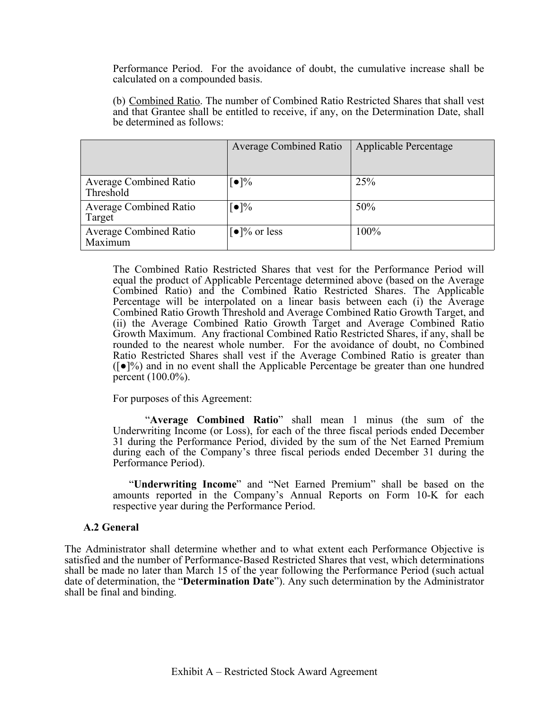Performance Period. For the avoidance of doubt, the cumulative increase shall be calculated on a compounded basis.

(b) Combined Ratio. The number of Combined Ratio Restricted Shares that shall vest and that Grantee shall be entitled to receive, if any, on the Determination Date, shall be determined as follows:

|                                            | <b>Average Combined Ratio</b>     | Applicable Percentage |
|--------------------------------------------|-----------------------------------|-----------------------|
| <b>Average Combined Ratio</b><br>Threshold | $\lceil \bullet \rceil\%$         | 25%                   |
| <b>Average Combined Ratio</b><br>Target    | $\lceil \bullet \rceil\%$         | 50%                   |
| <b>Average Combined Ratio</b><br>Maximum   | $\lceil \bullet \rceil\%$ or less | 100%                  |

The Combined Ratio Restricted Shares that vest for the Performance Period will equal the product of Applicable Percentage determined above (based on the Average Combined Ratio) and the Combined Ratio Restricted Shares. The Applicable Percentage will be interpolated on a linear basis between each (i) the Average Combined Ratio Growth Threshold and Average Combined Ratio Growth Target, and (ii) the Average Combined Ratio Growth Target and Average Combined Ratio Growth Maximum. Any fractional Combined Ratio Restricted Shares, if any, shall be rounded to the nearest whole number. For the avoidance of doubt, no Combined Ratio Restricted Shares shall vest if the Average Combined Ratio is greater than ([●]%) and in no event shall the Applicable Percentage be greater than one hundred percent (100.0%).

For purposes of this Agreement:

"**Average Combined Ratio**" shall mean 1 minus (the sum of the Underwriting Income (or Loss), for each of the three fiscal periods ended December 31 during the Performance Period, divided by the sum of the Net Earned Premium during each of the Company's three fiscal periods ended December 31 during the Performance Period).

"**Underwriting Income**" and "Net Earned Premium" shall be based on the amounts reported in the Company's Annual Reports on Form 10-K for each respective year during the Performance Period.

## **A.2 General**

The Administrator shall determine whether and to what extent each Performance Objective is satisfied and the number of Performance-Based Restricted Shares that vest, which determinations shall be made no later than March 15 of the year following the Performance Period (such actual date of determination, the "**Determination Date**"). Any such determination by the Administrator shall be final and binding.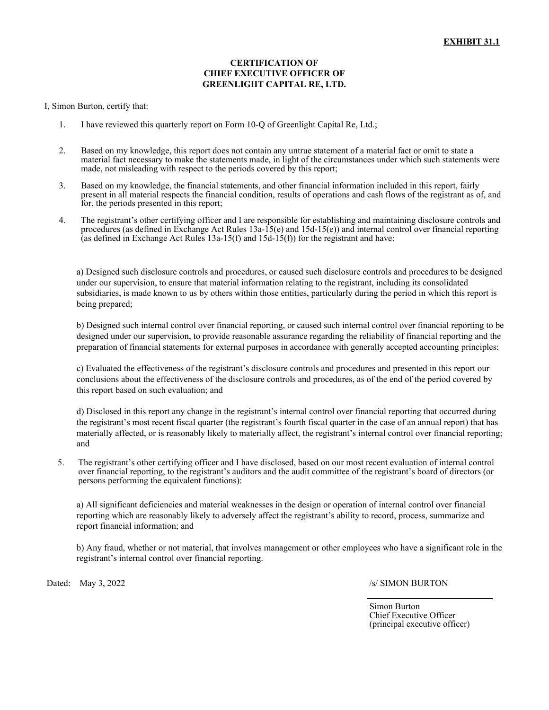### **CERTIFICATION OF CHIEF EXECUTIVE OFFICER OF GREENLIGHT CAPITAL RE, LTD.**

#### I, Simon Burton, certify that:

- 1. I have reviewed this quarterly report on Form 10-Q of Greenlight Capital Re, Ltd.;
- 2. Based on my knowledge, this report does not contain any untrue statement of a material fact or omit to state a material fact necessary to make the statements made, in light of the circumstances under which such statements were made, not misleading with respect to the periods covered by this report;
- 3. Based on my knowledge, the financial statements, and other financial information included in this report, fairly present in all material respects the financial condition, results of operations and cash flows of the registrant as of, and for, the periods presented in this report;
- 4. The registrant's other certifying officer and I are responsible for establishing and maintaining disclosure controls and procedures (as defined in Exchange Act Rules 13a-15(e) and 15d-15(e)) and internal control over financial reporting (as defined in Exchange Act Rules  $13a-15(f)$  and  $15d-15(f)$ ) for the registrant and have:

a) Designed such disclosure controls and procedures, or caused such disclosure controls and procedures to be designed under our supervision, to ensure that material information relating to the registrant, including its consolidated subsidiaries, is made known to us by others within those entities, particularly during the period in which this report is being prepared;

b) Designed such internal control over financial reporting, or caused such internal control over financial reporting to be designed under our supervision, to provide reasonable assurance regarding the reliability of financial reporting and the preparation of financial statements for external purposes in accordance with generally accepted accounting principles;

c) Evaluated the effectiveness of the registrant's disclosure controls and procedures and presented in this report our conclusions about the effectiveness of the disclosure controls and procedures, as of the end of the period covered by this report based on such evaluation; and

d) Disclosed in this report any change in the registrant's internal control over financial reporting that occurred during the registrant's most recent fiscal quarter (the registrant's fourth fiscal quarter in the case of an annual report) that has materially affected, or is reasonably likely to materially affect, the registrant's internal control over financial reporting; and

5. The registrant's other certifying officer and I have disclosed, based on our most recent evaluation of internal control over financial reporting, to the registrant's auditors and the audit committee of the registrant's board of directors (or persons performing the equivalent functions):

a) All significant deficiencies and material weaknesses in the design or operation of internal control over financial reporting which are reasonably likely to adversely affect the registrant's ability to record, process, summarize and report financial information; and

b) Any fraud, whether or not material, that involves management or other employees who have a significant role in the registrant's internal control over financial reporting.

Dated: May 3, 2022 /s/ SIMON BURTON

Simon Burton Chief Executive Officer (principal executive officer)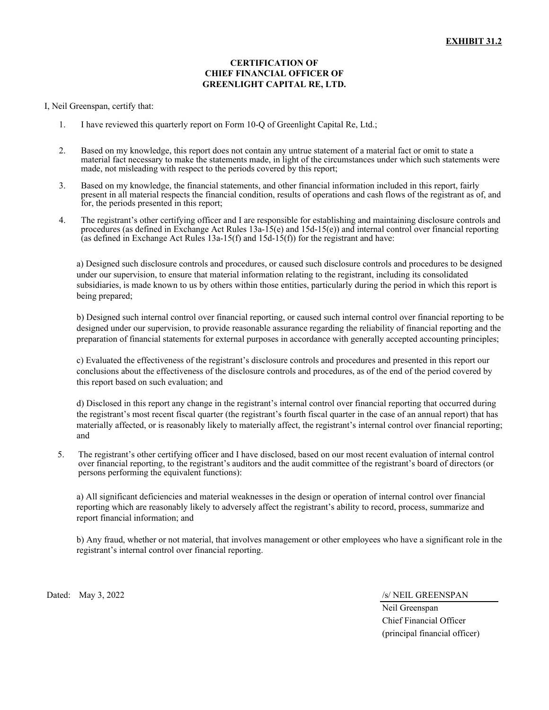#### **CERTIFICATION OF CHIEF FINANCIAL OFFICER OF GREENLIGHT CAPITAL RE, LTD.**

I, Neil Greenspan, certify that:

- 1. I have reviewed this quarterly report on Form 10-Q of Greenlight Capital Re, Ltd.;
- 2. Based on my knowledge, this report does not contain any untrue statement of a material fact or omit to state a material fact necessary to make the statements made, in light of the circumstances under which such statements were made, not misleading with respect to the periods covered by this report;
- 3. Based on my knowledge, the financial statements, and other financial information included in this report, fairly present in all material respects the financial condition, results of operations and cash flows of the registrant as of, and for, the periods presented in this report;
- 4. The registrant's other certifying officer and I are responsible for establishing and maintaining disclosure controls and procedures (as defined in Exchange Act Rules 13a-15(e) and 15d-15(e)) and internal control over financial reporting (as defined in Exchange Act Rules  $13a-15(f)$  and  $15d-15(f)$ ) for the registrant and have:

a) Designed such disclosure controls and procedures, or caused such disclosure controls and procedures to be designed under our supervision, to ensure that material information relating to the registrant, including its consolidated subsidiaries, is made known to us by others within those entities, particularly during the period in which this report is being prepared;

b) Designed such internal control over financial reporting, or caused such internal control over financial reporting to be designed under our supervision, to provide reasonable assurance regarding the reliability of financial reporting and the preparation of financial statements for external purposes in accordance with generally accepted accounting principles;

c) Evaluated the effectiveness of the registrant's disclosure controls and procedures and presented in this report our conclusions about the effectiveness of the disclosure controls and procedures, as of the end of the period covered by this report based on such evaluation; and

d) Disclosed in this report any change in the registrant's internal control over financial reporting that occurred during the registrant's most recent fiscal quarter (the registrant's fourth fiscal quarter in the case of an annual report) that has materially affected, or is reasonably likely to materially affect, the registrant's internal control over financial reporting; and

5. The registrant's other certifying officer and I have disclosed, based on our most recent evaluation of internal control over financial reporting, to the registrant's auditors and the audit committee of the registrant's board of directors (or persons performing the equivalent functions):

a) All significant deficiencies and material weaknesses in the design or operation of internal control over financial reporting which are reasonably likely to adversely affect the registrant's ability to record, process, summarize and report financial information; and

b) Any fraud, whether or not material, that involves management or other employees who have a significant role in the registrant's internal control over financial reporting.

Dated: May 3, 2022 /s/ NEIL GREENSPAN

Neil Greenspan Chief Financial Officer (principal financial officer)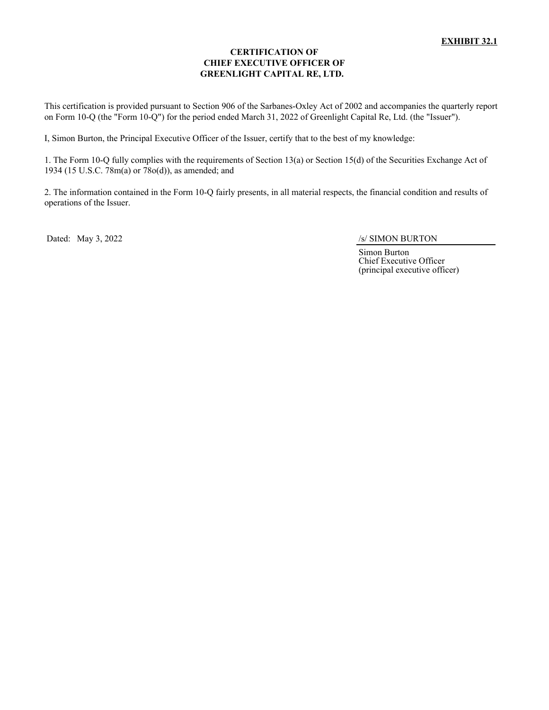### **CERTIFICATION OF CHIEF EXECUTIVE OFFICER OF GREENLIGHT CAPITAL RE, LTD.**

This certification is provided pursuant to Section 906 of the Sarbanes-Oxley Act of 2002 and accompanies the quarterly report on Form 10-Q (the "Form 10-Q") for the period ended March 31, 2022 of Greenlight Capital Re, Ltd. (the "Issuer").

I, Simon Burton, the Principal Executive Officer of the Issuer, certify that to the best of my knowledge:

1. The Form 10-Q fully complies with the requirements of Section 13(a) or Section 15(d) of the Securities Exchange Act of 1934 (15 U.S.C. 78m(a) or 78o(d)), as amended; and

2. The information contained in the Form 10-Q fairly presents, in all material respects, the financial condition and results of operations of the Issuer.

Dated: May 3, 2022 /s/ SIMON BURTON

Simon Burton Chief Executive Officer (principal executive officer)